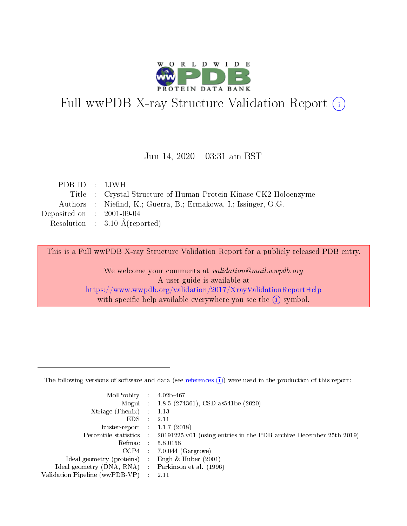

# Full wwPDB X-ray Structure Validation Report (i)

#### Jun 14,  $2020 - 03:31$  am BST

| PDBID : 1JWH                |                                                                  |
|-----------------------------|------------------------------------------------------------------|
|                             | Title : Crystal Structure of Human Protein Kinase CK2 Holoenzyme |
|                             | Authors : Niefind, K.; Guerra, B.; Ermakowa, I.; Issinger, O.G.  |
| Deposited on : $2001-09-04$ |                                                                  |
|                             | Resolution : $3.10 \text{ Å}$ (reported)                         |

This is a Full wwPDB X-ray Structure Validation Report for a publicly released PDB entry.

We welcome your comments at validation@mail.wwpdb.org A user guide is available at <https://www.wwpdb.org/validation/2017/XrayValidationReportHelp> with specific help available everywhere you see the  $(i)$  symbol.

The following versions of software and data (see [references](https://www.wwpdb.org/validation/2017/XrayValidationReportHelp#references)  $(1)$ ) were used in the production of this report:

| $MolProbability$ 4.02b-467                          |               |                                                                                            |
|-----------------------------------------------------|---------------|--------------------------------------------------------------------------------------------|
|                                                     |               | Mogul : 1.8.5 (274361), CSD as 541be (2020)                                                |
| $Xtriangle (Phenix)$ : 1.13                         |               |                                                                                            |
| EDS -                                               | $\mathcal{L}$ | 2.11                                                                                       |
| buster-report : $1.1.7(2018)$                       |               |                                                                                            |
|                                                     |               | Percentile statistics : 20191225.v01 (using entries in the PDB archive December 25th 2019) |
| Refmac $5.8.0158$                                   |               |                                                                                            |
|                                                     |               | $CCP4$ : 7.0.044 (Gargrove)                                                                |
| Ideal geometry (proteins) :                         |               | Engh $\&$ Huber (2001)                                                                     |
| Ideal geometry (DNA, RNA) : Parkinson et al. (1996) |               |                                                                                            |
| Validation Pipeline (wwPDB-VP) : 2.11               |               |                                                                                            |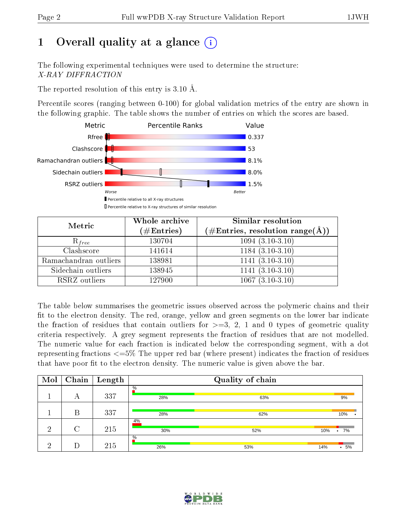# 1 [O](https://www.wwpdb.org/validation/2017/XrayValidationReportHelp#overall_quality)verall quality at a glance  $(i)$

The following experimental techniques were used to determine the structure: X-RAY DIFFRACTION

The reported resolution of this entry is 3.10 Å.

Percentile scores (ranging between 0-100) for global validation metrics of the entry are shown in the following graphic. The table shows the number of entries on which the scores are based.



| Metric                | Whole archive<br>$(\#\text{Entries})$ | Similar resolution<br>$(\#\text{Entries}, \text{resolution range}(\text{\AA}))$ |
|-----------------------|---------------------------------------|---------------------------------------------------------------------------------|
| $R_{free}$            | 130704                                | $1094(3.10-3.10)$                                                               |
| Clashscore            | 141614                                | $1184(3.10-3.10)$                                                               |
| Ramachandran outliers | 138981                                | $\overline{1141} \, (3.10-3.10)$                                                |
| Sidechain outliers    | 138945                                | $1141 (3.10-3.10)$                                                              |
| RSRZ outliers         | 127900                                | $1067(3.10-3.10)$                                                               |

The table below summarises the geometric issues observed across the polymeric chains and their fit to the electron density. The red, orange, yellow and green segments on the lower bar indicate the fraction of residues that contain outliers for  $>=3, 2, 1$  and 0 types of geometric quality criteria respectively. A grey segment represents the fraction of residues that are not modelled. The numeric value for each fraction is indicated below the corresponding segment, with a dot representing fractions <=5% The upper red bar (where present) indicates the fraction of residues that have poor fit to the electron density. The numeric value is given above the bar.

| Mol | Chain  | $\mathbf{Length}$ |             | Quality of chain |                |
|-----|--------|-------------------|-------------|------------------|----------------|
|     | А      | 337               | $\%$<br>28% | 63%              | 9%             |
|     | В      | 337               | 28%         | 62%              | 10%            |
| ച   | $\cap$ | 215               | 4%<br>30%   | 52%              | 10%<br>7%<br>٠ |
| ച   |        | 215               | $\%$<br>26% | 53%              | 5%<br>14%<br>٠ |

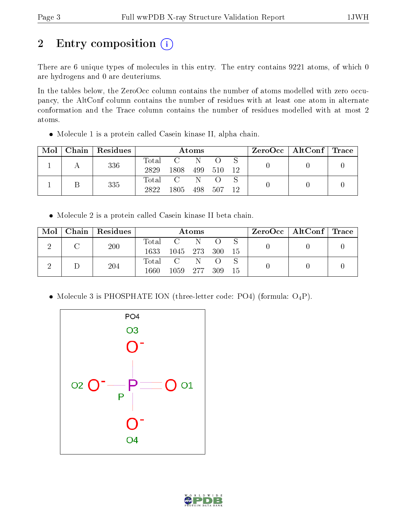# 2 Entry composition (i)

There are 6 unique types of molecules in this entry. The entry contains 9221 atoms, of which 0 are hydrogens and 0 are deuteriums.

In the tables below, the ZeroOcc column contains the number of atoms modelled with zero occupancy, the AltConf column contains the number of residues with at least one atom in alternate conformation and the Trace column contains the number of residues modelled with at most 2 atoms.

Molecule 1 is a protein called Casein kinase II, alpha chain.

| Mol | Chain   Residues | Atoms               |      |     | $\text{ZeroOcc} \mid \text{AltConf} \mid \text{Trace} \mid$ |    |  |  |
|-----|------------------|---------------------|------|-----|-------------------------------------------------------------|----|--|--|
|     | 336              | $\rm Total$<br>2829 | 1808 | 499 | - 510                                                       | 12 |  |  |
|     | 335              | Total<br>2822       | 1805 | 498 | 507                                                         | 12 |  |  |

Molecule 2 is a protein called Casein kinase II beta chain.

| Mol | Chain   Residues |             |          | Atoms |       |    | $\rm{ZeroOcc}$   AltConf   Trace |  |
|-----|------------------|-------------|----------|-------|-------|----|----------------------------------|--|
|     | 200              | $\rm Total$ |          |       |       |    |                                  |  |
|     |                  | 1633        | 1045 273 |       | - 300 | 15 |                                  |  |
|     | 204              | Total       |          |       |       |    |                                  |  |
|     |                  | 1660        | 1059 277 |       | - 309 | 15 |                                  |  |

• Molecule 3 is PHOSPHATE ION (three-letter code: PO4) (formula:  $O_4P$ ).



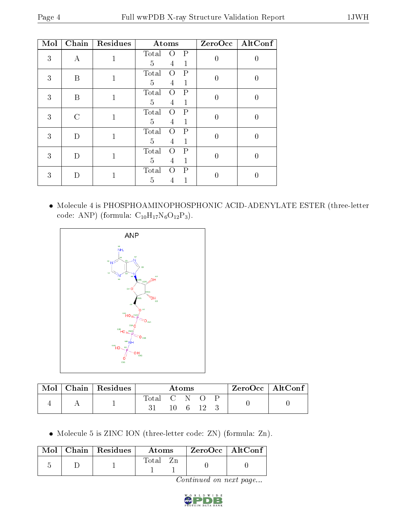| Mol | Chain                       | Residues     | Atoms                                                    |   | $ZeroOcc$   AltConf |
|-----|-----------------------------|--------------|----------------------------------------------------------|---|---------------------|
| 3   | А                           |              | Total<br>P<br>$\left( \right)$<br>5<br>4<br>1            | 0 |                     |
| 3   | B                           |              | P<br>Total<br>$\left( \right)$<br>5<br>$\mathbf{1}$<br>4 | 0 |                     |
| 3   | B                           |              | Total<br>Р<br>$\left( \right)$<br>5<br>1<br>4            | 0 |                     |
| 3   | $\mathcal{C}_{\mathcal{C}}$ |              | Total<br>Р<br>$\left( \right)$<br>5<br>1<br>4            | 0 |                     |
| 3   | $\Box$                      | 1            | Total<br>$\mathsf{P}$<br>Ω<br>5<br>1<br>4                | 0 | 0                   |
| 3   | $\Box$                      | 1            | Total<br>$\mathsf{P}$<br>$\Omega$<br>5<br>1<br>4         | 0 | 0                   |
| 3   | $\Box$                      | $\mathbf{1}$ | Total<br>Ρ<br>$\left( \right)$<br>5                      | 0 |                     |

 $\bullet\,$  Molecule 4 is PHOSPHOAMINOPHOSPHONIC ACID-ADENYLATE ESTER (three-letter code: ANP) (formula:  $\mathrm{C}_{10}\mathrm{H}_{17}\mathrm{N}_{6}\mathrm{O}_{12}\mathrm{P}_{3}) .$ 



| Mol | Chain   Residues |             | Atoms |  | $ZeroOcc$   AltConf |
|-----|------------------|-------------|-------|--|---------------------|
|     |                  | Total C N O | - 6   |  |                     |

Molecule 5 is ZINC ION (three-letter code: ZN) (formula: Zn).

|  | $\text{Mol}$   Chain   Residues | Atoms | $ZeroOcc \   \ AltConf$ |
|--|---------------------------------|-------|-------------------------|
|  |                                 | Fotal |                         |

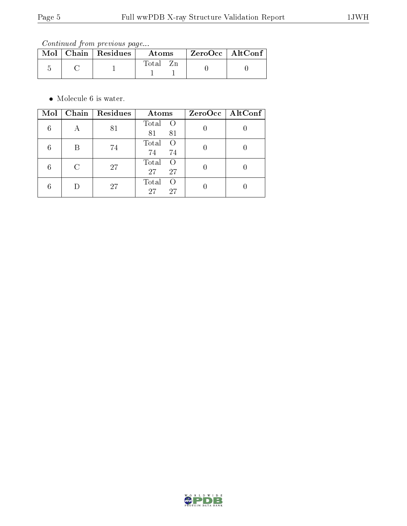Continued from previous page...

| $\bf{Mol} \parallel$ | $\vert$ Chain $\vert$ Residues | Atoms | $\rm ZeroOcc \mid AltConf$ |  |
|----------------------|--------------------------------|-------|----------------------------|--|
|                      |                                | Total |                            |  |

• Molecule 6 is water.

| Mol |   | Chain   Residues | Atoms                                 | ZeroOcc   AltConf |
|-----|---|------------------|---------------------------------------|-------------------|
|     |   | 81               | Total<br>$\circ$ O<br>81<br>81        |                   |
|     | B | 74               | Total<br>$\left( \right)$<br>74<br>74 |                   |
|     |   | 27               | Total<br>$\left( \right)$<br>27<br>27 |                   |
|     |   | 27               | Total<br>$\left( \right)$<br>27<br>27 |                   |

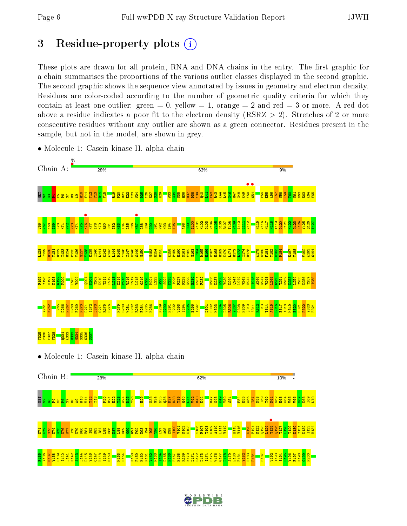$E<sub>1</sub>$  $\mathbb{E}$  $\mathbb{E}$  $K$ 74 K75 K76 K77 I78 K79 R80  $\overline{\mathbf{E}}$ I82 K83 I84 L85 E86  $\frac{1}{8}$  $\frac{188}{1}$  $\frac{89}{2}$  $\frac{8}{29}$  $\frac{5}{16}$ P92 N93 I94 I95 T96 L97 A98  $\frac{8}{2}$ I100 V101 K102 D103 S106 R107 T108 P109 A110 L111 V112 H115 V116 D120 F121 K122 Q123 L124 Y125 • Q126 T127 L128 T129 D130 Y131 D132 I133 R134

F135 Y136 M137 Y138 E139 I140 L141 K142 A143 L144 D145 Y146  $C147$ H148 S149 M150 M153 H154 K158 P159 H160 N161 V162 M163 I164 D165 H166 E167 H168 R169 K170 L171 R172 L173 I174 D175 W176 G177 L178 A179 E180 F181 Y182 H183 P184 E187 V192 A193 S194 R195 Y196 F197 K198  $\frac{30}{2}$ P200

# 3 Residue-property plots  $(i)$

These plots are drawn for all protein, RNA and DNA chains in the entry. The first graphic for a chain summarises the proportions of the various outlier classes displayed in the second graphic. The second graphic shows the sequence view annotated by issues in geometry and electron density. Residues are color-coded according to the number of geometric quality criteria for which they contain at least one outlier: green  $= 0$ , yellow  $= 1$ , orange  $= 2$  and red  $= 3$  or more. A red dot above a residue indicates a poor fit to the electron density (RSRZ  $> 2$ ). Stretches of 2 or more consecutive residues without any outlier are shown as a green connector. Residues present in the sample, but not in the model, are shown in grey.



• Molecule 1: Casein kinase II, alpha chain

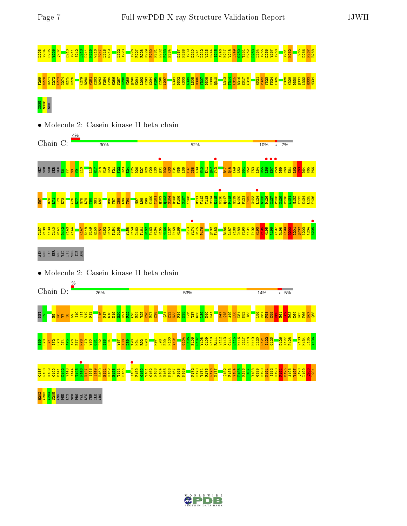# L203 V204 D205 Y206 Q207 D210 Y211 S212 L213 D214 M215 W216 S217 L218 G219 L222 A223 I226 F227 R228 K229 E230 P231 F232 F233 H234 D237 N238 Y239 D240 Q241 L242 V243 R244 I245 A246 K247 V248 L249 G250 T251 E252 D253 L254 Y255 D256 Y257 I258 Y261 N262 L265 D266 P267 R268 es and self-estate the self of the self of the self of the self of the self of the self of the self of the self<br>The self of the self of the self of the self of the self of the self of the self of the self of the self of th ន<mark>្លី ន</mark>ី<br>និង



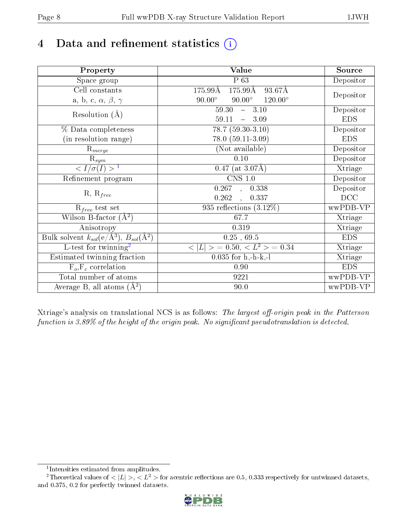# 4 Data and refinement statistics  $(i)$

| Property                                                             | <b>Value</b>                                           | Source     |
|----------------------------------------------------------------------|--------------------------------------------------------|------------|
| Space group                                                          | P 63                                                   | Depositor  |
| Cell constants                                                       | $175.99\text{\AA}$<br>$175.99\text{\AA}$<br>$93.67\AA$ |            |
| a, b, c, $\alpha$ , $\beta$ , $\gamma$                               | $90.00^\circ$<br>$120.00^{\circ}$<br>$90.00^\circ$     | Depositor  |
| Resolution $(A)$                                                     | 59.30<br>$-3.10$                                       | Depositor  |
|                                                                      | 59.11<br>3.09<br>$\frac{1}{2}$                         | <b>EDS</b> |
| % Data completeness                                                  | $78.7(59.30-3.10)$                                     | Depositor  |
| (in resolution range)                                                | $78.0(59.11-3.09)$                                     | <b>EDS</b> |
| $R_{merge}$                                                          | (Not available)                                        | Depositor  |
| $\mathrm{R}_{sym}$                                                   | 0.10                                                   | Depositor  |
| $\langle I/\sigma(I) \rangle^{-1}$                                   | $0.47$ (at 3.07Å)                                      | Xtriage    |
| Refinement program                                                   | $\overline{\text{CNS} 1.0}$                            | Depositor  |
|                                                                      | $\overline{0.267}$ ,<br>0.338                          | Depositor  |
| $R, R_{free}$                                                        | 0.262<br>0.337<br>$\mathcal{L}$                        | DCC        |
| $R_{free}$ test set                                                  | 935 reflections $(3.12\%)$                             | wwPDB-VP   |
| Wilson B-factor $(A^2)$                                              | 67.7                                                   | Xtriage    |
| Anisotropy                                                           | 0.319                                                  | Xtriage    |
| Bulk solvent $k_{sol}(e/\mathring{A}^3)$ , $B_{sol}(\mathring{A}^2)$ | $0.25$ , $69.5$                                        | <b>EDS</b> |
| L-test for twinning <sup>2</sup>                                     | $>$ = 0.50, < $L^2$ > = 0.34<br>< L                    | Xtriage    |
| Estimated twinning fraction                                          | $0.035$ for h,-h-k,-l                                  | Xtriage    |
| $F_o, F_c$ correlation                                               | 0.90                                                   | <b>EDS</b> |
| Total number of atoms                                                | 9221                                                   | wwPDB-VP   |
| Average B, all atoms $(A^2)$                                         | 90.0                                                   | wwPDB-VP   |

Xtriage's analysis on translational NCS is as follows: The largest off-origin peak in the Patterson function is  $3.89\%$  of the height of the origin peak. No significant pseudotranslation is detected.

<sup>&</sup>lt;sup>2</sup>Theoretical values of  $\langle |L| \rangle$ ,  $\langle L^2 \rangle$  for acentric reflections are 0.5, 0.333 respectively for untwinned datasets, and 0.375, 0.2 for perfectly twinned datasets.



<span id="page-7-1"></span><span id="page-7-0"></span><sup>1</sup> Intensities estimated from amplitudes.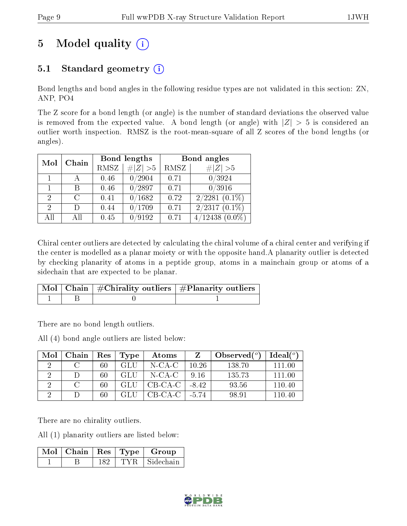# 5 Model quality  $(i)$

# 5.1 Standard geometry  $(i)$

Bond lengths and bond angles in the following residue types are not validated in this section: ZN, ANP, PO4

The Z score for a bond length (or angle) is the number of standard deviations the observed value is removed from the expected value. A bond length (or angle) with  $|Z| > 5$  is considered an outlier worth inspection. RMSZ is the root-mean-square of all Z scores of the bond lengths (or angles).

| Mol                         | Chain | Bond lengths |             | Bond angles |                     |
|-----------------------------|-------|--------------|-------------|-------------|---------------------|
|                             |       | RMSZ         | $\# Z  > 5$ | RMSZ        | # $ Z >5$           |
|                             |       | 0.46         | 0/2904      | 0.71        | 0/3924              |
|                             | В     | 0.46         | 0/2897      | 0.71        | 0/3916              |
| $\overline{2}$              | C     | 0.41         | 0/1682      | 0.72        | $2/2281$ $(0.1\%)$  |
| $\mathcal{D}_{\mathcal{A}}$ | D)    | 0.44         | 0/1709      | 0.71        | $2/2317(0.1\%)$     |
| All                         | All   | 0.45         | 0/9192      | 0.71        | $4/12438$ $(0.0\%)$ |

Chiral center outliers are detected by calculating the chiral volume of a chiral center and verifying if the center is modelled as a planar moiety or with the opposite hand.A planarity outlier is detected by checking planarity of atoms in a peptide group, atoms in a mainchain group or atoms of a sidechain that are expected to be planar.

|  | $\mid$ Mol $\mid$ Chain $\mid$ #Chirality outliers $\mid$ #Planarity outliers $\mid$ |
|--|--------------------------------------------------------------------------------------|
|  |                                                                                      |

There are no bond length outliers.

All (4) bond angle outliers are listed below:

| Mol | Chain | $\mathbf{Res}$ | Type | Atoms   |         | Observed $(°)$ | Ideal(°) |
|-----|-------|----------------|------|---------|---------|----------------|----------|
|     |       | 60             | GLU  | N-CA-C  | 10.26   | 138.70         | 111.00   |
|     |       | 60             | GLU  | N-CA-C  | 916     | 135.73         | 111.00   |
|     |       | 60             | GLU  | CB-CA-C | $-8.42$ | 93.56          | 110.40   |
|     |       | 60             | GLII | CB-CA-C | -5.74   | 98.91          | 110 40   |

There are no chirality outliers.

All (1) planarity outliers are listed below:

|  |     |       | Mol   Chain   Res   Type   Group |
|--|-----|-------|----------------------------------|
|  | 182 | TYR – | Sidechain                        |

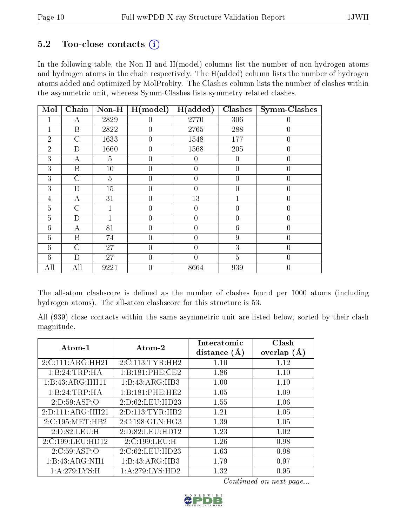## $5.2$  Too-close contacts  $(i)$

In the following table, the Non-H and H(model) columns list the number of non-hydrogen atoms and hydrogen atoms in the chain respectively. The H(added) column lists the number of hydrogen atoms added and optimized by MolProbity. The Clashes column lists the number of clashes within the asymmetric unit, whereas Symm-Clashes lists symmetry related clashes.

| Mol            | Chain              | $Non-H$        | H (model)        | H(added)       | Clashes        | <b>Symm-Clashes</b> |
|----------------|--------------------|----------------|------------------|----------------|----------------|---------------------|
|                | А                  | 2829           | $\left( \right)$ | 2770           | 306            | 0                   |
| 1              | B                  | 2822           | $\overline{0}$   | 2765           | 288            | $\boldsymbol{0}$    |
| $\overline{2}$ | C                  | 1633           | $\theta$         | 1548           | 177            | $\overline{0}$      |
| $\overline{2}$ | D                  | 1660           | $\overline{0}$   | 1568           | 205            | $\overline{0}$      |
| 3              | А                  | $\overline{5}$ | $\theta$         | $\theta$       | $\overline{0}$ | $\overline{0}$      |
| 3              | B                  | 10             | $\theta$         | $\theta$       | $\overline{0}$ | $\overline{0}$      |
| 3              | C                  | $\overline{5}$ | 0                | $\overline{0}$ | $\overline{0}$ | $\overline{0}$      |
| 3              | D                  | 15             | $\overline{0}$   | $\overline{0}$ | $\overline{0}$ | $\overline{0}$      |
| 4              | А                  | 31             | $\theta$         | 13             | 1              | $\overline{0}$      |
| $\overline{5}$ | $\overline{C}$     | 1              | $\theta$         | $\theta$       | $\overline{0}$ | $\overline{0}$      |
| $\overline{5}$ | D                  |                | $\theta$         | 0              | $\overline{0}$ | $\overline{0}$      |
| 6              | А                  | 81             | 0                | 0              | 6              | $\overline{0}$      |
| 6              | B                  | 74             | $\overline{0}$   | $\overline{0}$ | 9              | $\overline{0}$      |
| 6              | $\overline{\rm C}$ | 27             | $\theta$         | 0              | 3              | $\overline{0}$      |
| 6              | D                  | 27             | $\theta$         | $\theta$       | $\overline{5}$ | $\overline{0}$      |
| All            | All                | 9221           | 0                | 8664           | 939            | $\overline{0}$      |

The all-atom clashscore is defined as the number of clashes found per 1000 atoms (including hydrogen atoms). The all-atom clashscore for this structure is 53.

All (939) close contacts within the same asymmetric unit are listed below, sorted by their clash magnitude.

| Atom-1           | Atom-2                       | Interatomic<br>distance $(A)$ | Clash<br>overlap $(A)$ |
|------------------|------------------------------|-------------------------------|------------------------|
| 2:C:111:ARG:HH21 | 2:C:113:TYR:HB2              | 1.10                          | 1.12                   |
| 1:B:24:TRP:HA    | 1:B:181:PHE:CE2              | 1.86                          | 1.10                   |
| 1:B:43:ARG:HH11  | 1:B:43:ARG:HB3               | 1.00                          | 1.10                   |
| 1:B:24:TRP:HA    | 1:B:181:PHE:HE2              | 1.05                          | 1.09                   |
| 2:D:59:ASP:O     | 2:D:62:LEU:HD23              | 1.55                          | 1.06                   |
| 2:D:111:ARG:HH21 | 2:D:113:TYR:HB2              | 1.21                          | 1.05                   |
| 2:C:195:MET:HB2  | $2:C:198:GLN:H\overline{G3}$ | 1.39                          | 1.05                   |
| 2:D:82:LEU:H     | 2:D:82:LEU:HD12              | 1.23                          | 1.02                   |
| 2:C:199:LEU:HD12 | 2:C:199:LEU:H                | 1.26                          | 0.98                   |
| 2:C:59:ASP:O     | 2:C:62:LEU:HD23              | 1.63                          | 0.98                   |
| 1:B:43:ARG:NH1   | 1:B:43:ARG:HB3               | 1.79                          | 0.97                   |
| 1: A:279:LYS:H   | 1: A:279: LYS: HD2           | 1.32                          | 0.95                   |

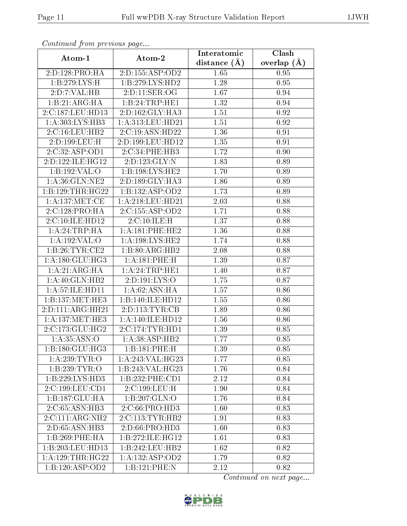| Continuea from previous page |                                    | Interatomic      | Clash         |
|------------------------------|------------------------------------|------------------|---------------|
| Atom-1                       | Atom-2                             | distance $(\AA)$ | overlap $(A)$ |
| 2:D:128:PRO:HA               | 2:D:155:ASP:OD2                    | 1.65             | 0.95          |
| 1:B:279:LYS:H                | 1:B:279:LYS:HD2                    | 1.28             | 0.95          |
| 2:D:7:VAL:HB                 | 2: D: 11: SER: OG                  | 1.67             | 0.94          |
| 1:B:21:ARG:HA                | 1:B:24:TRP:HE1                     | 1.32             | 0.94          |
| 2:C:187:LEU:HD13             | 2:D:162:GLY:HA3                    | 1.51             | $\rm 0.92$    |
| 1:A:303:LYS:HB3              | 1:A:313:LEU:HD21                   | 1.51             | 0.92          |
| $2:C:16:L\overline{EU:H}B2$  | 2:C:19:ASN:HD22                    | 1.36             | 0.91          |
| 2:D:199:LEU:H                | 2:D:199:LEU:HD12                   | 1.35             | 0.91          |
| $2:C:32:A$ SP:OD1            | $2:C:34:P\overline{\text{HE:HB3}}$ | 1.72             | 0.90          |
| 2:D:122:ILE:HG12             | 2:D:123:GLY:N                      | 1.83             | 0.89          |
| 1:B:192:VAL:O                | 1:B:198:LYS:HE2                    | 1.70             | 0.89          |
| 1: A:36: GLN: NE2            | 2:D:189:GLY:HA3                    | 1.86             | 0.89          |
| 1:B:129:THR:HG22             | 1:B:132:ASP:OD2                    | 1.73             | 0.89          |
| 1: A: 137: MET: CE           | 1:A:218:LEU:HD21                   | 2.03             | 0.88          |
| 2:C:128:PRO:HA               | 2:C:155:ASP:OD2                    | 1.71             | 0.88          |
| 2:C:10:ILE:HD12              | 2:C:10:ILE:H                       | 1.37             | 0.88          |
| 1:A:24:TRP:HA                | 1:A:181:PHE:HE2                    | 1.36             | 0.88          |
| 1:A:192:VAL:O                | 1: A: 198: LYS: HE2                | 1.74             | 0.88          |
| 1:B:26:TYR:CE2               | 1:B:80:ARG:HB2                     | 2.08             | 0.88          |
| 1: A:180: GLU:HG3            | 1:A:181:PHE:H                      | 1.39             | 0.87          |
| 1:A:21:ARG:HA                | 1:A:24:TRP:HE1                     | 1.40             | 0.87          |
| 1:A:40:GLN:HB2               | 2:D:191:LYS:O                      | 1.75             | 0.87          |
| 1:A:57:ILE:HD11              | 1: A:62: ASN: HA                   | 1.57             | 0.86          |
| 1:B:137:MET:HE3              | 1:B:140:ILE:HD12                   | 1.55             | 0.86          |
| 2:D:111:ARG:HH21             | 2:D:113:TYR:CB                     | 1.89             | 0.86          |
| 1: A:137: MET:HE3            | 1:A:140:ILE:HD12                   | 1.56             | 0.86          |
| 2:C:173:GLU:HG2              | 2:C:174:TYR:HD1                    | 1.39             | 0.85          |
| 1: A: 35: ASN: O             | 1: A:38: ASP:HB2                   | 1.77             | $\rm 0.85$    |
| $1:B:180:GL\overline{U:HG3}$ | 1:B:181:PHE:H                      | 1.39             | 0.85          |
| 1: A:239:TYR:O               | 1:A:243:VAL:HG23                   | 1.77             | 0.85          |
| 1:B:239:TYR:O                | 1:B:243:VAL:HG23                   | 1.76             | 0.84          |
| 1:B:229:LYS:HD3              | 1:B:232:PHE:CD1                    | 2.12             | 0.84          |
| 2:C:199:LEU:CD1              | 2:C:199:LEU:H                      | 1.90             | 0.84          |
| 1:B:187:GLU:HA               | 1:B:207:GLN:O                      | 1.76             | 0.84          |
| 2:C:65:ASN:HB3               | 2:C:66:PRO:HD3                     | 1.60             | 0.83          |
| 2:C:111:ARG:NH2              | 2:C:113:TYR:HB2                    | 1.91             | 0.83          |
| 2:D:65:ASN:HB3               | 2: D:66: PRO:HD3                   | 1.60             | 0.83          |
| 1:B:269:PHE:HA               | 1:B:272:ILE:HG12                   | 1.61             | 0.83          |
| 1:B:203:LEU:HD13             | 1:B:242:LEU:HB2                    | 1.62             | 0.82          |
| 1: A: 129: THR: HG22         | 1: A: 132: ASP: OD2                | 1.79             | 0.82          |
| 1:B:120:ASP:OD2              | 1:B:121:PHE:N                      | 2.12             | 0.82          |

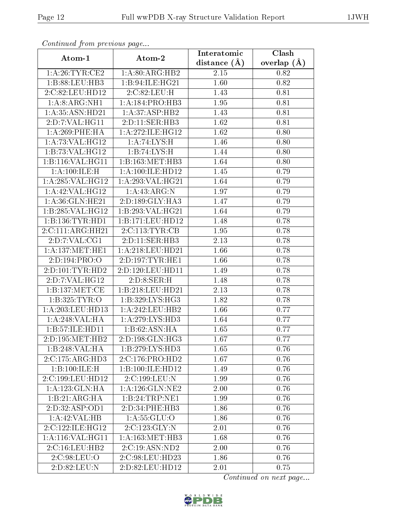| Commaca jibin previous page          |                              | Interatomic      | Clash         |
|--------------------------------------|------------------------------|------------------|---------------|
| Atom-1                               | Atom-2                       | distance $(\AA)$ | overlap $(A)$ |
| 1: A:26:TYR:CE2                      | 1: A:80: ARG: HB2            | 2.15             | 0.82          |
| 1:B:88:LEU:HB3                       | 1:B:94:ILE:HG21              | 1.60             | 0.82          |
| 2:C:82:LEU:HD12                      | 2:C:82:LEU:H                 | 1.43             | 0.81          |
| 1: A:8: ARG: NH1                     | 1: A:184: PRO:HB3            | 1.95             | 0.81          |
| 1:A:35:ASN:HD21                      | 1: A:37:ASP:HB2              | 1.43             | 0.81          |
| 2:D:7:VAL:HG11                       | 2:D:11:SER:HB3               | 1.62             | 0.81          |
| 1:A:269:PHE:HA                       | 1:A:272:ILE:HG12             | 1.62             | 0.80          |
| 1: A:73: VAL:HG12                    | 1: A:74: LYS:H               | 1.46             | 0.80          |
| 1:B:73:VAL:HG12                      | 1:B:74:LYS:H                 | 1.44             | 0.80          |
| 1:B:116:VAL:HG11                     | 1:B:163:MET:HB3              | 1.64             | 0.80          |
| 1: A:100:ILE:H                       | 1:A:100:ILE:HD12             | 1.45             | 0.79          |
| 1: A:285: VAL:HG12                   | 1:A:293:VAL:HG21             | 1.64             | 0.79          |
| 1:A:42:VAL:HG12                      | 1:A:43:ARG:N                 | 1.97             | 0.79          |
| 1: A:36: GLN: HE21                   | 2:D:189:GLY:HA3              | 1.47             | 0.79          |
| 1:B:285:VAL:HG12                     | 1:B:293:VAL:HG21             | 1.64             | 0.79          |
| 1:B:136:TYR:HDI                      | 1:B:171:EU:HD12              | 1.48             | 0.78          |
| 2:C:111:ARG:HH21                     | 2:C:113:TYR:CB               | 1.95             | 0.78          |
| 2:D:7:VAL:CG1                        | 2:D:11:SER:HB3               | 2.13             | 0.78          |
| 1: A: 137: MET: HE1                  | 1:A:218:LEU:HD21             | 1.66             | 0.78          |
| 2:D:194:PRO:O                        | 2:D:197:TYR:HE1              | 1.66             | 0.78          |
| 2: D: 101: TYR: HD2                  | 2:D:120:LEU:HD11             | 1.49             | 0.78          |
| 2:D:7:VAL:HG12                       | 2:D:8:SER:H                  | 1.48             | 0.78          |
| 1:B:137:MET:CE                       | 1:B:218:LEU:HD21             | 2.13             | 0.78          |
| 1:B:325:TYR:O                        | 1:B:329:LYS:HG3              | 1.82             | 0.78          |
| $1:\overline{A}:203:\text{LEU}:HD13$ | $1:$ A:242:LEU:HB2           | 1.66             | 0.77          |
| 1:A:248:VAL:HA                       | 1:A:279:LYS:HD3              | 1.64             | 0.77          |
| 1:B:57:ILE:HD11                      | 1:B:62:ASN:HA                | 1.65             | 0.77          |
| 2:D:195:MET:HB2                      | $2:D:198:GLN:\overline{HG3}$ | 1.67             | 0.77          |
| 1:B:248:VAL:HA                       | 1:B:279:LYS:HD3              | 1.65             | 0.76          |
| 2:C:175:ARG:HD3                      | 2:C:176:PRO:HD2              | 1.67             | 0.76          |
| 1:B:100:ILE:H                        | 1:B:100:ILE:HD12             | 1.49             | 0.76          |
| 2:C:199:LEU:HD12                     | 2:C:199:LEU:N                | 1.99             | 0.76          |
| 1: A: 123: GLN: HA                   | $1:$ A:126: $GLN:NE2$        | 2.00             | 0.76          |
| 1:B:21:ARG:HA                        | 1:B:24:TRP:NE1               | 1.99             | 0.76          |
| 2:D:32:ASP:OD1                       | 2: D: 34: PHE: HB3           | 1.86             | 0.76          |
| 1:A:42:VAL:HB                        | 1: A: 55: GLU:O              | 1.86             | 0.76          |
| 2:C:122:ILE:HG12                     | 2:C:123:GLY:N                | 2.01             | 0.76          |
| 1:A:116:VAL:HG11                     | 1: A: 163:MET:HB3            | 1.68             | 0.76          |
| 2:C:16:LEU:HB2                       | 2:C:19:ASN:ND2               | 2.00             | 0.76          |
| 2:C:98:LEU:O                         | 2:C:98:LEU:HD23              | 1.86             | 0.76          |
| 2:D:82:LEU:N                         | 2:D:82:LEU:HD12              | 2.01             | 0.75          |

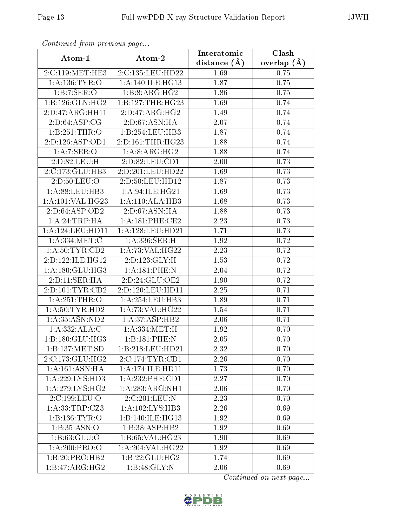|                    | Commaca jibin previous page |                               | $\overline{\text{Clash}}$ |
|--------------------|-----------------------------|-------------------------------|---------------------------|
| Atom-1             | Atom-2                      | Interatomic<br>distance $(A)$ | overlap $(A)$             |
| 2:C:119:MET:HE3    | 2:C:135:LEU:HD22            | 1.69                          | 0.75                      |
| 1:A:136:TYR:O      | 1:A:140:ILE:HG13            | 1.87                          | 0.75                      |
| 1:B:7:SER:O        | 1:B:8:ARG:HG2               | 1.86                          | 0.75                      |
| 1:B:126:GLN:HG2    | 1:B:127:THR:HG23            | 1.69                          | 0.74                      |
| 2:D:47:ARG:HH11    | 2:D:47:ARG:HG2              | 1.49                          | 0.74                      |
| 2: D:64: ASP:CG    | 2:D:67:ASN:HA               | 2.07                          | 0.74                      |
| 1:B:251:THR:O      | 1:B:254:LEU:HB3             | 1.87                          | 0.74                      |
| 2:D:126:ASP:OD1    | 2:D:161:THR:HG23            | 1.88                          | 0.74                      |
| 1: A:7: SER:O      | 1:A:8:ARG:HG2               | 1.88                          | 0.74                      |
| 2:D:82:LEU:H       | 2:D:82:LEU:CD1              | 2.00                          | 0.73                      |
| 2:C:173:GLU:HB3    | 2:D:201:LEU:HD22            | 1.69                          | 0.73                      |
| 2:D:50:LEU:O       | 2:D:50:LEU:HD12             | 1.87                          | 0.73                      |
| 1:A:88:LEU:HB3     | 1:A:94:ILE:HG21             | 1.69                          | 0.73                      |
| 1:A:101:VAL:HG23   | 1: A:110:ALA:HB3            | 1.68                          | 0.73                      |
| 2:D:64:ASP:OD2     | 2:D:67:ASN:HA               | 1.88                          | 0.73                      |
| 1:A:24:TRP:HA      | 1: A:181:PHE:CE2            | 2.23                          | 0.73                      |
| 1:A:124:LEU:HD11   | 1:A:128:LEU:HD21            | 1.71                          | 0.73                      |
| 1:A:334:MET:C      | 1:A:336:SER:H               | 1.92                          | 0.72                      |
| 1: A:50: TYR:CD2   | 1:A:73:VAL:HG22             | 2.23                          | 0.72                      |
| 2:D:122:ILE:HG12   | 2:D:123:GLY:H               | 1.53                          | 0.72                      |
| 1: A:180: GLU: HG3 | 1:A:181:PHE:N               | 2.04                          | 0.72                      |
| 2:D:11:SER:HA      | 2:D:24:GLU:OE2              | 1.90                          | 0.72                      |
| 2:D:101:TYR:CD2    | 2:D:120:LEU:HD11            | 2.25                          | 0.71                      |
| 1: A:251:THR:O     | 1: A: 254: LEU: HB3         | 1.89                          | 0.71                      |
| 1: A:50: TYR: HD2  | 1: A:73: VAL:HG22           | 1.54                          | 0.71                      |
| 1:A:35:ASN:ND2     | 1: A:37:ASP:HB2             | 2.06                          | 0.71                      |
| 1:A:332:ALA:C      | 1: A: 334: MET:H            | 1.92                          | 0.70                      |
| 1:B:180:GLU:HG3    | 1:B:181:PHE:N               | 2.05                          | 0.70                      |
| 1:B:137:MET:SD     | 1:B:218:LEU:HD21            | 2.32                          | 0.70                      |
| 2:C:173:CLU:HG2    | 2:C:174:TYR:CD1             | 2.26                          | 0.70                      |
| 1:A:161:ASN:HA     | 1:A:174:ILE:HD11            | 1.73                          | 0.70                      |
| 1:A:229:LYS:HD3    | 1: A: 232: PHE: CD1         | 2.27                          | 0.70                      |
| 1: A:279: LYS: HG2 | 1:A:283:ARG:NH1             | 2.06                          | 0.70                      |
| 2:C:199:LEU:O      | 2:C:201:LEU:N               | 2.23                          | 0.70                      |
| 1:A:33:TRP:CZ3     | 1: A:102:LYS:HB3            | 2.26                          | 0.69                      |
| 1: B: 136: TYR: O  | 1:B:140:ILE:HG13            | 1.92                          | 0.69                      |
| 1:B:35:ASN:O       | 1:B:38:ASP:HB2              | 1.92                          | 0.69                      |
| 1: B: 63: GLU: O   | 1:B:65:VAL:HG23             | 1.90                          | 0.69                      |
| 1:A:200:PRO:O      | 1:A:204:VAL:HG22            | 1.92                          | 0.69                      |
| 1:B:20:PRO:HB2     | 1:B:22:GLU:HG2              | 1.74                          | 0.69                      |
| 1:B:47:ARG:HG2     | 1:B:48:GLY:N                | 2.06                          | 0.69                      |

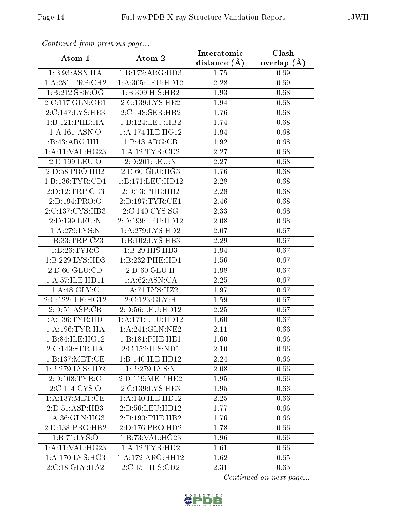|                                 | Continuatu from previous page |                   | Clash         |
|---------------------------------|-------------------------------|-------------------|---------------|
| Atom-1                          | Atom-2                        | distance $(\AA)$  | overlap $(A)$ |
| 1:B:93:ASN:HA                   | 1:B:172:ARG:HD3               | $1.75\,$          | 0.69          |
| 1: A:281:TRP:CH2                | 1:A:305:LEU:HD12              | 2.28              | 0.69          |
| 1:B:212:SER:OG                  | 1:B:309:HIS:HB2               | 1.93              | 0.68          |
| 2:C:117:GLN:OE1                 | 2:C:139:LYS:HE2               | 1.94              | 0.68          |
| 2:C:147:LYS:HE3                 | 2:C:148:SER:HB2               | 1.76              | 0.68          |
| 1:B:121:PHE:HA                  | 1:B:124:LEU:HB2               | 1.74              | 0.68          |
| $1:\overline{A:161:ASN:O}$      | 1: A:174: ILE: HG12           | 1.94              | 0.68          |
| 1:B:43:ARG:HH11                 | 1:B:43:ARG:CB                 | 1.92              | 0.68          |
| 1: A:11: VAL: HG23              | 1: A: 12: TYR: CD2            | $\overline{2.27}$ | 0.68          |
| 2:D:199:LEU:O                   | 2:D:201:LEU:N                 | 2.27              | 0.68          |
| 2:D:58:PRO:HB2                  | 2:D:60:GLU:HG3                | 1.76              | 0.68          |
| 1:B:136:TYR:CD1                 | 1:B:171:LEU:HD12              | 2.28              | 0.68          |
| 2:D:12:TRP:CE3                  | 2:D:13:PHE:HB2                | 2.28              | 0.68          |
| 2:D:194:PRO:O                   | 2:D:197:TYR:CE1               | 2.46              | 0.68          |
| 2:C:137:CYS:HB3                 | 2:C:140:CYS:SG                | 2.33              | 0.68          |
| 2:D:199:LEU:N                   | 2:D:199:LEU:HD12              | 2.08              | 0.68          |
| 1: A:279:LYS:N                  | 1: A:279: LYS: HD2            | 2.07              | 0.67          |
| 1: B: 33: TRP: CZ3              | 1:B:102:LYS:HB3               | 2.29              | 0.67          |
| 1: B:26: TYR:O                  | 1:B:29:HIS:HB3                | 1.94              | 0.67          |
| 1:B:229:LYS:HD3                 | 1:B:232:PHE:HD1               | 1.56              | 0.67          |
| 2: D:60: GLU:CD                 | 2: D:60: GLU: H               | 1.98              | 0.67          |
| 1:A:57:ILE:HD11                 | 1:A:62:ASN:CA                 | 2.25              | 0.67          |
| 1: A:48: GLY: C                 | 1:A:71:LYS:HZ2                | 1.97              | 0.67          |
| 2:C:122:ILE:HG12                | 2:C:123:GLY:H                 | 1.59              | 0.67          |
| 2:D:51:ASP:CB                   | 2:D:56:LEU:HD12               | 2.25              | 0.67          |
| 1: A: 136: TYR: HD1             | $1:A:171:L\overline{EU:HD12}$ | 1.60              | 0.67          |
| 1: A: 196: TYR: HA              | 1:A:241:GLN:NE2               | 2.11              | 0.66          |
| 1:B:84:ILE:HGI2                 | 1:B:181:PHE:HE1               | 1.60              | 0.66          |
| 2:C:149:SER:HA                  | 2:C:152:HIS:ND1               | 2.10              | 0.66          |
| 1:B:137:MET:CE                  | 1:B:140:ILE:HD12              | 2.24              | 0.66          |
| 1:B:279:LYS:HD2                 | 1:B:279:LYS:N                 | 2.08              | 0.66          |
| 2:D:108:TYR:O                   | 2:D:119:MET:HE2               | 1.95              | 0.66          |
| 2:C:114:CYS:O                   | 2:C:139:LYS:HE3               | 1.95              | 0.66          |
| 1: A: 137: MET: CE              | 1:A:140:ILE:HD12              | 2.25              | 0.66          |
| 2:D:51:ASP:HB3                  | 2:D:56:LEU:HD12               | 1.77              | 0.66          |
| 1: A:36: GLN: HG3               | 2:D:190:PHE:HB2               | 1.76              | 0.66          |
| 2:D:138:PRO:HB2                 | 2:D:176:PRO:HD2               | 1.78              | 0.66          |
| 1: B: 71: LYS: O                | 1:B:73:VAL:HG23               | 1.96              | 0.66          |
| 1: A:11: VAL: HG23              | 1:A:12:TYR:HD2                | 1.61              | 0.66          |
| $1: A:170: LYS: \overline{HG3}$ | 1:A:172:ARG:HH12              | 1.62              | 0.65          |
| 2:C:18:GLY:HA2                  | 2:C:151:HIS:CD2               | 2.31              | 0.65          |

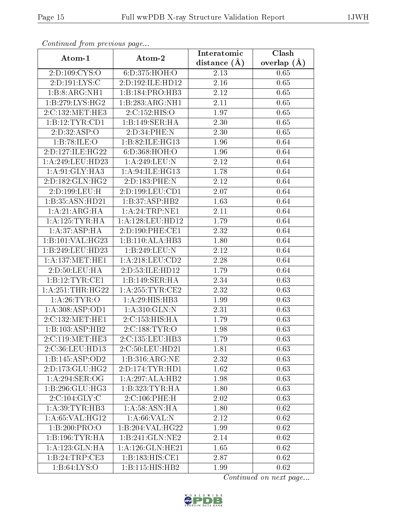| Communa from previous page |                     | Interatomic      | Clash           |
|----------------------------|---------------------|------------------|-----------------|
| Atom-1                     | Atom-2              | distance $(\AA)$ | overlap $(\AA)$ |
| 2:D:109:CYS:O              | 6: D: 375: HOH:O    | 2.13             | 0.65            |
| 2:D:191:LYS:C              | 2:D:192:ILE:HD12    | 2.16             | 0.65            |
| 1:B:8:ARG:NH1              | 1:B:184:PRO:HB3     | 2.12             | 0.65            |
| 1:B:279:LYS:HG2            | 1:B:283:ARG:NH1     | 2.11             | 0.65            |
| 2:C:132:MET:HE3            | 2:C:152:HIS:O       | 1.97             | 0.65            |
| 1:B:12:TYR:CD1             | 1:B:149:SER:HA      | 2.30             | 0.65            |
| 2:D:32:ASP:O               | 2:D:34:PHE:N        | 2.30             | 0.65            |
| 1:B:78:ILE:O               | 1:B:82:ILE:HG13     | 1.96             | 0.64            |
| 2:D:127:ILE:HG22           | 6:D:368:HOH:O       | 1.96             | 0.64            |
| 1:A:249:LEU:HD23           | 1:A:249:LEU:N       | 2.12             | 0.64            |
| 1: A:91: GLY: HA3          | 1:A:94:ILE:HG13     | 1.78             | 0.64            |
| 2:D:182:GLN:HG2            | 2:D:183:PHE:N       | 2.12             | 0.64            |
| 2:D:199:LEU:H              | 2:D:199:LEU:CD1     | 2.07             | 0.64            |
| 1:B:35:ASN:HD21            | 1:B:37:ASP:HB2      | 1.63             | 0.64            |
| 1:A:21:ARG:HA              | 1:A:24:TRP:NE1      | 2.11             | 0.64            |
| 1: A: 125: TYR: HA         | 1:A:128:LEU:HD12    | 1.79             | 0.64            |
| 1: A:37:ASP:HA             | 2:D:190:PHE:CE1     | 2.32             | 0.64            |
| 1:B:101:VAL:HG23           | 1:B:110:ALA:HB3     | 1.80             | 0.64            |
| 1:B:249:LEU:HD23           | 1:B:249:LEU:N       | 2.12             | 0.64            |
| 1: A: 137: MET: HE1        | 1: A:218:LEU:CD2    | 2.28             | 0.64            |
| 2:D:50:LEU:HA              | 2:D:53:ILE:HD12     | 1.79             | 0.64            |
| 1: B: 12: TYR: CE1         | 1:B:149:SER:HA      | 2.34             | 0.63            |
| 1: A:251:THR:HG22          | 1: A:255:TYR:CE2    | 2.32             | 0.63            |
| 1: A:26:TYR:O              | 1: A:29: HIS: HB3   | 1.99             | 0.63            |
| 1: A:308: ASP:OD1          | 1: A:310: GLN:N     | 2.31             | 0.63            |
| 2:C:132:MET:HE1            | 2:C:153:HIS:HA      | 1.79             | 0.63            |
| 1:B:103:ASP:HB2            | 2:C:188:TYR:O       | 1.98             | 0.63            |
| 2:C:119:MET:HE3            | 2:C:135:LEU:HB3     | 1.79             | 0.63            |
| 2:C:36:LEU:HD13            | 2:C:50:LEU:HD21     | 1.81             | 0.63            |
| 1:B:145:ASP:OD2            | 1:B:316:ARG:NE      | 2.32             | 0.63            |
| $2:D:173:$ GLU:HG2         | 2:D:174:TYR:HDI     | 1.62             | 0.63            |
| 1:A:294:SER:OG             | 1:A:297:ALA:HB2     | 1.98             | 0.63            |
| 1:B:296:GLU:HG3            | 1:B:323:TYR:HA      | 1.80             | 0.63            |
| 2:C:104:GLY:C              | 2:C:106:PHE:H       | 2.02             | 0.63            |
| 1: A:39: TYR: HB3          | 1: A:58: ASN: HA    | 1.80             | 0.62            |
| 1: A:65: VAL:HG12          | 1: A:66: VAL: N     | 2.12             | 0.62            |
| 1:B:200:PRO:O              | 1:B:204:VAL:HG22    | 1.99             | 0.62            |
| 1:B:196:TYR:HA             | 1:B:241:GLN:NE2     | 2.14             | 0.62            |
| 1: A: 123: GLN: HA         | 1: A:126: GLN: HE21 | 1.65             | 0.62            |
| 1:B:24:TRP:CE3             | 1:B:183:HIS:CE1     | 2.87             | 0.62            |
| 1: B:64: LYS:O             | 1:B:115:HIS:HB2     | 1.99             | 0.62            |

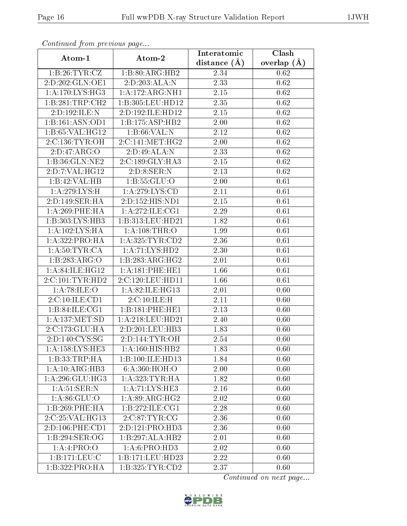| Communica from previous page         |                              | Interatomic      | Clash             |
|--------------------------------------|------------------------------|------------------|-------------------|
| Atom-1                               | Atom-2                       | distance $(\AA)$ | overlap $(A)$     |
| 1:B:26:TYR:CZ                        | 1:B:80:ARG:HB2               | 2.34             | 0.62              |
| 2:D:202:GLN:OE1                      | 2:D:203:ALA:N                | 2.33             | $\overline{0.62}$ |
| 1: A:170: LYS: HG3                   | 1:A:172:ARG:NH1              | 2.15             | 0.62              |
| 1:B:281:TRP:CH2                      | 1:B:305:LEU:HD12             | 2.35             | 0.62              |
| 2:D:192:II.E:N                       | 2:D:192:ILE:HD12             | 2.15             | 0.62              |
| 1:B:161:ASN:OD1                      | 1:B:175:ASP:HB2              | $2.00\,$         | 0.62              |
| 1: B:65:VAL:HG12                     | 1: B:66: VAL:N               | 2.12             | 0.62              |
| 2: C: 136: TYR: OH                   | 2:C:141:MET:HG2              | 2.00             | 0.62              |
| 2:D:47:ARG:O                         | 2:D:49:ALA:N                 | 2.33             | 0.62              |
| 1:B:36:GLN:NE2                       | 2:C:189:GLY:HA3              | 2.15             | 0.62              |
| 2:D:7:VAL:HG12                       | 2:D:8:SER:N                  | 2.13             | 0.62              |
| 1:B:42:VAL:HB                        | 1: B: 55: GLU:O              | 2.00             | 0.61              |
| 1: A:279: LYS:H                      | 1:A:279:LYS:CD               | 2.11             | 0.61              |
| 2:D:149:SER:HA                       | 2:D:152:HIS:ND1              | 2.15             | 0.61              |
| 1:A:269:PHE:HA                       | 1:A:272:ILE:CG1              | 2.29             | 0.61              |
| 1:B:303:LYS:HB3                      | 1:B:313:LEU:HD21             | 1.82             | 0.61              |
| 1:A:102:LYS:HA                       | 1: A:108:THR:O               | 1.99             | 0.61              |
| $1:\overline{A}:322:\text{PRO:H}\,A$ | 1: A: 325: TYR: CD2          | 2.36             | 0.61              |
| 1: A:50: TYR:CA                      | 1:A:71:LYS:HD2               | 2.30             | 0.61              |
| 1:B:283:ARG:O                        | 1:B:283:ARG:HG2              | 2.01             | 0.61              |
| 1:A:84:ILE:HG12                      | 1:A:181:PHE:HE1              | 1.66             | 0.61              |
| 2:C:101:TYR:HD2                      | 2:C:120:LEU:HD11             | 1.66             | 0.61              |
| 1: A:78: ILE: O                      | 1:A:82:ILE:HG13              | 2.01             | 0.60              |
| 2:C:10:ILE:CD1                       | 2:C:10:ILE:H                 | 2.11             | 0.60              |
| 1:B:84:ILE:CG1                       | 1:B:181:PHE:HE1              | 2.13             | 0.60              |
| 1: A: 137: MET: SD                   | 1:A:218:LEU:HD21             | 2.40             | 0.60              |
| 2:C:173:GLU:HA                       | 2:D:201:LEU:HB3              | 1.83             | 0.60              |
| $2:D:140:CYS: \overline{SG}$         | 2: D: 144: TYR: OH           | 2.54             | 0.60              |
| 1:A:158:LYS:HE3                      | $1:A:160:HI\overline{S:HB2}$ | 1.83             | 0.60              |
| 1:B:33:TRP:HA                        | 1:B:100:ILE:HD13             | 1.84             | 0.60              |
| 1:A:10:ARG:HB3                       | 6: A:360:HOH:O               | 2.00             | 0.60              |
| 1: A:296: GLU:HG3                    | 1: A:323: TYR: HA            | 1.82             | 0.60              |
| 1:A:51:SER:N                         | 1:A:71:LYS:HE3               | 2.16             | 0.60              |
| 1: A:86: GLU:O                       | 1: A:89: ARG: HG2            | 2.02             | 0.60              |
| 1:B:269:PHE:HA                       | 1:B:272:ILE:CG1              | 2.28             | 0.60              |
| 2:C:25:VAL:HG13                      | 2:C:87:TYR:CG                | 2.36             | 0.60              |
| 2:D:106:PHE:CD1                      | 2:D:121:PRO:HD3              | 2.36             | 0.60              |
| 1:B:294:SER:OG                       | 1:B:297:ALA:HB2              | 2.01             | 0.60              |
| 1:A:4:PRO:O                          | 1: A:6: PRO:HD3              | 2.02             | 0.60              |
| 1:B:171:EU:C                         | 1:B:171:LEU:HD23             | 2.22             | 0.60              |
| 1:B:322:PRO:HA                       | 1: B: 325: TYR: CD2          | 2.37             | 0.60              |

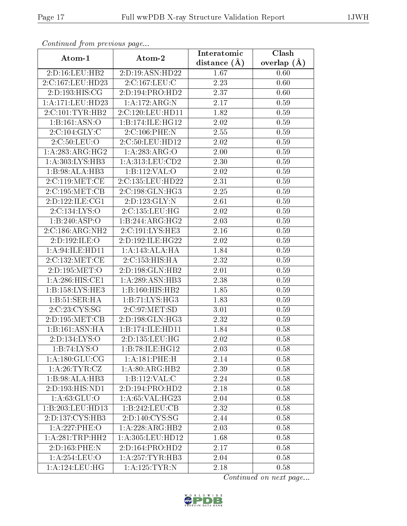| Commuca from previous page          |                     | Interatomic       | Clash         |
|-------------------------------------|---------------------|-------------------|---------------|
| Atom-1                              | Atom-2              | distance $(A)$    | overlap $(A)$ |
| 2:D:16:LEU:HB2                      | 2:D:19:ASN:HD22     | 1.67              | 0.60          |
| 2:C:167:LEU:HD23                    | 2:C:167:LEU:C       | 2.23              | 0.60          |
| 2:D:193:HIS:CG                      | 2:D:194:PRO:HD2     | 2.37              | 0.60          |
| 1:A:171:LEU:HD23                    | 1:A:172:ARG:N       | 2.17              | 0.59          |
| 2:C:101:TYR:HB2                     | 2:C:120:LEU:HD11    | 1.82              | 0.59          |
| 1:B:161:ASN:O                       | 1:B:174:ILE:HG12    | 2.02              | 0.59          |
| $2:C:104:\overline{\mathrm{GLY:C}}$ | 2:C:106:PHE:N       | 2.55              | 0.59          |
| 2:C:50:LEU:O                        | 2:C:50:LEU:HD12     | 2.02              | 0.59          |
| 1: A:283:ARG:HG2                    | 1:A:283:ARG:O       | $2.00\,$          | 0.59          |
| 1:A:303:LYS:HB3                     | 1: A: 313: LEU: CD2 | 2.30              | 0.59          |
| 1:B:98:ALA:HB3                      | 1:B:112:VAL:O       | 2.02              | 0.59          |
| 2:C:119:MET:CE                      | 2:C:135:LEU:HD22    | $\overline{2.31}$ | 0.59          |
| 2:C:195:MET:CB                      | 2:C:198:GLN:HG3     | 2.25              | 0.59          |
| 2:D:122:ILE:CG1                     | 2:D:123:GLY:N       | 2.61              | 0.59          |
| 2:C:134:LYS:O                       | 2:C:135:LEU:HG      | 2.02              | 0.59          |
| 1:B:240:ASP:O                       | 1:B:244:ARG:HG2     | 2.03              | 0.59          |
| 2:C:186:ARG:NH2                     | 2:C:191:LYS:HE3     | $\overline{2.16}$ | 0.59          |
| 2:D:192:ILE:O                       | 2:D:192:ILE:HG22    | 2.02              | 0.59          |
| 1:A:94:ILE:HD11                     | 1:A:143:ALA:HA      | 1.84              | 0.59          |
| 2:C:132:MET:CE                      | 2:C:153:HIS:HA      | 2.32              | 0.59          |
| 2:D:195:MET:O                       | 2:D:198:GLN:HB2     | $\overline{2.0}1$ | 0.59          |
| 1:A:286:HIS:CE1                     | 1:A:289:ASN:HB3     | 2.38              | 0.59          |
| 1:B:158:LYS:HE3                     | 1:B:160:HIS:HB2     | $\overline{1}.85$ | 0.59          |
| 1:B:51:SER:HA                       | 1:B:71:LYS:HG3      | 1.83              | 0.59          |
| 2:C:23:CYS:SG                       | 2: C:97: MET:SD     | 3.01              | 0.59          |
| 2:D:195:MET:CB                      | 2:D:198:GLN:HG3     | 2.32              | 0.59          |
| 1:B:161:ASN:HA                      | 1:B:174:ILE:HD11    | 1.84              | 0.58          |
| 2:D:134:LYS:O                       | 2:D:135:LEU:HG      | 2.02              | 0.58          |
| 1:B:74:LYS:O                        | 1:B:78:ILE:HG12     | 2.03              | 0.58          |
| 1: A: 180: GLU: CG                  | 1: A:181:PHE: H     | 2.14              | 0.58          |
| 1: A:26:TYR:CZ                      | 1: A:80: ARG:HB2    | 2.39              | 0.58          |
| 1:B:98:ALA:HB3                      | 1:B:112:VAL:CD      | 2.24              | 0.58          |
| 2:D:193:HIS:ND1                     | 2:D:194:PRO:HD2     | 2.18              | 0.58          |
| 1: A:63: GLU:O                      | 1:A:65:VAL:HG23     | 2.04              | 0.58          |
| 1:B:203:LEU:HD13                    | 1:B:242:LEU:CB      | 2.32              | 0.58          |
| 2: D: 137: CYS: HB3                 | 2:D:140:CYS:SG      | 2.44              | 0.58          |
| 1:A:227:PHE:O                       | 1:A:228:ARG:HB2     | 2.03              | 0.58          |
| 1: A:281:TRP:HH2                    | 1:A:305:LEU:HD12    | 1.68              | 0.58          |
| 2:D:163:PHE:N                       | 2:D:164:PRO:HD2     | 2.17              | 0.58          |
| 1:A:254:LEU:O                       | 1: A:257:TYR:HB3    | 2.04              | 0.58          |
| 1: A:124:LEU:HG                     | 1:A:125:TYR:N       | 2.18              | 0.58          |

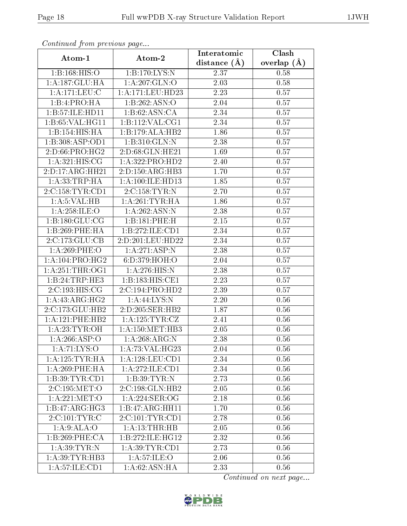| Commaca jibin previous page         |                                               | Interatomic       | Clash         |
|-------------------------------------|-----------------------------------------------|-------------------|---------------|
| Atom-1                              | Atom-2                                        | distance $(A)$    | overlap $(A)$ |
| 1: B: 168: HIS: O                   | 1:B:170:LYS:N                                 | 2.37              | 0.58          |
| 1:A:187:GLU:HA                      | 1:A:207:GLN:O                                 | 2.03              | 0.58          |
| 1: A:171: LEU: C                    | 1:A:171:LEU:HD23                              | 2.23              | 0.57          |
| 1:B:4:PRO:HA                        | $1:B:262:A\overline{SN:O}$                    | 2.04              | 0.57          |
| 1:B:57:ILE:HDI1                     | 1:B:62:ASN:CA                                 | $\overline{2}.34$ | 0.57          |
| 1:B:65:VAL:HG11                     | 1: B: 112: VAL: CG1                           | 2.34              | 0.57          |
| 1:B:154:HIS:HA                      | 1:B:179:ALA:HB2                               | 1.86              | 0.57          |
| 1:B:308:ASP:OD1                     | $1:B:310:GLN:\overline{N}$                    | 2.38              | 0.57          |
| 2:D:66:PRO:HG2                      | 2:D:68:GLN:HE21                               | 1.69              | 0.57          |
| 1: A:321: HIS: CG                   | 1:A:322:PRO:HD2                               | 2.40              | 0.57          |
| 2:D:17:ARG:HH21                     | 2:D:150:ARG:HB3                               | 1.70              | 0.57          |
| 1: A: 33: TRP: HA                   | 1:A:100:ILE:HD13                              | 1.85              | 0.57          |
| 2:C:158:TYR:CD1                     | 2:C:158:TYR:N                                 | 2.70              | 0.57          |
| 1: A:5: VAL:HB                      | 1: A:261:TYR:HA                               | 1.86              | 0.57          |
| 1:A:258:ILE:O                       | 1:A:262:ASN:N                                 | 2.38              | 0.57          |
| 1: B: 180: GLU: CG                  | 1:B:181:PHE:H                                 | 2.15              | 0.57          |
| 1:B:269:PHE:HA                      | 1:B:272:ILE:CD1                               | 2.34              | 0.57          |
| 2:C:173:GLU:CB                      | 2:D:201:LEU:HD22                              | 2.34              | 0.57          |
| 1:A:269:PHE:O                       | 1: A:271: ASP: N                              | 2.38              | 0.57          |
| 1: A:104:PRO:HG2                    | 6: D: 379: HOH:O                              | 2.04              | 0.57          |
| 1: A:251:THR:OG1                    | 1: A:276:HIS:N                                | 2.38              | 0.57          |
| 1:B:24:TRP:HE3                      | 1:B:183:HIS:CE1                               | 2.23              | 0.57          |
| 2:C:193:HIS:CG                      | 2:C:194:PRO:HD2                               | 2.39              | 0.57          |
| 1:A:43:ARG:HG2                      | 1: A:44: LYS:N                                | 2.20              | 0.56          |
| 2:C:173:GLU:HB2                     | 2:D:205:SER:HB2                               | 1.87              | 0.56          |
| 1:A:121:PHE:HB2                     | $1: A: 125: \overline{\text{TYR}: \text{CZ}}$ | 2.41              | 0.56          |
| 1: A:23:TYR:OH                      | 1: A:150:MET:HB3                              | 2.05              | 0.56          |
| 1: A:266:ASP:O                      | 1:A:268:ARG:N                                 | $\overline{2}.38$ | 0.56          |
| 1:A:71:LYS:O                        | 1:A:73:VAL:HG23                               | 2.04              | 0.56          |
| 1: A:125:TYR:HA                     | 1:A:128:LEU:CD1                               | 2.34              | 0.56          |
| $1: A:269:$ PHE:HA                  | 1: A:272: ILE: CD1                            | 2.34              | 0.56          |
| 1: B:39: TYR: CD1                   | 1:B:39:TYR:N                                  | 2.73              | 0.56          |
| $2:C:195:\overline{\mathrm{MET:O}}$ | 2:C:198:GLN:HB2                               | 2.05              | 0.56          |
| 1:A:221:MET:O                       | 1:A:224:SER:OG                                | 2.18              | 0.56          |
| 1:B:47:ARG:HG3                      | 1:B:47:ARG:HH11                               | 1.70              | 0.56          |
| $2:\overline{C:101:TYR:C}$          | 2:C:101:TYR:CD1                               | 2.78              | 0.56          |
| 1: A:9: ALA:O                       | 1: A:13:THR:HB                                | 2.05              | 0.56          |
| 1:B:269:PHE:CA                      | 1:B:272:ILE:HG12                              | 2.32              | 0.56          |
| 1: A:39:TYR:N                       | 1: A:39:TYR:CD1                               | 2.73              | 0.56          |
| 1: A:39: TYR: HB3                   | 1: A:57: ILE: O                               | 2.06              | 0.56          |
| 1: A:57:ILE:CD1                     | 1:A:62:ASN:HA                                 | 2.33              | 0.56          |

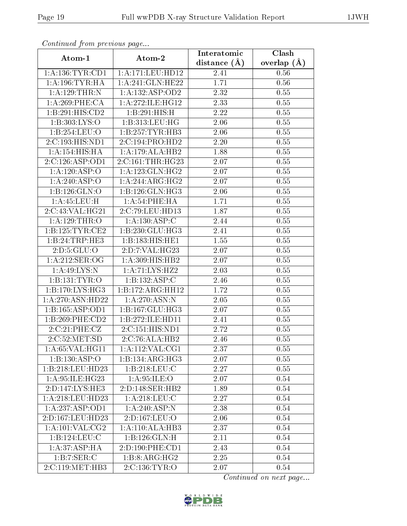| Communa from previous page            |                            | Interatomic       | Clash             |
|---------------------------------------|----------------------------|-------------------|-------------------|
| Atom-1                                | Atom-2                     | distance $(\AA)$  | overlap $(\AA)$   |
| 1: A: 136: TYR: CD1                   | 1:A:171:LEU:HD12           | 2.41              | 0.56              |
| 1: A:196:TYR:HA                       | 1:A:241:GLN:HE22           | 1.71              | 0.56              |
| 1:A:129:THR:N                         | 1:A:132:ASP:OD2            | 2.32              | 0.55              |
| 1:A:269:PHE:CA                        | 1: A:272: ILE: HG12        | 2.33              | 0.55              |
| 1:B:291:HIS:CD2                       | 1:B:291:HIS:H              | 2.22              | 0.55              |
| 1:B:303:LYS:O                         | 1:B:313:LEU:HG             | 2.06              | 0.55              |
| 1:B:254:LEU:O                         | 1:B:257:TYR:HB3            | 2.06              | 0.55              |
| 2:C:193:HIS:ND1                       | 2:C:194:PRO:HD2            | 2.20              | 0.55              |
| 1:A:154:HIS:HA                        | 1:A:179:ALA:HB2            | 1.88              | 0.55              |
| 2:C:126:ASP:OD1                       | 2:C:161:THR:HG23           | 2.07              | 0.55              |
| 1:A:120:ASP:O                         | 1: A: 123: GLN: HG2        | 2.07              | 0.55              |
| 1:A:240:ASP:O                         | 1:A:244:ARG:HG2            | 2.07              | 0.55              |
| 1:B:126:GLN:O                         | 1:B:126:GLN:HG3            | $2.06\,$          | 0.55              |
| 1: A:45:LEU:H                         | 1:A:54:PHE:HA              | 1.71              | 0.55              |
| 2:C:43:VAL:HG21                       | 2:C:79:LEU:HD13            | 1.87              | 0.55              |
| 1:A:129:THR:O                         | 1:A:130:ASP:C              | 2.44              | 0.55              |
| 1: B: 125: TYR: CE2                   | 1:B:230:GLU:HG3            | 2.41              | 0.55              |
| 1:B:24:TRP:HE3                        | 1:B:183:HIS:HE1            | 1.55              | 0.55              |
| 2:D:5:GLU:O                           | 2:D:7:VAL:HG23             | 2.07              | 0.55              |
| 1: A:212: SER:OG                      | 1: A:309: HIS: HB2         | 2.07              | 0.55              |
| 1:A:49:LYS:N                          | 1:A:71:LYS:HZ2             | $\overline{2}.03$ | 0.55              |
| 1:B:131:TYR:O                         | 1:B:132:ASP:C              | 2.46              | 0.55              |
| 1:B:170:LYS:HG3                       | 1:B:172:ARG:HH12           | 1.72              | 0.55              |
| 1:A:270:ASN:HD22                      | 1:A:270:ASN:N              | 2.05              | 0.55              |
| 1:B:165:ASP:OD1                       | 1:B:167:GLU:HG3            | 2.07              | 0.55              |
| 1:B:269:PHE:CD2                       | 1:B:272:ILE:HD11           | 2.41              | 0.55              |
| 2:C:21:PHE:CZ                         | 2:C:151:HIS:ND1            | 2.72              | 0.55              |
| 2:C:52:MET:SD                         | 2:C:76:ALA:HB2             | 2.46              | 0.55              |
| 1: A:65: VAL:HGI1                     | 1:A:112:VAL:CG1            | 2.37              | 0.55              |
| 1:B:130:ASP:O                         | 1:B:134:ARG:HG3            | 2.07              | 0.55              |
| 1:B:218:LEU:HD23                      | 1:B:218:LEU:C              | 2.27              | 0.55              |
| 1:A:95:ILE:HG23                       | 1: A:95: ILE: O            | 2.07              | 0.54              |
| 2:D:147:LYS:HE3                       | 2:D:148:SER:HB2            | 1.89              | 0.54              |
| 1: A:218:LEU:HD23                     | 1: A:218: LEU: C           | 2.27              | $0.54\,$          |
| 1: A: 237: ASP: OD1                   | $1:A:240:ASP:\overline{N}$ | 2.38              | 0.54              |
| 2:D:167:LEU:HD23                      | 2:D:167:LEU:O              | 2.06              | 0.54              |
| 1: A: 101: VAL: CG2                   | 1:A:110:ALA:HB3            | 2.37              | 0.54              |
| 1:B:124:LEU:C                         | 1:B:126:GLN:H              | 2.11              | $0.\overline{54}$ |
| 1: A:37:ASP:HA                        | 2:D:190:PHE:CD1            | 2.43              | 0.54              |
| 1:B:7:SER:C                           | 1:B:8:ARG:HG2              | 2.25              | 0.54              |
| $2:C:119:\overline{\mathrm{MET:HB3}}$ | 2:C:136:TYR:O              | 2.07              | 0.54              |

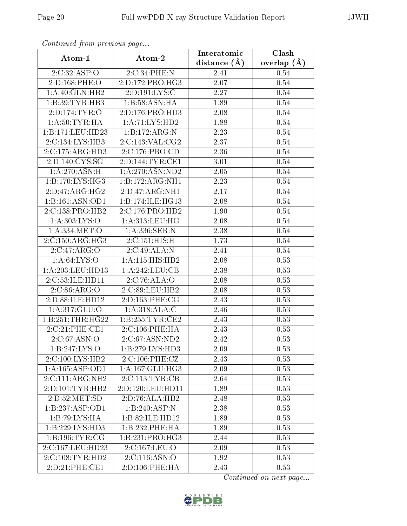| Communica from precious page |                                    | Interatomic       | Clash           |
|------------------------------|------------------------------------|-------------------|-----------------|
| Atom-1                       | Atom-2                             | distance $(A)$    | overlap $(\AA)$ |
| 2:C:32:ASP:O                 | 2:C:34:PHE:N                       | 2.41              | 0.54            |
| 2:D:168:PHE:O                | 2:D:172:PRO:HG3                    | $\overline{2.07}$ | 0.54            |
| 1:A:40:GLN:HB2               | 2:D:191:LYS:C                      | 2.27              | 0.54            |
| 1:B:39:TYR:HB3               | 1:B:58:ASN:HA                      | 1.89              | 0.54            |
| 2:D:174:TYR:O                | 2:D:176:PRO:HD3                    | 2.08              | 0.54            |
| 1: A:50:TYR:HA               | 1:A:71:LYS:HD2                     | 1.88              | 0.54            |
| 1:B:171:LEU:HD23             | 1:B:172:ARG:N                      | 2.23              | 0.54            |
| 2:C:134:LYS:HB3              | 2:C:143:VAL:CG2                    | 2.37              | 0.54            |
| 2:C:175:ARG:HD3              | 2:C:176:PRO:CD                     | 2.36              | 0.54            |
| 2:D:140:CYS:SG               | 2:D:144:TYR:CE1                    | 3.01              | $0.54\,$        |
| 1:A:270:ASN:H                | 1: A:270: ASN:ND2                  | 2.05              | 0.54            |
| 1:B:170:LYS:HG3              | 1:B:172:ARG:NH1                    | 2.23              | $0.54\,$        |
| 2:D:47:ARG:HG2               | 2:D:47:ARG:NH1                     | 2.17              | 0.54            |
| 1:B:161:ASN:OD1              | 1:B:174:ILE:HG13                   | 2.08              | 0.54            |
| 2:C:138:PRO:HB2              | 2:C:176:PRO:HD2                    | 1.90              | 0.54            |
| 1: A: 303: LYS: O            | 1: A:313:LEU:HG                    | 2.08              | 0.54            |
| 1:A:334:MET:O                | 1:A:336:SER:N                      | 2.38              | 0.54            |
| 2:C:150:ARG:HG3              | 2:C:151:HIS:H                      | 1.73              | 0.54            |
| 2:C:47:ARG:O                 | 2:C:49:ALA:N                       | $\overline{2}.41$ | 0.54            |
| 1: A:64:LYS:O                | 1: A:115: HIS: HB2                 | $2.08\,$          | 0.53            |
| 1:A:203:LEU:HD13             | $1:A:242:\overline{\text{LEU:CB}}$ | 2.38              | 0.53            |
| 2:C:53:ILE:HD11              | 2:C:76:ALA:O                       | 2.08              | 0.53            |
| 2:C:86:ARG:O                 | 2:C:89:LEU:HB2                     | 2.08              | 0.53            |
| 2:D:88:ILE:HD12              | 2:D:163:PHE:CG                     | 2.43              | 0.53            |
| 1:A:317:GLU:O                | 1:A:318:ALA:C                      | 2.46              | 0.53            |
| 1:B:251:THR:HG22             | 1:B:255:TYR:CE2                    | 2.43              | 0.53            |
| 2:C:21:PHE:CE1               | 2:C:106:PHE:HA                     | 2.43              | 0.53            |
| 2:C:67:ASN:O                 | 2:C:67:ASN:ND2                     | 2.42              | 0.53            |
| 1:B:247:LYS:O                | 1: B: 279: LYS: HD3                | 2.09              | 0.53            |
| 2:C:100:LYS:HB2              | 2:C:106:PHE:CZ                     | 2.43              | 0.53            |
| 1:A:165:ASP:OD1              | 1: A: 167: GLU: HG3                | 2.09              | 0.53            |
| 2:C:111:ARG:NH2              | 2:C:113:TYR:CB                     | 2.64              | 0.53            |
| 2:D:101:TYR:HB2              | 2:D:120:LEU:HD11                   | 1.89              | 0.53            |
| 2:D:52:MET:SD                | 2:D:76:ALA:HB2                     | 2.48              | 0.53            |
| 1:B:237:ASP:OD1              | 1:B:240:ASP:N                      | 2.38              | 0.53            |
| 1:B:79:LYS:HA                | 1:B:82:ILE:HD12                    | 1.89              | 0.53            |
| 1:B:229:LYS:HD3              | 1:B:232:PHE:HA                     | 1.89              | 0.53            |
| 1: B: 196: TYR: CG           | 1:B:231:PRO:HG3                    | 2.44              | 0.53            |
| 2:C:167:LEU:HD23             | 2:C:167:LEU:O                      | 2.09              | 0.53            |
| 2:C:108:TYR:HD2              | 2:C:116:ASN:O                      | 1.92              | 0.53            |
| 2:D:21:PHE:CE1               | 2: D: 106: PHE: HA                 | 2.43              | 0.53            |

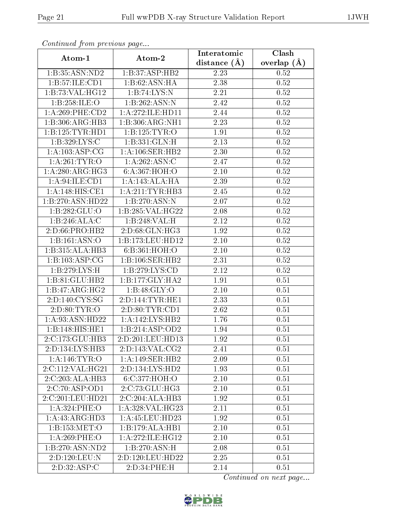| Continuea from previous page |                                        | Interatomic       | Clash             |
|------------------------------|----------------------------------------|-------------------|-------------------|
| Atom-1                       | Atom-2                                 | distance $(\AA)$  | overlap $(A)$     |
| 1:B:35:ASN:ND2               | 1:B:37:ASP:HB2                         | 2.23              | 0.52              |
| 1:B:57:ILE:CD1               | 1:B:62:ASN:HA                          | 2.38              | $\overline{0.52}$ |
| 1:B:73:VAL:HG12              | 1:B:74:LYS:N                           | 2.21              | 0.52              |
| 1:B:258:ILE:O                | 1:B:262:ASN:N                          | 2.42              | 0.52              |
| $1: A:269:$ PHE: $CD2$       | 1: A:272: ILE: HD11                    | 2.44              | 0.52              |
| 1:B:306:ARG:HB3              | 1:B:306:ARG:NH1                        | 2.23              | 0.52              |
| 1:B:125:TYR:HDI              | 1:B:125:TYR:O                          | 1.91              | 0.52              |
| 1:B:329:LYS:C                | 1:B:331:GLN:H                          | 2.13              | 0.52              |
| 1: A:103: ASP:CG             | 1: A:106: SER: HB2                     | $\overline{2}.30$ | 0.52              |
| 1: A:261:TYR:O               | 1:A:262:ASN:C                          | 2.47              | 0.52              |
| 1: A:280:ARG:HG3             | 6: A: 367: HOH:O                       | 2.10              | 0.52              |
| 1:A:94:ILE:CD1               | 1: A:143:ALA:HA                        | 2.39              | 0.52              |
| 1:A:148:HIS:CE1              | 1: A:211:TYR:HB3                       | 2.45              | 0.52              |
| 1:B:270:ASN:HD22             | 1:B:270:ASN:N                          | 2.07              | 0.52              |
| 1:B:282:GLU:O                | 1:B:285:VAL:HG22                       | 2.08              | $0.52\,$          |
| 1:B:246:ALA:C                | 1:B:248:VAL:H                          | 2.12              | 0.52              |
| $2:D:66:P\overline{RO:H}B2$  | 2:D:68:GLN:HG3                         | 1.92              | 0.52              |
| 1:B:161:ASN:O                | 1:B:173:LEU:HD12                       | $2.10\,$          | $0.52\,$          |
| 1:B:315:ALA:HB3              | 6:B:361:HOH:O                          | $2.10\,$          | $0.52\,$          |
| 1:B:103:ASP:CG               | 1:B:106:SER:HB2                        | 2.31              | 0.52              |
| 1:B:279:LYS:H                | 1: B: 279: LYS: CD                     | 2.12              | 0.52              |
| 1:B:81:GLU:HB2               | 1: B: 177: GLY: HA2                    | 1.91              | 0.51              |
| 1:B:47:ARG:HG2               | 1:B:48:GLY:O                           | $2.10\,$          | 0.51              |
| 2:D:140:CYS:SG               | 2:D:144:TYR:HE1                        | 2.33              | 0.51              |
| 2: D:80: TYR:O               | 2:D:80:TYR:CD1                         | 2.62              | 0.51              |
| 1:A:93:ASN:HD22              | 1:A:142:LYS:HB2                        | 1.76              | 0.51              |
| 1:B:148:HIS:HE1              | 1:B:214:ASP:OD2                        | 1.94              | 0.51              |
| 2:C:173:GLU:HB3              | 2:D:201:LEU:HD13                       | 1.92              | 0.51              |
| 2:D:134:LYS:HB3              | 2:D:143:VAL:CG2                        | 2.41              | 0.51              |
| 1: A:146: TYR: O             | 1:A:149:SER:HB2                        | 2.09              | 0.51              |
| 2:C:112:VAL:HG21             | 2:D:134:LYS:HD2                        | 1.93              | 0.51              |
| 2:C:203:ALA:HB3              | 6:C:377:HOH:O                          | 2.10              | 0.51              |
| 2:C:70:ASP:OD1               | $2:C:73:GLU:\overline{H}\overline{G3}$ | 2.10              | 0.51              |
| 2:C:201:LEU:HD21             | 2:C:204:ALA:HB3                        | 1.92              | 0.51              |
| 1:A:324:PHE:O                | 1: A:328: VAL:HG23                     | 2.11              | 0.51              |
| 1:A:43:ARG:HD3               | 1:A:45:LEU:HD23                        | 1.92              | 0.51              |
| 1:B:153:MET:O                | 1:B:179:ALA:HB1                        | 2.10              | 0.51              |
| 1:A:269:PHE:O                | 1:A:272:ILE:HG12                       | $2.10\,$          | 0.51              |
| 1:B:270:ASN:ND2              | 1:B:270:ASN:H                          | 2.08              | 0.51              |
| 2:D:120:LEU:N                | 2:D:120:LEU:HD22                       | 2.25              | 0.51              |
| 2:D:32:ASP:C                 | 2:D:34:PHE:H                           | 2.14              | 0.51              |

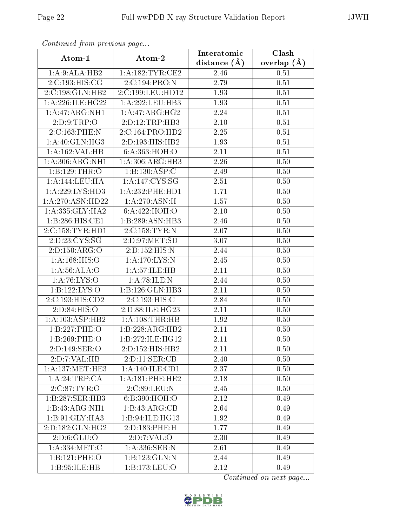| Continuea from previous page |                              | Interatomic       | Clash         |
|------------------------------|------------------------------|-------------------|---------------|
| Atom-1                       | Atom-2                       | distance $(A)$    | overlap $(A)$ |
| 1:A:9:ALA:HB2                | 1: A: 182: TYR: CE2          | 2.46              | 0.51          |
| 2:C:193:HIS:CG               | 2:C:194:PRO:N                | 2.79              | 0.51          |
| 2:C:198:GLN:HB2              | 2:C:199:LEU:HD12             | 1.93              | 0.51          |
| 1: A:226: ILE:HG22           | 1:A:292:LEU:HB3              | 1.93              | 0.51          |
| 1:A:47:ARG:NH1               | 1:A:47:ARG:HG2               | 2.24              | 0.51          |
| 2: D: 9: TRP:O               | 2:D:12:TRP:HB3               | $2.10\,$          | 0.51          |
| 2:C:163:PHE:N                | $2:C:164:P\overline{RO:HD2}$ | 2.25              | 0.51          |
| 1: A:40: GLN: HG3            | 2:D:193:HIS:HB2              | 1.93              | 0.51          |
| 1:A:162:VAL:HB               | 6: A: 363: HOH:O             | 2.11              | 0.51          |
| 1: A:306: ARG: NH1           | 1: A:306:ARG:HB3             | 2.26              | 0.50          |
| 1:B:129:THR:O                | 1:B:130:ASP:C                | 2.49              | 0.50          |
| 1:A:144:LEU:HA               | 1: A:147: CYS:SG             | 2.51              | 0.50          |
| 1:A:229:LYS:HD3              | 1:A:232:PHE:HD1              | 1.71              | 0.50          |
| 1:A:270:ASN:HD22             | 1:A:270:ASN:H                | 1.57              | 0.50          |
| 1: A: 335: GLY: HA2          | 6:A:422:HOH:O                | 2.10              | 0.50          |
| 1:B:286:HIS:CE1              | 1:B:289:ASN:HB3              | 2.46              | 0.50          |
| 2:C:158:TYR:HD1              | 2:C:158:TYR:N                | $\overline{2.07}$ | 0.50          |
| 2:D:23:CYS:SG                | 2:D:97:MET:SD                | 3.07              | 0.50          |
| 2:D:150:ARG:O                | 2:D:152:HIS:N                | 2.44              | 0.50          |
| 1:A:168:HIS:O                | 1: A:170: LYS:N              | 2.45              | 0.50          |
| 1:A:56:ALA:O                 | 1: A: 57: ILE: HB            | 2.11              | 0.50          |
| 1: A:76:LYS:O                | 1:A:78:ILE:N                 | 2.44              | 0.50          |
| 1:B:122:LYS:O                | 1:B:126:GLN:HB3              | 2.11              | 0.50          |
| 2:C:193:HIS:CD2              | 2:C:193:HIS:C                | 2.84              | 0.50          |
| 2:D:84:HIS:O                 | 2:D:88:ILE:HG23              | 2.11              | 0.50          |
| 1: A:103: ASP:HB2            | 1: A:108:THR:HB              | 1.92              | 0.50          |
| 1:B:227:PHE:O                | 1:B:228:ARG:HB2              | 2.11              | 0.50          |
| 1:B:269:PHE:O                | 1:B:272:ILE:HG12             | 2.11              | 0.50          |
| 2:D:149:SER:O                | 2:D:152:HIS:HB2              | 2.11              | 0.50          |
| 2:D:7:VAL:HB                 | 2:D:11:SER:CB                | 2.40              | 0.50          |
| 1: A: 137: MET: HE3          | 1: A:140: ILE: CD1           | 2.37              | 0.50          |
| 1:A:24:TRP:CA                | 1:A:181:PHE:HE2              | 2.18              | 0.50          |
| 2:C:87:TYR:O                 | 2:C:89:LEU:N                 | 2.45              | 0.50          |
| 1:B:287:SER:HB3              | 6: B:390:HOH:O               | 2.12              | 0.49          |
| 1:B:43:ARG:NH1               | 1:B:43:ARG:CB                | 2.64              | 0.49          |
| 1:B:91:GLY:HA3               | 1:B:94:ILE:HG13              | 1.92              | 0.49          |
| $2:D:182:GLN:H\overline{G2}$ | 2:D:183:PHE:H                | 1.77              | 0.49          |
| 2:D:6:GLU:O                  | 2:D:7:VAL:O                  | 2.30              | 0.49          |
| 1:A:334:MET:C                | 1: A:336: SER: N             | 2.61              | 0.49          |
| 1:B:121:PHE:O                | 1:B:123:GLN:N                | 2.44              | 0.49          |
| 1:B:95:ILE:HB                | 1:B:173:LEU:O                | 2.12              | 0.49          |

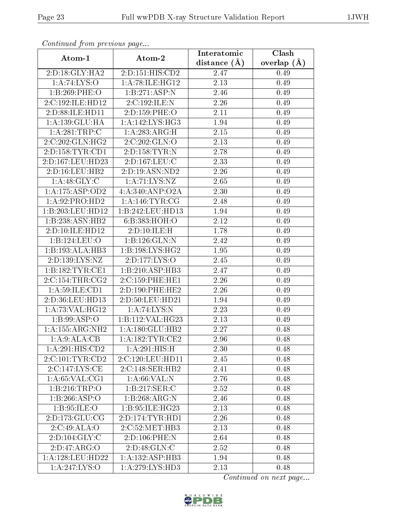| Continuea from previous page |                    | Interatomic       | Clash         |
|------------------------------|--------------------|-------------------|---------------|
| Atom-1                       | Atom-2             | distance $(A)$    | overlap $(A)$ |
| 2: D: 18: GLY: HA2           | 2:D:151:HIS:CD2    | 2.47              | 0.49          |
| 1: A:74: LYS:O               | 1:A:78:ILE:HG12    | 2.13              | 0.49          |
| 1:B:269:PHE:O                | 1:B:271:ASP:N      | 2.46              | 0.49          |
| 2:C:192:ILE:HD12             | 2:C:192:ILE:N      | 2.26              | 0.49          |
| 2:D:88:ILE:HD11              | 2:D:159:PHE:O      | $2.11\,$          | 0.49          |
| 1:A:139:GLU:HA               | 1: A:142: LYS: HG3 | 1.94              | 0.49          |
| 1:A:281:TRP:C                | 1:A:283:ARG:H      | 2.15              | 0.49          |
| 2:C:202:GLN:H <sub>G2</sub>  | 2:C:202:GLN:O      | 2.13              | 0.49          |
| 2:D:158:TYR:CD1              | 2:D:158:TYR:N      | 2.78              | 0.49          |
| 2:D:167:LEU:HD23             | 2:D:167:LEU:C      | 2.33              | 0.49          |
| 2:D:16:LEU:HB2               | 2:D:19:ASN:ND2     | 2.26              | 0.49          |
| 1: A: 48: GLY: C             | 1: A:71: LYS: NZ   | 2.65              | 0.49          |
| 1:A:175:ASP:OD2              | 4:A:340:ANP:O2A    | 2.30              | 0.49          |
| 1:A:92:PRO:HD2               | 1: A:146: TYR: CG  | 2.48              | 0.49          |
| 1:B:203:LEU:HD12             | 1:B:242:LEU:HD13   | 1.94              | 0.49          |
| 1:B:238:ASN:HB2              | 6:B:383:HOH:O      | 2.12              | 0.49          |
| 2:D:10:ILE:HD12              | 2:D:10:ILE:H       | 1.78              | 0.49          |
| 1:B:124:LEU:O                | 1:B:126:GLN:N      | 2.42              | 0.49          |
| 1:B:193:ALA:HB3              | 1:B:198:LYS:HG2    | 1.95              | 0.49          |
| 2:D:139:LYS:NZ               | 2:D:177:LYS:O      | 2.45              | 0.49          |
| 1:B:182:TYR:CE1              | 1:B:210:ASP:HB3    | 2.47              | 0.49          |
| 2:C:154:THR:CG2              | 2:C:159:PHE:HE1    | 2.26              | 0.49          |
| 1: A:59: ILE: CD1            | 2:D:190:PHE:HE2    | 2.26              | 0.49          |
| 2:D:36:LEU:HD13              | 2:D:50:LEU:HD21    | 1.94              | 0.49          |
| 1: A:73: VAL:HG12            | 1: A:74: LYS: N    | 2.23              | 0.49          |
| 1:B:99:ASP:O                 | 1:B:112:VAL:HG23   | $\overline{2}.13$ | 0.49          |
| 1:A:155:ARG:NH2              | 1: A:180: GLU: HB2 | 2.27              | 0.48          |
| 1: A:9: ALA: CB              | 1:A:182:TYR:CE2    | 2.96              | 0.48          |
| 1:A:291:HIS:CD2              | 1: A:291: HIS:H    | 2.30              | 0.48          |
| 2:C:101:TYR:CD2              | 2:C:120:LEU:HD11   | 2.45              | 0.48          |
| 2:C:147:LYS:CE               | 2:C:148:SER:HB2    | 2.41              | 0.48          |
| 1: A:65:VAL:CG1              | 1: A:66: VAL: N    | 2.76              | 0.48          |
| 1:B:216:TRP:O                | 1: B: 217: SER: C  | 2.52              | 0.48          |
| 1:B:266:ASP:O                | 1:B:268:ARG:N      | 2.46              | 0.48          |
| 1:B:95:ILE:O                 | 1:B:95:ILE:HG23    | 2.13              | 0.48          |
| 2:D:173:GLU:CG               | 2:D:174:TYR:HD1    | 2.26              | 0.48          |
| 2:C:49:ALA:O                 | 2:C:52:MET:HB3     | 2.13              | 0.48          |
| 2:D:104:GLY:C                | 2:D:106:PHE:N      | 2.64              | 0.48          |
| 2:D:47:ARG:O                 | 2:D:48:GLN:C       | 2.52              | 0.48          |
| 1:A:128:LEU:HD22             | 1:A:132:ASP:HB3    | 1.94              | 0.48          |
| 1:A:247:LYS:O                | 1: A:279: LYS: HD3 | 2.13              | 0.48          |

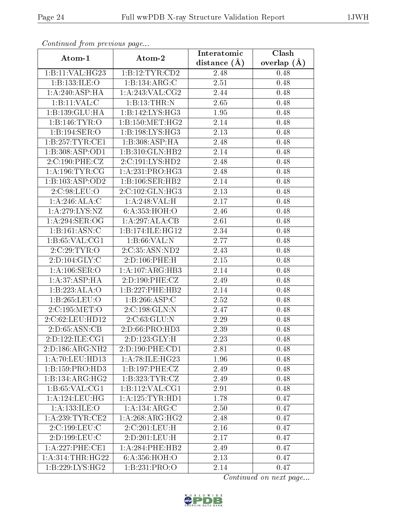| сонинией јтот ртеоючъ раде |                             | Interatomic       | Clash           |
|----------------------------|-----------------------------|-------------------|-----------------|
| Atom-1                     | Atom-2                      | distance $(A)$    | overlap $(\AA)$ |
| 1:B:11:VAL:HG23            | 1:B:12:TYR:CD2              | 2.48              | 0.48            |
| 1:B:133:ILE:O              | $1:B:134: \overline{ARG}:C$ | $\overline{2.51}$ | 0.48            |
| 1:A:240:ASP:HA             | 1: A:243: VAL:CG2           | 2.44              | 0.48            |
| 1:B:11:VAL:CC              | 1:B:13:THR:N                | 2.65              | 0.48            |
| 1:B:139:GLU:HA             | 1: B: 142: LYS: HG3         | 1.95              | 0.48            |
| 1:B:146:TYR:O              | 1: B: 150:MET:HG2           | 2.14              | 0.48            |
| 1:B:194:SER:O              | 1:B:198:LYS:HG3             | 2.13              | 0.48            |
| 1:B:257:TYR:CE1            | 1:B:308:ASP:HA              | 2.48              | 0.48            |
| 1:B:308:ASP:OD1            | 1:B:310:GLN:HB2             | 2.14              | 0.48            |
| 2:C:190:PHE:CZ             | 2:C:191:LYS:HD2             | 2.48              | 0.48            |
| 1: A:196:TYR:CG            | 1:A:231:PRO:HG3             | 2.48              | 0.48            |
| 1:B:103:ASP:OD2            | 1:B:106:SER:HB2             | 2.14              | 0.48            |
| 2:C:98:LEU:O               | 2:C:102:GLN:HG3             | 2.13              | 0.48            |
| 1:A:246:ALA:C              | 1:A:248:VAL:H               | 2.17              | 0.48            |
| 1:A:279:LYS:NZ             | 6: A: 353: HOH:O            | 2.46              | 0.48            |
| 1:A:294:SER:OG             | 1:A:297:ALA:CB              | 2.61              | 0.48            |
| 1:B:161:ASN:C              | 1:B:174:ILE:HG12            | 2.34              | 0.48            |
| 1: B:65: VAL:CG1           | 1: B:66: VAL:N              | 2.77              | 0.48            |
| 2:C:29:TYR:O               | $2:\overline{C:35:ASN:ND2}$ | 2.43              | 0.48            |
| 2: D: 104: GLY: C          | 2:D:106:PHE:H               | 2.15              | 0.48            |
| 1: A: 106: SER: O          | 1:A:107:ARG:HB3             | 2.14              | 0.48            |
| 1: A:37:ASP:HA             | 2:D:190:PHE:CZ              | 2.49              | 0.48            |
| 1:B:223:ALA:O              | 1:B:227:PHE:HB2             | 2.14              | 0.48            |
| 1:B:265:LEU:O              | 1:B:266:ASP:C               | 2.52              | 0.48            |
| 2:C:195:MET:O              | 2:C:198:GLN:N               | 2.47              | 0.48            |
| 2:C:62:LEU:HD12            | 2:C:63:GLU:N                | 2.29              | 0.48            |
| 2:D:65:ASN:CB              | 2:D:66:PRO:H <sub>D3</sub>  | 2.39              | 0.48            |
| 2:D:122:ILE:CG1            | $2:D:123:GLY:H$             | 2.23              | 0.48            |
| 2:D:186:ARG:NH2            | 2:D:190:PHE:CD1             | 2.81              | 0.48            |
| 1:A:70:LEU:HD13            | 1: A:78: ILE:H G23          | 1.96              | 0.48            |
| 1:B:159:PRO:HD3            | 1:B:197:PHE:CZ              | 2.49              | 0.48            |
| 1:B:134:ARG:HG2            | 1:B:323:TYR:CZ              | 2.49              | 0.48            |
| 1: B:65: VAL:CG1           | 1:B:112:VAL:CG1             | 2.91              | 0.48            |
| 1: A:124:LEU:HG            | 1: A: 125: TYR: HD1         | 1.78              | 0.47            |
| 1:A:133:ILE:O              | 1:A:134:ARG:C               | 2.50              | 0.47            |
| 1:A:239:TYR:CE2            | 1:A:268:ARG:HG2             | 2.48              | 0.47            |
| 2:C:199:LEU:C              | 2:C:201:LEU:H               | 2.16              | 0.47            |
| 2:D:199:LEU:C              | 2:D:201:LEU:H               | 2.17              | 0.47            |
| 1: A: 227: PHE: CE1        | 1: A:284:PHE:HB2            | 2.49              | 0.47            |
| 1: A:314:THR:HG22          | 6:A:356:HOH:O               | 2.13              | 0.47            |
| 1:B:229:LYS:HG2            | 1:B:231:PRO:O               | 2.14              | 0.47            |

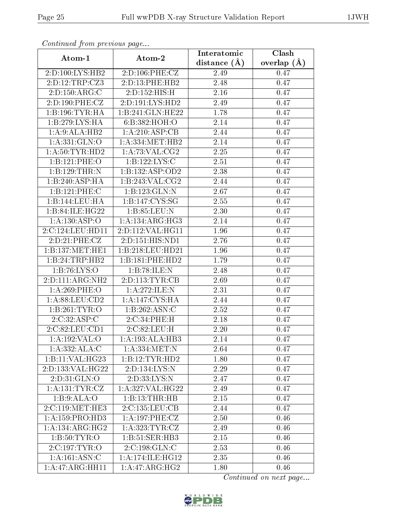| Contentaca from precious page |                                       | Interatomic  | Clash           |
|-------------------------------|---------------------------------------|--------------|-----------------|
| Atom-1                        | Atom-2                                | distance (Å) | overlap $(\AA)$ |
| 2:D:100:LYS:HB2               | 2:D:106:PHE:CZ                        | 2.49         | 0.47            |
| 2:D:12:TRP:CZ3                | 2:D:13:PHE:HB2                        | 2.48         | 0.47            |
| 2:D:150:ARG:C                 | 2:D:152:HIS:H                         | 2.16         | 0.47            |
| 2:D:190:PHE:CZ                | 2:D:191:LYS:HD2                       | 2.49         | 0.47            |
| 1:B:196:TYR:HA                | 1:B:241:GLN:HE22                      | 1.78         | 0.47            |
| 1:B:279:LYS:HA                | 6:B:382:HOH:O                         | 2.14         | 0.47            |
| 1:A:9:ALA:HB2                 | 1:A:210:ASP:CB                        | 2.44         | 0.47            |
| 1: A: 331: GLN:O              | 1: A: 334: MET: HB2                   | 2.14         | 0.47            |
| 1: A:50: TYR: HD2             | 1: A:73: VAL: CG2                     | 2.25         | 0.47            |
| 1:B:121:PHE:O                 | 1:B:122:LYS:C                         | 2.51         | 0.47            |
| 1:B:129:THR:N                 | 1:B:132:ASP:OD2                       | 2.38         | 0.47            |
| 1:B:240:ASP:HA                | 1:B:243:VAL:CG2                       | 2.44         | 0.47            |
| 1:B:121:PHE:C                 | 1:B:123:GLN:N                         | 2.67         | 0.47            |
| 1:B:144:LEU:HA                | $1:B:147:$ $\overline{\text{CYS:SG}}$ | 2.55         | 0.47            |
| 1:B:84:ILE:HG22               | 1:B:85:LEU:N                          | 2.30         | 0.47            |
| 1:A:130:ASP:O                 | 1: A: 134: ARG: HG3                   | 2.14         | 0.47            |
| 2:C:124:LEU:HD11              | 2:D:112:VAL:HG11                      | 1.96         | 0.47            |
| 2:D:21:PHE:CZ                 | 2:D:151:HIS:ND1                       | 2.76         | 0.47            |
| 1: B: 137: MET: HE1           | 1:B:218:LEU:HD21                      | 1.96         | 0.47            |
| 1:B:24:TRP:HB2                | 1:B:181:PHE:HD2                       | 1.79         | 0.47            |
| 1: B:76: LYS:O                | 1:B:78:ILE:N                          | 2.48         | 0.47            |
| 2:D:111:ARG:NH2               | 2:D:113:TYR:CB                        | 2.69         | 0.47            |
| $1: A:269:$ PHE:O             | 1:A:272:ILE:N                         | 2.31         | 0.47            |
| 1:A:88:LEU:CD2                | 1: A:147:CYS:HA                       | 2.44         | 0.47            |
| 1:B:261:TYR:O                 | 1:B:262:ASN:C                         | 2.52         | 0.47            |
| 2:C:32:ASP:C                  | 2:C:34:PHE:H                          | 2.18         | 0.47            |
| 2:C:82:LEU:CD1                | 2:C:82:LEU:H                          | 2.20         | 0.47            |
| 1:A:192:VAL:O                 | 1:A:193:ALA:HB3                       | 2.14         | 0.47            |
| 1:A:332:ALA:C                 | 1: A: 334: MET: N                     | 2.64         | 0.47            |
| 1:B:11:VAL:H G23              | 1:B:12:TYR:HD2                        | 1.80         | 0.47            |
| 2:D:133:VAL:HG22              | 2:D:134:LYS:N                         | 2.29         | 0.47            |
| 2:D:31:GLN:O                  | 2:D:33:LYS:N                          | 2.47         | 0.47            |
| 1: A: 131: TYR: CZ            | 1: A:327: VAL:HG22                    | 2.49         | 0.47            |
| 1: B:9:ALA:O                  | 1:B:13:THR:HB                         | 2.15         | 0.47            |
| 2:C:119:MET:HE3               | 2:C:135:LEU:CB                        | 2.44         | 0.47            |
| 1:A:159:PRO:HD3               | 1: A:197:PHE:CZ                       | 2.50         | 0.46            |
| 1:A:134:ARG:HG2               | 1: A:323: TYR: CZ                     | 2.49         | 0.46            |
| 1: B:50: TYR:O                | 1:B:51:SER:HB3                        | 2.15         | 0.46            |
| 2:C:197:TYR:O                 | 2:C:198:GLN:C                         | 2.53         | 0.46            |
| 1:A:161:ASN:C                 | 1:A:174:ILE:HG12                      | 2.35         | 0.46            |
| 1:A:47:ARG:HH11               | 1:A:47:ARG:HG2                        | 1.80         | 0.46            |

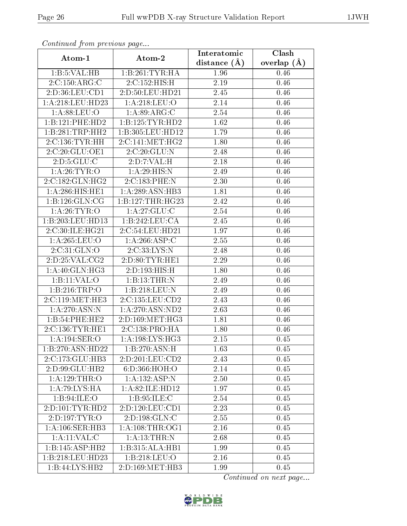| Communica from precious page |                            | Interatomic       | Clash           |
|------------------------------|----------------------------|-------------------|-----------------|
| Atom-1                       | Atom-2                     | distance $(A)$    | overlap $(\AA)$ |
| 1:B:5:VAL:HB                 | 1:B:261:TYR:HA             | 1.96              | 0.46            |
| 2:C:150:ARG:C                | 2:C:152:HIS:H              | 2.19              | 0.46            |
| 2:D:36:LEU:CD1               | $2: D:50:$ LEU:HD $21$     | 2.45              | 0.46            |
| 1: A:218:LEU:HD23            | 1: A:218:LEU:O             | 2.14              | 0.46            |
| 1: A:88: LEU:O               | 1: A:89: ARG: C            | 2.54              | 0.46            |
| 1:B:121:PHE:HD2              | 1:B:125:TYR:HD2            | 1.62              | 0.46            |
| 1:B:281:TRP:HH2              | 1:B:305:LEU:HD12           | 1.79              | 0.46            |
| 2:C:136:TYR:HH               | 2:C:141:MET:HG2            | 1.80              | 0.46            |
| 2:C:20:GLU:OE1               | 2:C:20:GLU:N               | 2.48              | 0.46            |
| 2: D: 5: GLU: C              | 2:D:7:VAL:H                | 2.18              | 0.46            |
| 1: A:26:TYR:O                | 1:A:29:HIS:N               | 2.49              | 0.46            |
| 2:C:182:GLN:HG2              | 2:C:183:PHE:N              | 2.30              | 0.46            |
| 1:A:286:HIS:HE1              | 1: A:289: ASN:HB3          | 1.81              | 0.46            |
| 1:B:126:GLN:CG               | 1:B:127:THR:HG23           | 2.42              | 0.46            |
| 1: A:26:TYR:O                | 1:A:27:GLU:C               | 2.54              | 0.46            |
| 1:B:203:LEU:HD13             | 1:B:242:LEU:CA             | 2.45              | 0.46            |
| 2:C:30:ILE:HG21              | 2:C:54:LEU:HD21            | 1.97              | 0.46            |
| 1: A:265:LEU:O               | 1:A:266:ASP:C              | 2.55              | 0.46            |
| 2:C:31:GLN:O                 | 2:C:33:LYS:N               | $\overline{2}.48$ | 0.46            |
| 2:D:25:VAL:CG2               | 2: D: 80: TYR: HE1         | 2.29              | 0.46            |
| 1:A:40:GLN:HG3               | 2:D:193:HIS:H              | 1.80              | 0.46            |
| 1:B:11:VAL:O                 | 1:B:13:THR:N               | 2.49              | 0.46            |
| 1:B:216:TRP:O                | 1:B:218:LEU:N              | 2.49              | 0.46            |
| 2:C:119:MET:HE3              | 2:C:135:LEU:CD2            | $\overline{2}.43$ | 0.46            |
| 1: A:270:ASN:N               | 1: A:270: ASN:ND2          | 2.63              | 0.46            |
| 1:B:54:PHE:HE2               | 2:D:169:MET:HG3            | 1.81              | 0.46            |
| 2:C:136:TYR:HE1              | 2:C:138:PRO:HA             | 1.80              | 0.46            |
| 1: A:194: SER:O              | 1: A: 198: LYS: HG3        | 2.15              | 0.45            |
| 1:B:270:ASN:HD22             | $1:B:270:ASN:\overline{H}$ | 1.63              | 0.45            |
| 2:C:173:GLU:HB3              | 2:D:201:LEU:CD2            | 2.43              | 0.45            |
| 2:D:99:GLU:HB2               | 6: D: 366: HOH:O           | 2.14              | 0.45            |
| 1:A:129:THR:O                | 1:A:132:ASP:N              | 2.50              | 0.45            |
| 1:A:79:LYS:HA                | 1: A:82: ILE: HD12         | 1.97              | 0.45            |
| 1:B:94:ILE:O                 | 1: B:95: ILE:C             | 2.54              | 0.45            |
| 2: D: 101: TYR: HD2          | 2:D:120:LEU:CD1            | 2.23              | 0.45            |
| 2: D:197: TYR:O              | 2:D:198:GLN:C              | 2.55              | 0.45            |
| 1: A:106: SER: HB3           | 1: A:108:THR:OG1           | 2.16              | 0.45            |
| 1: A:11: VAL:C               | 1: A:13:THR:N              | 2.68              | 0.45            |
| 1:B:145:ASP:HB2              | 1:B:315:ALA:HB1            | 1.99              | 0.45            |
| 1:B:218:LEU:HD23             | 1: B: 218: LEU: O          | 2.16              | 0.45            |
| 1:B:44:LYS:HB2               | 2:D:169:MET:HB3            | 1.99              | 0.45            |

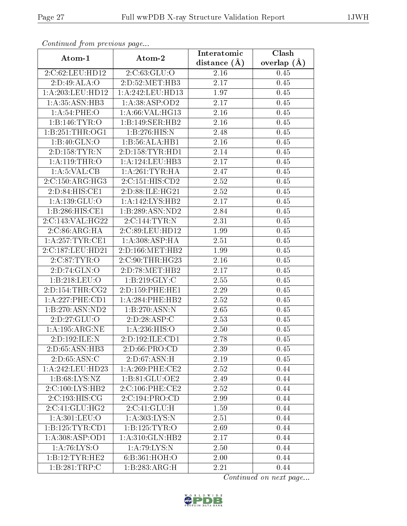| Continuation from providuo puga      |                                                | Interatomic    | Clash           |
|--------------------------------------|------------------------------------------------|----------------|-----------------|
| Atom-1                               | Atom-2                                         | distance $(A)$ | overlap $(\AA)$ |
| 2:C:62:LEU:HD12                      | 2:C:63:GLU:O                                   | 2.16           | 0.45            |
| 2:D:49:ALA:O                         | 2:D:52:MET:HB3                                 | 2.17           | 0.45            |
| 1: A:203:LEU:HD12                    | 1:A:242:LEU:HD13                               | 1.97           | 0.45            |
| 1:A:35:ASN:HB3                       | 1: A: 38: ASP: OD2                             | 2.17           | 0.45            |
| 1: A:54:PHE:O                        | 1:A:66:VAL:HG13                                | 2.16           | 0.45            |
| 1:B:146:TYR:O                        | 1:B:149:SER:HB2                                | 2.16           | 0.45            |
| 1: B:251:THR:OG1                     | 1:B:276:HIS:N                                  | 2.48           | 0.45            |
| 1:B:40:GLN:O                         | 1:B:56:ALA:HB1                                 | 2.16           | 0.45            |
| 2:D:158:TYR:N                        | 2:D:158:TYR:HD1                                | 2.14           | 0.45            |
| 1: A:119:THR:O                       | 1:A:124:LEU:HB3                                | 2.17           | 0.45            |
| 1: A:5: VAL:CB                       | 1: A:261:TYR:HA                                | 2.47           | 0.45            |
| 2:C:150:ARG:HG3                      | 2:C:151:HIS:CD2                                | 2.52           | 0.45            |
| 2:D:84:HIS:CE1                       | 2:D:88:ILE:HG21                                | 2.52           | 0.45            |
| 1: A: 139: GLU: O                    | 1: A:142: LYS: HB2                             | 2.17           | 0.45            |
| 1:B:286:HIS:CE1                      | 1:B:289:ASN:ND2                                | 2.84           | 0.45            |
| 2:C:143:VAL:HG22                     | $2:C:144:TYR:\overline{N}$                     | 2.31           | 0.45            |
| 2:C:86:ARG:HA                        | 2:C:89:LEU:HD12                                | 1.99           | 0.45            |
| 1: A:257:TYR:CE1                     | 1: A:308: ASP:HA                               | 2.51           | 0.45            |
| 2:C:187:LEU:HD21                     | 2:D:166:MET:HB2                                | 1.99           | 0.45            |
| 2:C:87:TYR:O                         | 2:C:90:THR:HG23                                | 2.16           | 0.45            |
| 2:D:74:GLN:O                         | 2:D:78:MET:HB2                                 | 2.17           | 0.45            |
| 1:B:218:LEU:O                        | 1: B:219: GLY: C                               | 2.55           | 0.45            |
| 2: D: 154: THR: CG2                  | 2:D:159:PHE:HE1                                | 2.29           | 0.45            |
| 1:A:227:PHE:CD1                      | 1:A:284:PHE:HB2                                | 2.52           | 0.45            |
| 1:B:270:ASN:ND2                      | 1:B:270:ASN:N                                  | 2.65           | 0.45            |
| 2:D:27:GLU:O                         | 2:D:28:ASP:C                                   | 2.53           | 0.45            |
| 1: A: 195: ARG: NE                   | 1: A:236: HIS:O                                | 2.50           | 0.45            |
| 2:D:192:ILE:N                        | $2:\overline{\mathrm{D}}:192:\mathrm{ILE:CD1}$ | 2.78           | 0.45            |
| 2:D:65:ASN:HB3                       | 2: D:66: PRO:CD                                | 2.39           | 0.45            |
| 2: D:65: ASN:C                       | 2:D:67:ASN:H                                   | 2.19           | 0.45            |
| 1:A:242:LEU:HD23                     | $1: A:269:$ PHE:CE2                            | 2.52           | 0.44            |
| 1: B:68: LYS:NZ                      | 1:B:81:GLU:OE2                                 | 2.49           | 0.44            |
| 2:C:100:LYS:HB2                      | 2:C:106:PHE:CE2                                | 2.52           | 0.44            |
| 2:C:193:HIS:CG                       | 2:C:194:PRO:CD                                 | 2.99           | 0.44            |
| 2:C:41:GLU:HG2                       | 2:C:41:GLU:H                                   | 1.59           | 0.44            |
| $1: A: 301: \overline{\text{LEU:O}}$ | 1: A:303: LYS:N                                | 2.51           | 0.44            |
| 1:B:125:TYR:CD1                      | 1:B:125:TYR:O                                  | 2.69           | 0.44            |
| 1: A:308: ASP:OD1                    | 1:A:310:GLN:HB2                                | 2.17           | 0.44            |
| 1: A:76: LYS:O                       | 1: A:79: LYS:N                                 | 2.50           | 0.44            |
| 1:B:12:TYR:HE2                       | 6:B:361:HOH:O                                  | 2.00           | 0.44            |
| 1:B:281:TRP:C                        | 1:B:283:ARG:H                                  | 2.21           | 0.44            |

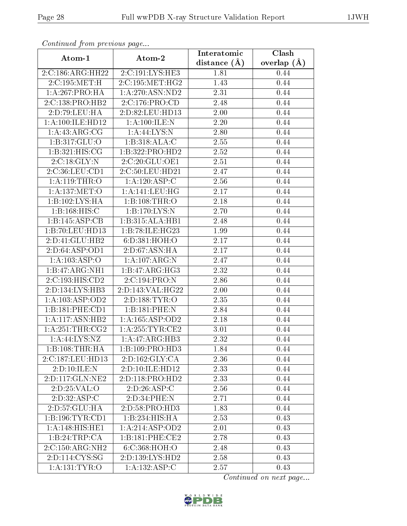| Continuea from previous page |                                        | Interatomic      | Clash           |
|------------------------------|----------------------------------------|------------------|-----------------|
| Atom-1                       | Atom-2                                 | distance $(\AA)$ | overlap $(\AA)$ |
| 2:C:186:ARG:HH22             | 2:C:191:LYS:HE3                        | 1.81             | 0.44            |
| 2:C:195:MET:H                | 2:C:195:MET:HG2                        | 1.43             | 0.44            |
| 1:A:267:PRO:HA               | 1: A:270: ASN:ND2                      | 2.31             | 0.44            |
| 2:C:138:PRO:HB2              | 2:C:176:PRO:CD                         | 2.48             | 0.44            |
| 2:D:79:LEU:HA                | 2:D:82:LEU:HD13                        | 2.00             | 0.44            |
| 1:A:100:ILE:HD12             | 1: A:100: ILE:N                        | 2.20             | 0.44            |
| 1: A: 43: ARG: CG            | 1: A:44: LYS: N                        | 2.80             | 0.44            |
| 1:B:317:GLU:O                | 1:B:318:ALA:C                          | 2.55             | 0.44            |
| 1:B:321:HIS:CG               | 1:B:322:PRO:HD2                        | 2.52             | 0.44            |
| 2:C:18:GLY:N                 | 2:C:20:GLU:OE1                         | 2.51             | 0.44            |
| 2:C:36:LEU:CD1               | 2:C:50:LEU:HD21                        | 2.47             | 0.44            |
| 1: A:119: THEN: O            | 1:A:120:ASP:C                          | 2.56             | 0.44            |
| 1:A:137:MET:O                | 1:A:141:LEU:HG                         | 2.17             | 0.44            |
| 1:B:102:LYS:HA               | 1:B:108:THR:O                          | 2.18             | 0.44            |
| 1:B:168:HIS:C                | 1:B:170:LYS:N                          | 2.70             | 0.44            |
| 1:B:145:ASP:CB               | 1:B:315:ALA:HB1                        | 2.48             | 0.44            |
| 1:B:70:LEU:HD13              | 1:B:78:ILE:HG23                        | 1.99             | 0.44            |
| 2:D:41:GLU:HB2               | 6:D:381:HOH:O                          | 2.17             | 0.44            |
| 2:D:64:ASP:OD1               | 2:D:67:ASN:HA                          | 2.17             | 0.44            |
| 1:A:103:ASP:O                | 1:A:107:ARG:N                          | 2.47             | 0.44            |
| 1:B:47:ARG:NH1               | 1:B:47:ARG:HG3                         | 2.32             | 0.44            |
| 2:C:193:HIS:CD2              | 2:C:194:PRO:N                          | 2.86             | 0.44            |
| 2:D:134:LYS:HB3              | 2:D:143:VAL:HG22                       | 2.00             | 0.44            |
| 1: A: 103: ASP: OD2          | 2:D:188:TYR:O                          | 2.35             | 0.44            |
| 1:B:181:PHE:CD1              | 1:B:181:PHE:N                          | 2.84             | 0.44            |
| 1:A:117:ASN:HB2              | 1:A:165:ASP:OD2                        | 2.18             | 0.44            |
| 1: A:251:THR:CG2             | 1: A:255:TYR:CE2                       | 3.01             | 0.44            |
| 1: A:44: LYS: NZ             | $1:A:47:A\overline{R}\overline{G:H}B3$ | 2.32             | 0.44            |
| 1:B:108:THR:HA               | 1:B:109:PRO:HD3                        | 1.84             | 0.44            |
| 2:C:187:LEU:HD13             | 2:D:162:GLY:CA                         | 2.36             | 0.44            |
| 2:D:10:ILE:N                 | 2:D:10:ILE:HD12                        | 2.33             | 0.44            |
| 2:D:117:GLN:NE2              | 2:D:118:PRO:HD2                        | 2.33             | 0.44            |
| 2:D:25:VAL:O                 | 2:D:26:ASP:C                           | 2.56             | 0.44            |
| 2:D:32:ASP:C                 | 2:D:34:PHE:N                           | 2.71             | 0.44            |
| 2:D:57:GLU:HA                | 2: D:58: PRO:HD3                       | 1.83             | 0.44            |
| 1:B:196:TYR:CD1              | 1:B:234:HIS:HA                         | 2.53             | 0.43            |
| 1:A:148:HIS:HE1              | 1:A:214:ASP:OD2                        | 2.01             | 0.43            |
| 1:B:24:TRP:CA                | 1:B:181:PHE:CE2                        | 2.78             | 0.43            |
| $2:C:150:ARG:\overline{NH2}$ | 6:C:368:HOH:O                          | 2.48             | 0.43            |
| 2:D:114:CYS:SG               | 2:D:139:LYS:HD2                        | 2.58             | 0.43            |
| 1:A:131:TYR:O                | $1:A:\overline{132:ASP:C}$             | 2.57             | 0.43            |

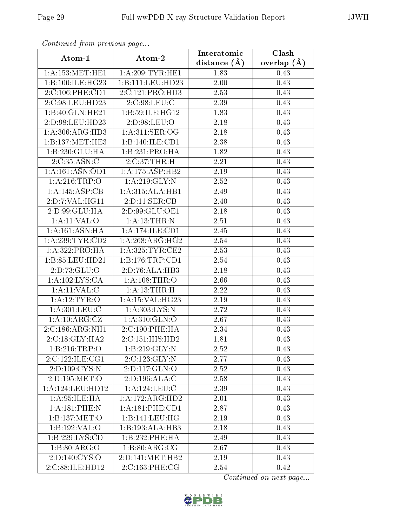| Commuca from previous page   |                              | Interatomic       | Clash         |
|------------------------------|------------------------------|-------------------|---------------|
| Atom-1                       | Atom-2                       | distance $(A)$    | overlap $(A)$ |
| 1: A: 153: MET: HE1          | 1: A:209:TYR:HE1             | 1.83              | 0.43          |
| 1:B:100:ILE:HG23             | 1:B:111:LEU:HD23             | 2.00              | 0.43          |
| 2:C:106:PHE:CD1              | 2:C:121:PRO:HD3              | 2.53              | 0.43          |
| 2:C:98:LEU:HD23              | 2:C:98:LEU:C                 | 2.39              | 0.43          |
| 1:B:40:GLN:HE21              | 1:B:59:ILE:HG12              | 1.83              | 0.43          |
| 2:D:98:LEU:HD23              | 2:D:98:LEU:O                 | 2.18              | 0.43          |
| 1:A:306:ARG:HD3              | 1: A:311: SER:OG             | 2.18              | 0.43          |
| $1:B:137:MET:H\overline{E3}$ | 1:B:140:ILE:CD1              | 2.38              | 0.43          |
| 1:B:230:GLU:HA               | 1:B:231:PRO:HA               | 1.82              | 0.43          |
| 2:C:35:ASN:C                 | 2:C:37:THR:H                 | 2.21              | 0.43          |
| 1:A:161:ASN:OD1              | 1:A:175:ASP:HB2              | 2.19              | 0.43          |
| 1: A:216:TRP:O               | 1: A:219: GLY:N              | 2.52              | 0.43          |
| 1:A:145:ASP:CB               | 1:A:315:ALA:HB1              | 2.49              | 0.43          |
| 2: D: 7: VAL:HGI1            | 2:D:11:SER:CB                | 2.40              | 0.43          |
| 2:D:99:GLU:HA                | 2:D:99:GLU:OE1               | 2.18              | 0.43          |
| 1:A:11:VAL:O                 | 1: A:13:THR:N                | 2.51              | 0.43          |
| 1:A:161:ASN:HA               | 1:A:174:ILE:CD1              | 2.45              | 0.43          |
| 1: A:239:TYR:CD2             | 1:A:268:ARG:HG2              | 2.54              | 0.43          |
| 1:A:322:PRO:HA               | 1: A:325:TYR:CE2             | 2.53              | 0.43          |
| 1:B:85:LEU:HD21              | 1: B: 176: TRP: CD1          | 2.54              | 0.43          |
| 2:D:73:GLU:O                 | 2:D:76:ALA:HB3               | 2.18              | 0.43          |
| 1: A: 102: LYS: CA           | 1: A:108:THR:O               | 2.66              | 0.43          |
| 1:A:11:VAL:CC                | 1: A:13:THR:H                | 2.22              | 0.43          |
| 1: A: 12: TYR: O             | 1: A:15: VAL:HG23            | $\overline{2}.19$ | 0.43          |
| 1: A:301:LEU:C               | 1: A: 303: LYS: N            | 2.72              | 0.43          |
| 1:A:10:ARG:CZ                | 1:A:310:GLN:O                | 2.67              | 0.43          |
| 2:C:186:ARG:NH1              | $2:C:190:PHE:\overline{HA}$  | 2.34              | 0.43          |
| 2:C:18:GLY:HA2               | 2:C:151:HIS:HD2              | 1.81              | 0.43          |
| 1:B:216:TRP:O                | 1:B:219:GLY:N                | 2.52              | 0.43          |
| 2:C:122:ILE:CG1              | 2:C:123:GLY:N                | 2.77              | 0.43          |
| 2:D:109:CYS:N                | 2: D: 117: GLN: O            | 2.52              | 0.43          |
| 2:D:195:MET:O                | 2:D:196:ALA:C                | 2.58              | 0.43          |
| 1:A:124:LEU:HD12             | 1:A:124:LEU:C                | 2.39              | 0.43          |
| 1: A:95: ILE: HA             | $1:A:172:A\overline{RG:HD2}$ | 2.01              | 0.43          |
| 1: A:181: PHE: N             | 1: A:181:PHE:CD1             | 2.87              | 0.43          |
| 1:B:137:MET:O                | 1:B:141:LEU:HG               | 2.19              | 0.43          |
| 1:B:192:VAL:O                | 1:B:193:ALA:HB3              | 2.18              | 0.43          |
| 1:B:229:LYS:CD               | 1:B:232:PHE:HA               | 2.49              | 0.43          |
| 1: B:80: ARG:O               | 1: B:80: ARG: CG             | 2.67              | 0.43          |
| 2:D:140:CYS:O                | 2:D:141:MET:HB2              | 2.19              | 0.43          |
| 2:C:88:ILE:HD12              | 2:C:163:PHE:CG               | 2.54              | 0.42          |

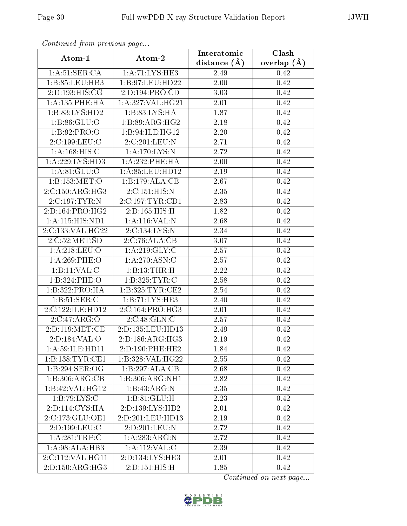| Continuation provided puga<br>Atom-1 | Atom-2           | Interatomic       | $\overline{\text{Clash}}$ |
|--------------------------------------|------------------|-------------------|---------------------------|
|                                      |                  | distance $(A)$    | overlap $(\AA)$           |
| 1: A:51:SER:CA                       | 1:A:71:LYS:HE3   | 2.49              | 0.42                      |
| 1:B:85:LEU:HB3                       | 1:B:97:LEU:HD22  | 2.00              | 0.42                      |
| 2:D:193:HIS:CG                       | 2:D:194:PRO:CD   | 3.03              | 0.42                      |
| 1: A: 135: PHE: HA                   | 1:A:327:VAL:HG21 | 2.01              | 0.42                      |
| 1: B:83: LYS: HD2                    | 1:B:83:LYS:HA    | 1.87              | 0.42                      |
| 1: B:86: GLU:O                       | 1:B:89:ARG:HG2   | 2.18              | 0.42                      |
| 1: B:92: PRO:O                       | 1:B:94:ILE:HG12  | 2.20              | 0.42                      |
| 2:C:199:LEU:C                        | 2:C:201:LEU:N    | 2.71              | 0.42                      |
| 1: A:168: HIS:C                      | 1: A:170: LYS:N  | 2.72              | 0.42                      |
| 1: A:229: LYS: HD3                   | 1:A:232:PHE:HA   | 2.00              | 0.42                      |
| 1: A:81: GLU:O                       | 1:A:85:LEU:HD12  | 2.19              | 0.42                      |
| 1:B:153:MET:O                        | 1:B:179:ALA:CB   | 2.67              | 0.42                      |
| 2:C:150:ARG:HG3                      | 2:C:151:HIS:N    | 2.35              | 0.42                      |
| 2:C:197:TYR:N                        | 2:C:197:TYR:CD1  | 2.83              | 0.42                      |
| 2:D:164:PRO:HG2                      | 2:D:165:HIS:H    | 1.82              | 0.42                      |
| 1:A:115:HIS:ND1                      | 1:A:116:VAL:N    | 2.68              | 0.42                      |
| 2:C:133:VAL:HG22                     | 2:C:134:LYS:N    | 2.34              | 0.42                      |
| 2:C:52:MET:SD                        | 2:C:76:ALA:CB    | 3.07              | 0.42                      |
| 1: A:218: LEU:O                      | 1: A:219: GLY: C | 2.57              | 0.42                      |
| 1:A:269:PHE:O                        | 1:A:270:ASN:C    | 2.57              | 0.42                      |
| 1:B:11:VAL:CC                        | 1:B:13:THR:H     | 2.22              | 0.42                      |
| 1:B:324:PHE:O                        | 1:B:325:TYR:C    | 2.58              | 0.42                      |
| 1:B:322:PRO:HA                       | 1:B:325:TYR:CE2  | 2.54              | 0.42                      |
| 1: B:51: SER: C                      | 1:B:71:LYS:HE3   | 2.40              | 0.42                      |
| 2:C:122:ILE:HD12                     | 2:C:164:PRO:HG3  | 2.01              | 0.42                      |
| 2:C:47:ARG:O                         | 2:C:48:GLN:C     | $\overline{2}.57$ | 0.42                      |
| 2:D:119:MET:CE                       | 2:D:135:LEU:HD13 | 2.49              | 0.42                      |
| 2:D:184:VAL:O                        | 2:D:186:ARG:HG3  | 2.19              | 0.42                      |
| 1: A:59: ILE: HD11                   | 2:D:190:PHE:HE2  | 1.84              | 0.42                      |
| 1: B: 138: TYR: CE1                  | 1:B:328:VAL:HG22 | 2.55              | 0.42                      |
| 1:B:294:SER:OG                       | 1:B:297:ALA:CB   | 2.68              | 0.42                      |
| 1:B:306:ARG:CB                       | 1:B:306:ARG:NH1  | 2.82              | 0.42                      |
| 1:B:42:VAL:HG12                      | 1:B:43:ARG:N     | 2.35              | 0.42                      |
| 1: B:79: LYS: C                      | 1: B:81: GLU: H  | 2.23              | 0.42                      |
| 2:D:114:CYS:HA                       | 2:D:139:LYS:HD2  | 2.01              | 0.42                      |
| 2:C:173:GLU:OE1                      | 2:D:201:LEU:HD13 | 2.19              | 0.42                      |
| 2: D: 199: LEU: C                    | 2:D:201:LEU:N    | 2.72              | 0.42                      |
| 1: A:281:TRP:C                       | 1: A:283:ARG:N   | 2.72              | 0.42                      |
| 1: A:98:ALA:HB3                      | 1: A: 112: VAL:C | 2.39              | 0.42                      |
| 2:C:112:VAL:HG11                     | 2:D:134:LYS:HE3  | 2.01              | 0.42                      |
| 2:D:150:ARG:HG3                      | 2:D:151:HIS:H    | 1.85              | 0.42                      |

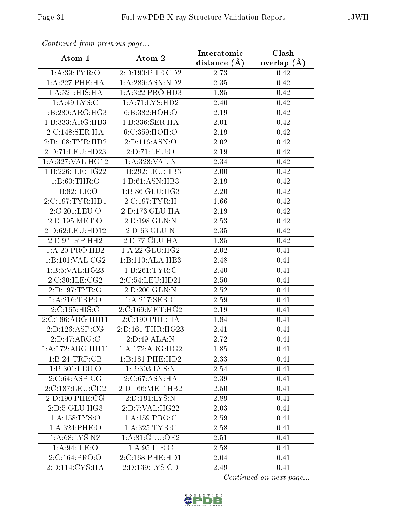| Continuea from previous page |                              | Interatomic      | Clash           |  |
|------------------------------|------------------------------|------------------|-----------------|--|
| Atom-1                       | Atom-2                       | distance $(\AA)$ | overlap $(\AA)$ |  |
| 1: A:39: TYR:O               | 2:D:190:PHE:CD2              | 2.73             | 0.42            |  |
| 1:A:227:PHE:HA               | 1: A:289: ASN:ND2            | 2.35             | 0.42            |  |
| 1:A:321:HIS:HA               | 1:A:322:PRO:HD3              | 1.85             | 0.42            |  |
| 1: A:49: LYS:C               | 1:A:71:LYS:HD2               | 2.40             | 0.42            |  |
| 1:B:280:ARG:HG3              | 6:B:382:HOH:O                | 2.19             | 0.42            |  |
| 1:B:333:ARG:HB3              | 1:B:336:SER:HA               | 2.01             | 0.42            |  |
| 2:C:148:SER:HA               | 6: C: 359: HOH:O             | 2.19             | 0.42            |  |
| 2:D:108:TYR:HD2              | 2:D:116:ASN:O                | 2.02             | 0.42            |  |
| 2:D:71:LEU:HD23              | 2:D:71:LEU:O                 | 2.19             | 0.42            |  |
| 1: A:327: VAL:HG12           | 1:A:328:VAL:N                | 2.34             | 0.42            |  |
| 1:B:226:ILE:HG22             | 1:B:292:LEU:HB3              | 2.00             | 0.42            |  |
| 1: B:60:THR:O                | $1:B:61:A\overline{SN:H}B3$  | 2.19             | 0.42            |  |
| 1:B:82:ILE:O                 | 1:B:86:GLU:HG3               | 2.20             | 0.42            |  |
| 2:C:197:TYR:HD1              | 2:C:197:TYR:H                | 1.66             | 0.42            |  |
| 2:C:201:LEU:O                | 2:D:173:GLU:HA               | 2.19             | 0.42            |  |
| 2:D:195:MET:O                | 2:D:198:GLN:N                | 2.53             | 0.42            |  |
| 2:D:62:LEU:HD12              | 2: D:63: GLU:N               | 2.35             | 0.42            |  |
| 2:D:9:TRP:HH2                | 2:D:77:GLU:HA                | 1.85             | 0.42            |  |
| 1:A:20:PRO:HB2               | 1: A:22: GLU:HG2             | 2.02             | 0.41            |  |
| 1: B:101: VAL: CG2           | 1:B:110:ALA:HB3              | 2.48             | 0.41            |  |
| 1:B:5:VAL:HG23               | 1:B:261:TYR:C                | 2.40             | 0.41            |  |
| 2:C:30:ILE:CG2               | 2:C:54:LEU:HD21              | 2.50             | 0.41            |  |
| 2:D:197:TYR:O                | 2:D:200:GLN:N                | 2.52             | 0.41            |  |
| 1: A:216:TRP:O               | 1:A:217:SER:C                | 2.59             | 0.41            |  |
| 2:C:165:HIS:O                | 2:C:169:MET:HG2              | 2.19             | 0.41            |  |
| 2:C:186:ARG:HH11             | 2:C:190:PHE:HA               | 1.84             | 0.41            |  |
| 2:D:126:ASP:CG               | 2:D:161:THR:HG23             | 2.41             | 0.41            |  |
| 2:D:47:ARG:C                 | 2:D:49:ALA:N                 | 2.72             | 0.41            |  |
| 1:A:172:ARG:HH11             | $1:A:172:A\overline{RG:HG2}$ | 1.85             | 0.41            |  |
| 1:B:24:TRP:CB                | 1:B:181:PHE:HD2              | 2.33             | 0.41            |  |
| 1:B:301:LEU:O                | 1: B:303: LYS:N              | 2.54             | 0.41            |  |
| 2:C:64:ASP:CG                | 2:C:67:ASN:HA                | 2.39             | 0.41            |  |
| 2:C:187:LEU:CD2              | 2:D:166:MET:HB2              | 2.50             | 0.41            |  |
| 2:D:190:PHE:CG               | 2:D:191:LYS:N                | 2.89             | 0.41            |  |
| 2: D: 5: GLU: HG3            | 2: D: 7: VAL:HG22            | 2.03             | 0.41            |  |
| 1: A: 158: LYS: O            | 1:A:159:PRO:C                | 2.59             | 0.41            |  |
| 1: A:324: PHE:O              | 1:A:325:TYR:C                | 2.58             | 0.41            |  |
| 1: A:68: LYS: NZ             | 1:A:81:GLU:OE2               | 2.51             | 0.41            |  |
| 1: A:94: ILE: O              | 1: A:95: ILE:C               | 2.58             | 0.41            |  |
| 2:C:164:PRO:O                | 2:C:168:PHE:HD1              | 2.04             | 0.41            |  |
| 2:D:114:CYS:HA               | 2:D:139:LYS:CD               | 2.49             | 0.41            |  |

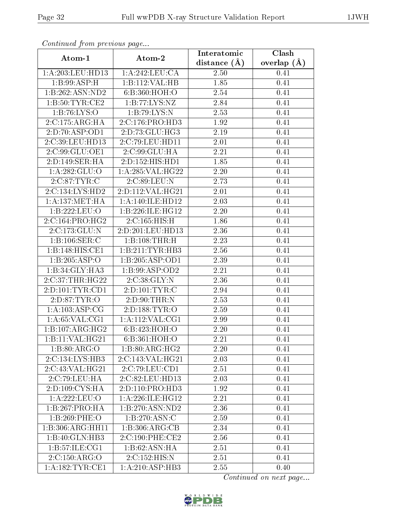| Comunaca jiom previous page |                              | Interatomic       | Clash           |
|-----------------------------|------------------------------|-------------------|-----------------|
| Atom-1                      | Atom-2                       | distance $(A)$    | overlap $(\AA)$ |
| 1:A:203:LEU:HD13            | 1:A:242:LEU:CA               | 2.50              | 0.41            |
| 1:B:99:ASP:H                | 1:B:112:VAL:HB               | 1.85              | 0.41            |
| 1:B:262:ASN:ND2             | 6:B:360:HOH:O                | 2.54              | 0.41            |
| 1: B:50: TYR: CE2           | 1:B:77:LYS:NZ                | 2.84              | 0.41            |
| 1:B:76:LYS:O                | 1:B:79:LYS:N                 | 2.53              | 0.41            |
| 2:C:175:ARG:HA              | 2:C:176:PRO:HD3              | 1.92              | 0.41            |
| 2:D:70:ASP:OD1              | 2: D: 73: GLU: HG3           | 2.19              | 0.41            |
| 2:C:39:LEU:HD13             | 2:C:79:LEU:HD11              | 2.01              | 0.41            |
| 2:C:99:GLU:OE1              | 2:C:99:GLU:HA                | 2.21              | 0.41            |
| 2:D:149:SER:HA              | 2:D:152:HIS:HD1              | 1.85              | 0.41            |
| 1:A:282:GLU:O               | 1:A:285:VAL:HG22             | 2.20              | 0.41            |
| 2:C:87:TYR:C                | 2.C.89:LEU:N                 | 2.73              | 0.41            |
| 2:C:134:LYS:HD2             | 2:D:112:VAL:HG21             | 2.01              | 0.41            |
| 1: A: 137: MET: HA          | 1: A:140: ILE: HD12          | 2.03              | 0.41            |
| 1:B:222:LEU:O               | 1:B:226:ILE:HG12             | 2.20              | 0.41            |
| 2:C:164:PRO:HG2             | 2:C:165:HIS:H                | 1.86              | 0.41            |
| 2:C:173:GLU:N               | 2:D:201:LEU:HD13             | 2.36              | 0.41            |
| 1:B:106:SER:C               | 1:B:108:THR:H                | 2.23              | 0.41            |
| 1:B:148:HIS:CE1             | 1:B:211:TYR:HB3              | 2.56              | 0.41            |
| 1:B:205:ASP:O               | 1:B:205:ASP:OD1              | 2.39              | 0.41            |
| 1:B:34:GLY:HA3              | 1:B:99:ASP:OD2               | $\overline{2.21}$ | 0.41            |
| 2:C:37:THR:HG22             | 2:C:38:GLY:N                 | 2.36              | 0.41            |
| 2:D:101:TYR:CD1             | 2:D:101:TYR:C                | 2.94              | 0.41            |
| 2: D:87: TYR:O              | 2:D:90:THR:N                 | 2.53              | 0.41            |
| 1: A:103: ASP:CG            | 2:D:188:TYR:O                | 2.59              | 0.41            |
| 1: A:65:VAL:CG1             | 1: A:112: VAL:CG1            | 2.99              | 0.41            |
| 1:B:107:ARG:HG2             | 6:B:423:HOH:O                | 2.20              | 0.41            |
| 1:B:11:VAL:H G21            | 6:B:361:HOH:O                | 2.21              | 0.41            |
| 1: B:80: ARG:O              | 1: B:80: ARG: HG2            | 2.20              | 0.41            |
| 2:C:134:LYS:HB3             | 2:C:143:VAL:HG21             | 2.03              | 0.41            |
| 2:C:43:VAL:HG21             | 2:C:79:LEU:CD1               | 2.51              | 0.41            |
| 2:C:79:LEU:HA               | 2:C:82:LEU:HD13              | 2.03              | 0.41            |
| 2:D:109:CYS:HA              | 2:D:110:PRO:HD3              | 1.92              | 0.41            |
| 1:A:222:LEU:O               | 1: A:226: ILE: HG12          | 2.21              | 0.41            |
| 1:B:267:PRO:HA              | 1:B:270:ASN:ND2              | 2.36              | 0.41            |
| 1:B:269:PHE:O               | 1: B: 270: ASN: C            | 2.59              | 0.41            |
| 1:B:306:ARG:HH11            | 1:B:306:ARG:CB               | 2.34              | 0.41            |
| $1:B:40:G\overline{LN:HB3}$ | $2:C:190:$ PHE:CE2           | 2.56              | 0.41            |
| 1: B:57: ILE: CG1           | 1:B:62:ASN:HA                | 2.51              | 0.41            |
| 2:C:150:ARG:O               | 2:C:152:HIS:N                | 2.51              | 0.41            |
| 1: A: 182: TYR: CE1         | $1:A:210:ASP:H\overline{B3}$ | 2.55              | 0.40            |

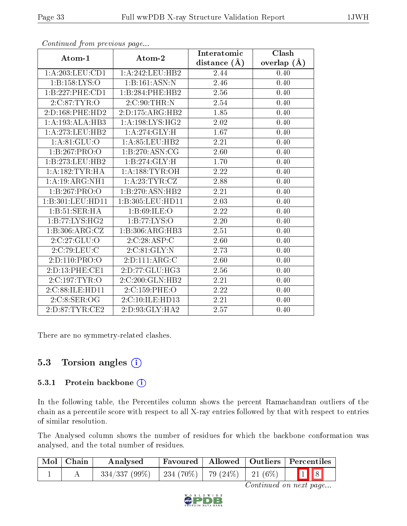|                                   |                     | Interatomic    | Clash         |
|-----------------------------------|---------------------|----------------|---------------|
| Atom-1                            | Atom-2              | distance $(A)$ | overlap $(A)$ |
| 1:A:203:LEU:CD1                   | 1: A:242:LEU:HB2    | 2.44           | 0.40          |
| 1:B:158:LYS:O                     | 1:B:161:ASN:N       | 2.46           | 0.40          |
| 1:B:227:PHE:CD1                   | 1:B:284:PHE:HB2     | 2.56           | 0.40          |
| 2:C:87:TYR:O                      | 2:C:90:THR:N        | 2.54           | 0.40          |
| 2:D:168:PHE:HD2                   | 2:D:175:ARG:HB2     | 1.85           | 0.40          |
| 1:A:193:ALA:HB3                   | 1: A: 198: LYS: HG2 | 2.02           | 0.40          |
| 1: A:273:LEU:HB2                  | 1:A:274:GLY:H       | 1.67           | 0.40          |
| 1: A:81: GLU:O                    | 1: A:85:LEU:HB2     | 2.21           | 0.40          |
| 1:B:267:PRO:O                     | 1:B:270:ASN:CG      | 2.60           | 0.40          |
| 1:B:273:LEU:HB2                   | 1:B:274:GLY:H       | 1.70           | 0.40          |
| 1: A: 182: TYR: HA                | 1: A: 188: TYR: OH  | 2.22           | 0.40          |
| 1:A:19:ARG:NH1                    | 1: A:23: TYR: CZ    | 2.88           | 0.40          |
| 1:B:267:PRO:O                     | 1:B:270:ASN:HB2     | 2.21           | 0.40          |
| 1:B:301:LEU:HD11                  | 1:B:305:LEU:HD11    | 2.03           | 0.40          |
| 1:B:51:SER:HA                     | 1: B:69: ILE: O     | 2.22           | 0.40          |
| 1:B:77:LYS:HG2                    | 1:B:77:LYS:O        | 2.20           | 0.40          |
| 1: B:306:ARG:CZ                   | 1:B:306:ARG:HB3     | 2.51           | 0.40          |
| 2:C:27:GLU:O                      | 2:C:28:ASP:C        | 2.60           | 0.40          |
| 2:C:79:LEU:C                      | 2:C:81:GLY:N        | 2.73           | 0.40          |
| 2:D:110:PRO:O                     | 2: D: 111: ARG: C   | 2.60           | 0.40          |
| 2:D:13:PHE:CE1                    | 2:D:77:GLU:HG3      | 2.56           | 0.40          |
| $2:C:197:\overline{\text{TYR}:O}$ | 2:C:200:GLN:HB2     | 2.21           | 0.40          |
| 2:C:88:ILE:HD11                   | 2:C:159:PHE:O       | 2.22           | 0.40          |
| 2:C:8:SER:OG                      | 2:C:10:ILE:HD13     | 2.21           | 0.40          |
| 2: D:87: TYR: CE2                 | 2:D:93:GLY:HA2      | 2.57           | 0.40          |

There are no symmetry-related clashes.

## 5.3 Torsion angles  $(i)$

#### 5.3.1 Protein backbone (i)

In the following table, the Percentiles column shows the percent Ramachandran outliers of the chain as a percentile score with respect to all X-ray entries followed by that with respect to entries of similar resolution.

The Analysed column shows the number of residues for which the backbone conformation was analysed, and the total number of residues.

| $\text{Mol} \mid \text{Chain}$ | Analysed        |                                |  | Favoured   Allowed   Outliers   Percentiles |
|--------------------------------|-----------------|--------------------------------|--|---------------------------------------------|
|                                | $334/337(99\%)$ | 234 (70%)   79 (24%)   21 (6%) |  | $\boxed{1}$ $\boxed{8}$                     |



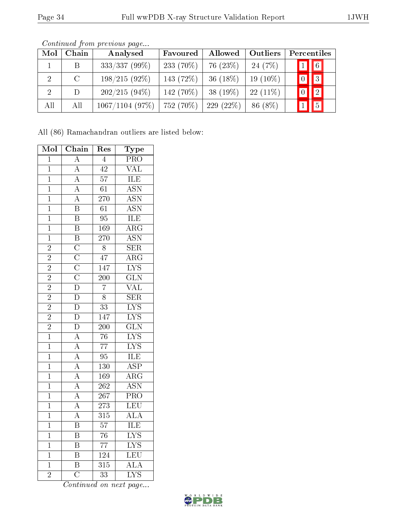| Mol | Chain         | Analysed        | Favoured     | Allowed     | Outliers   | Percentiles                   |
|-----|---------------|-----------------|--------------|-------------|------------|-------------------------------|
|     | B.            | 333/337 (99%)   | 233 $(70\%)$ | 76 $(23\%)$ | 24 $(7%)$  | $\boxed{1}$ $\boxed{6}$       |
|     | $\mathcal{C}$ | $198/215(92\%)$ | 143 (72%)    | 36 $(18\%)$ | $19(10\%)$ | $\sqrt{3}$<br>$\boxed{0}$     |
|     | D.            | $202/215(94\%)$ | 142 (70%)    | 38 $(19\%)$ | $22(11\%)$ | $\sqrt{2}$<br>$\vert 0 \vert$ |
| All | All           | 1067/1104(97%)  | 752 (70%)    | 229(22%)    | 86 (8%)    | $\boxed{5}$                   |

Continued from previous page...

All (86) Ramachandran outliers are listed below:

| Mol            | Chain                                                                   | Res              | Type                                        |
|----------------|-------------------------------------------------------------------------|------------------|---------------------------------------------|
| $\overline{1}$ | $\overline{A}$                                                          | $\overline{4}$   | $\overline{\text{PRO}}$                     |
| $\overline{1}$ | $\overline{A}$                                                          | $\overline{42}$  | $\overline{\text{VAL}}$                     |
| $\overline{1}$ | $\overline{A}$                                                          | $\overline{57}$  | <b>ILE</b>                                  |
| $\overline{1}$ | $\overline{A}$                                                          | $\overline{61}$  | $\overline{\text{ASN}}$                     |
| $\overline{1}$ | $\overline{A}$                                                          | $\overline{270}$ | $\overline{\mathrm{ASN}}$                   |
| $\overline{1}$ | $\overline{\mathbf{B}}$                                                 | $\overline{61}$  | <b>ASN</b>                                  |
| $\overline{1}$ | $\overline{\mathbf{B}}$                                                 | $\overline{95}$  | <b>ILE</b>                                  |
| $\overline{1}$ | $\overline{B}$                                                          | 169              | $\overline{\rm{ARG}}$                       |
| $\mathbf{1}$   | $\overline{\mathbf{B}}$                                                 | 270              | $\overline{\text{ASN}}$                     |
| $\overline{2}$ | $\overline{\rm C}$                                                      | $\overline{8}$   | $\overline{\text{SER}}$                     |
| $\overline{2}$ | $\frac{\overline{C}}{\overline{C}}$ $\frac{\overline{C}}{\overline{D}}$ | $\overline{47}$  | $\overline{\rm{ARG}}$                       |
| $\overline{2}$ |                                                                         | $\overline{147}$ | $\overline{\text{LYS}}$                     |
| $\overline{2}$ |                                                                         | $\overline{200}$ | $\overline{\text{GLN}}$                     |
| $\frac{2}{2}$  |                                                                         | $\overline{7}$   | $\frac{\overline{\text{VAL}}}{\text{SER}}$  |
|                |                                                                         | $\overline{8}$   |                                             |
| $\overline{2}$ | $\frac{1}{D}$                                                           | $\overline{33}$  | $\overline{\text{LYS}}$                     |
| $\overline{2}$ | $\overline{\rm D}$                                                      | $\overline{147}$ | LIS<br>LYS<br>GLN<br>LYS<br>LYS<br>LE<br>LE |
| $\overline{2}$ | $\overline{D}$                                                          | $\overline{200}$ |                                             |
| $\overline{1}$ | $\frac{\overline{A}}{A}$                                                | $\overline{76}$  |                                             |
| $\overline{1}$ |                                                                         | $\overline{77}$  |                                             |
| $\overline{1}$ | $\overline{A}$                                                          | $\overline{95}$  |                                             |
| $\overline{1}$ | $\overline{A}$                                                          | $\overline{130}$ | $\overline{\text{ASP}}$                     |
| $\overline{1}$ |                                                                         | 169              | $\overline{\text{ARG}}$                     |
| $\overline{1}$ | $\frac{\overline{A}}{\overline{A}}$                                     | $\overline{262}$ | $\overline{\text{ASN}}$                     |
| $\overline{1}$ |                                                                         | $\overline{267}$ | $\overline{\text{PRO}}$                     |
| $\overline{1}$ | $\overline{A}$                                                          | $\overline{273}$ | LEU                                         |
| $\overline{1}$ | $\overline{A}$                                                          | $\overline{315}$ | $\overline{\rm ALA}$                        |
| $\overline{1}$ | $\overline{B}$                                                          | $\overline{57}$  | $\frac{\text{ILE}}{\text{LYS}}$             |
| $\overline{1}$ | $\overline{\mathbf{B}}$                                                 | $\overline{76}$  |                                             |
| $\overline{1}$ | $\overline{\mathbf{B}}$                                                 | $\overline{77}$  | LYS<br>LEU                                  |
| $\overline{1}$ | $\overline{\mathrm{B}}$                                                 | $\overline{124}$ |                                             |
| $\overline{1}$ | $\overline{\mathbf{B}}$                                                 | $\overline{315}$ | $\overline{\rm ALA}$                        |
| $\overline{2}$ | $\overline{\text{C}}$                                                   | $\overline{33}$  | $\overline{\text{LYS}}$                     |

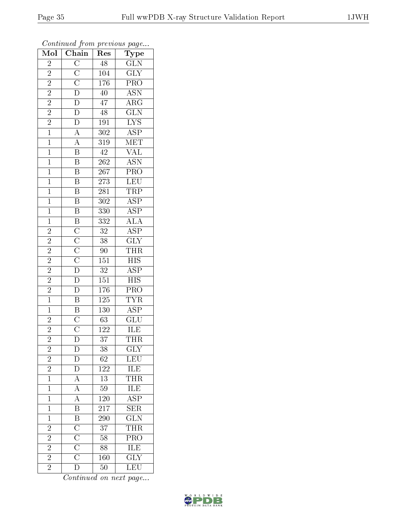| Mol            | $\overline{\text{Chain}}$                                                                                                                                                                                                                                                                                           | Res              | Type                                                  |
|----------------|---------------------------------------------------------------------------------------------------------------------------------------------------------------------------------------------------------------------------------------------------------------------------------------------------------------------|------------------|-------------------------------------------------------|
| $\overline{c}$ | $\frac{\overline{C}}{\overline{C}} \frac{\overline{C}}{\overline{D}} \frac{\overline{D}}{\overline{D}} \frac{\overline{D}}{\overline{D}} \frac{\overline{D}}{\overline{D}} \frac{\overline{A}}{\overline{A}} \frac{\overline{A}}{\overline{B}} \frac{\overline{B}}{\overline{B}} \frac{\overline{B}}{\overline{B}}$ | 48               | $\overline{\text{GLN}}$                               |
| $\overline{2}$ |                                                                                                                                                                                                                                                                                                                     | 104              | $\overline{\text{GLY}}$                               |
| $\overline{2}$ |                                                                                                                                                                                                                                                                                                                     | 176              | $\overline{\text{PRO}}$                               |
| $\overline{2}$ |                                                                                                                                                                                                                                                                                                                     | $\overline{40}$  | $\overline{\text{ASN}}$                               |
| $\overline{2}$ |                                                                                                                                                                                                                                                                                                                     | $\overline{47}$  | $\overline{\text{ARG}}$                               |
| $\overline{2}$ |                                                                                                                                                                                                                                                                                                                     | $\sqrt{48}$      | $\overline{\text{GLN}}$                               |
| $\frac{2}{1}$  |                                                                                                                                                                                                                                                                                                                     | 191              | $\overline{\text{LYS}}$                               |
|                |                                                                                                                                                                                                                                                                                                                     | 302              | $\overline{\text{ASP}}$                               |
| $\overline{1}$ |                                                                                                                                                                                                                                                                                                                     | $\overline{319}$ | MET                                                   |
| $\overline{1}$ |                                                                                                                                                                                                                                                                                                                     | $\overline{42}$  |                                                       |
| $\overline{1}$ |                                                                                                                                                                                                                                                                                                                     | <b>262</b>       | $\frac{VAL}{ASN}$                                     |
| $\overline{1}$ |                                                                                                                                                                                                                                                                                                                     | $\overline{267}$ | PRO<br>LEU                                            |
| $\overline{1}$ | $\overline{B}$                                                                                                                                                                                                                                                                                                      | $\overline{273}$ |                                                       |
| $\overline{1}$ | $\overline{B}$                                                                                                                                                                                                                                                                                                      | $\overline{281}$ | $\frac{\overline{\text{TRP}}}{\text{ASP}}$            |
| $\overline{1}$ | $\overline{\mathbf{B}}$                                                                                                                                                                                                                                                                                             | $\overline{302}$ |                                                       |
| $\overline{1}$ | $\overline{\mathbf{B}}$                                                                                                                                                                                                                                                                                             | 330              | $\frac{\overline{\text{ASP}}}{\text{ALA}}$            |
| $\overline{1}$ | $\frac{\overline{B}}{\overline{C}}$ $\frac{\overline{C}}{\overline{C}}$ $\frac{\overline{C}}{\overline{D}}$ $\frac{\overline{D}}{\overline{D}}$                                                                                                                                                                     | $\overline{332}$ |                                                       |
| $\overline{c}$ |                                                                                                                                                                                                                                                                                                                     | $\overline{32}$  | $\overline{\text{ASP}}$                               |
| $\overline{2}$ |                                                                                                                                                                                                                                                                                                                     | $\overline{38}$  | $\overline{\text{GLY}}$                               |
| $\overline{2}$ |                                                                                                                                                                                                                                                                                                                     | $90\,$           | $\frac{\text{THR}}{\text{HIS}}$                       |
| $\overline{2}$ |                                                                                                                                                                                                                                                                                                                     | 151              |                                                       |
| $\overline{2}$ |                                                                                                                                                                                                                                                                                                                     | $\overline{32}$  | $\overline{\text{ASP}}$                               |
| $\overline{2}$ |                                                                                                                                                                                                                                                                                                                     | 151              | $\overline{\text{HIS}}$                               |
| $\frac{2}{1}$  | $\overline{D}$                                                                                                                                                                                                                                                                                                      | 176              | PRO                                                   |
|                | $\frac{\overline{B}}{\overline{B}}$ $\frac{\overline{B}}{\overline{C}}$ $\frac{\overline{C}}{\overline{D}}$                                                                                                                                                                                                         | $\overline{125}$ | <b>TYR</b>                                            |
| $\overline{1}$ |                                                                                                                                                                                                                                                                                                                     | 130              | $\overline{\text{ASP}}$                               |
| $\overline{2}$ |                                                                                                                                                                                                                                                                                                                     | 63               | $\overline{\text{GLU}}$                               |
| $\overline{2}$ |                                                                                                                                                                                                                                                                                                                     | $\overline{12}2$ | $\overline{\text{ILE}}$                               |
| $\overline{2}$ |                                                                                                                                                                                                                                                                                                                     | $\overline{37}$  | <b>THR</b>                                            |
| $\overline{c}$ | $\overline{D}$                                                                                                                                                                                                                                                                                                      | 38               | $\overline{\text{GLY}}$                               |
| $\overline{c}$ | $rac{L}{D}$                                                                                                                                                                                                                                                                                                         | 62               |                                                       |
| $\overline{2}$ | $\sum_{n=1}^{\infty}$                                                                                                                                                                                                                                                                                               | 122              | $\frac{\overline{\text{LEU}}}{\overline{\text{ILE}}}$ |
| $\overline{1}$ | $\frac{\overline{A}}{\overline{A}}$                                                                                                                                                                                                                                                                                 | 13               | $\frac{\overline{\text{THR}}}{\text{ILE}}$            |
| $\overline{1}$ |                                                                                                                                                                                                                                                                                                                     | $\overline{59}$  |                                                       |
| $\mathbf{1}$   |                                                                                                                                                                                                                                                                                                                     | <b>120</b>       | $\overline{\text{ASP}}$                               |
| $\mathbf 1$    | $\frac{\overline{A}}{\overline{B}}$ $\frac{\overline{B}}{\overline{C}}$ $\frac{\overline{C}}{\overline{C}}$ $\frac{\overline{C}}{\overline{C}}$                                                                                                                                                                     | 217              | $\overline{\text{SER}}$                               |
| $\mathbf{1}$   |                                                                                                                                                                                                                                                                                                                     | 290              | $\overline{\text{GLN}}$                               |
| $\overline{2}$ |                                                                                                                                                                                                                                                                                                                     | $\overline{37}$  | THR                                                   |
| $\overline{2}$ |                                                                                                                                                                                                                                                                                                                     | 58               | $\overline{\text{PRO}}$                               |
| $\overline{2}$ |                                                                                                                                                                                                                                                                                                                     | 88               | ILE                                                   |
| $\overline{2}$ |                                                                                                                                                                                                                                                                                                                     | 160              | $\overline{\text{GLY}}$                               |
| $\overline{2}$ | $\overline{\rm D}$                                                                                                                                                                                                                                                                                                  | 50               | $\overline{\text{LEU}}$                               |

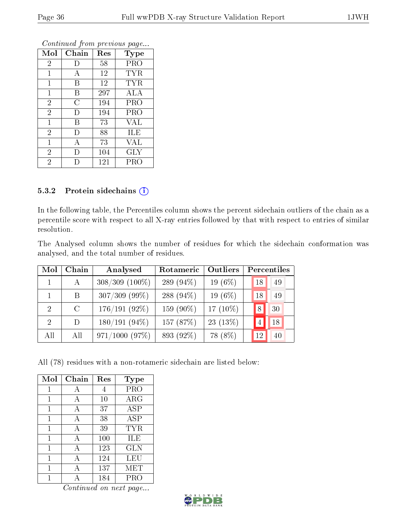| Mol            | Chain          | Res | <b>Type</b> |
|----------------|----------------|-----|-------------|
| $\overline{2}$ | $\vert$ )      | 58  | PRO         |
| 1              | А              | 12  | <b>TYR</b>  |
| 1              | В              | 12  | <b>TYR</b>  |
| $\mathbf{1}$   | Β              | 297 | ALA         |
| $\overline{2}$ | $\overline{C}$ | 194 | PRO         |
| $\overline{2}$ | D              | 194 | PRO         |
| $\mathbf{1}$   | В              | 73  | VAL         |
| $\overline{2}$ | D              | 88  | ILE         |
| $\mathbf 1$    | А              | 73  | VAL         |
| $\overline{2}$ | D              | 104 | $\rm GLY$   |
| $\overline{2}$ |                | 121 | PRO         |

#### 5.3.2 Protein sidechains (i)

In the following table, the Percentiles column shows the percent sidechain outliers of the chain as a percentile score with respect to all X-ray entries followed by that with respect to entries of similar resolution.

The Analysed column shows the number of residues for which the sidechain conformation was analysed, and the total number of residues.

| Mol            | Chain         | Analysed         | Rotameric    | Outliers    | Percentiles |
|----------------|---------------|------------------|--------------|-------------|-------------|
|                | А             | $308/309$ (100%) | 289 $(94\%)$ | 19 $(6\%)$  | 49<br>18    |
|                | B.            | $307/309$ (99%)  | 288 (94%)    | 19 $(6\%)$  | 18<br>49    |
| $\overline{2}$ | $\mathcal{C}$ | $176/191(92\%)$  | 159 (90%)    | 17 $(10\%)$ | 30<br>8     |
| $\mathcal{D}$  | D             | $180/191(94\%)$  | 157 (87%)    | $23(13\%)$  | 18          |
| All            | All           | 971/1000(97%)    | 893 (92%)    | 78 (8%)     | 12<br>40    |

All (78) residues with a non-rotameric sidechain are listed below:

| Mol | Chain | Res | Type       |
|-----|-------|-----|------------|
| 1   | А     | 4   | PRO        |
| 1   | А     | 10  | $\rm{ARG}$ |
| 1   | A     | 37  | ASP        |
| 1   | A     | 38  | <b>ASP</b> |
| 1   | А     | 39  | TYR        |
| 1   | А     | 100 | ILE        |
| 1   | A     | 123 | GLN        |
| 1   | А     | 124 | LEU        |
| 1   | А     | 137 | MET        |
|     |       | 184 | PRO        |

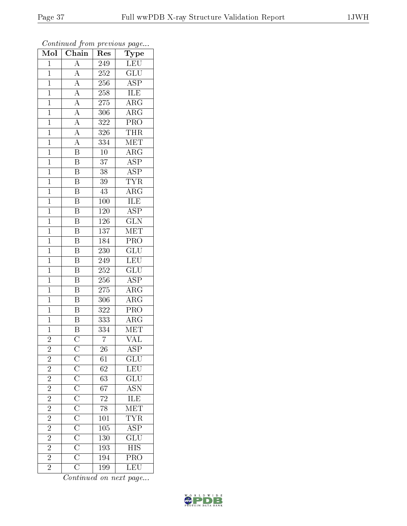| LEU<br>$\overline{A}$<br>$\overline{1}$<br>249<br>$\overline{A}$<br>$\overline{\text{GLU}}$<br>252<br>$\mathbf{1}$<br>$\frac{\overline{A}}{\overline{A}}$<br>$\overline{\text{ASP}}$<br>$\overline{1}$<br>256<br>ILE<br>$\mathbf{1}$<br>258<br>$\frac{\overline{A}}{\overline{A}}$<br>$\overline{\text{ARG}}$<br>$\mathbf{1}$<br>275<br>$\overline{\text{ARG}}$<br>$\mathbf{1}$<br>306<br>$\overline{A}$<br>$\overline{\text{PRO}}$<br>$\mathbf{1}$<br>322<br>$\overline{A}$<br><b>THR</b><br>$\mathbf{1}$<br>326<br>$\overline{A}$<br>MET<br>$\mathbf{1}$<br>334<br>$\overline{\mathbf{B}}$<br>$\overline{\text{ARG}}$<br>$\overline{10}$<br>$\mathbf{1}$<br>$\overline{\mathrm{B}}$<br>$\overline{37}$<br><b>ASP</b><br>$\mathbf 1$<br>$\overline{\text{ASP}}$<br>$\overline{\mathrm{B}}$<br>$\overline{1}$<br>38<br>$\overline{\mathbf{B}}$<br><b>TYR</b><br>$\overline{1}$<br>39<br>$\overline{\mathrm{B}}$<br>$\rm{ARG}$<br>$\mathbf{1}$<br>43<br>$\overline{\mathrm{B}}$<br>ILE<br>$\overline{1}$<br>100<br>$\overline{\mathrm{B}}$<br>$\overline{\text{ASP}}$<br>$\overline{1}$<br>120<br>$\overline{\mathrm{B}}$<br>$\overline{\text{GLN}}$<br>$\overline{1}$<br>126<br>$\overline{\mathrm{B}}$<br>$\overline{137}$<br>MET<br>$\mathbf{1}$<br>$\overline{\mathrm{B}}$<br>$\overline{\text{PRO}}$<br>184<br>$\mathbf{1}$<br>$\overline{\mathrm{B}}$<br>$\overline{\text{GLU}}$<br>$\overline{1}$<br>230<br>$\overline{\mathrm{B}}$<br><b>LEU</b><br>$\mathbf{1}$<br>249<br>$\overline{\mathrm{B}}$<br>$\overline{\text{GLU}}$<br>$\overline{1}$<br>$\overline{252}$<br>$\, {\bf B}$<br>$A\overline{SP}$<br>$\mathbf{1}$<br>256<br>$\overline{\mathrm{B}}$<br>$\overline{\rm{ARG}}$<br>$\mathbf 1$<br>275<br>$\overline{\mathbf{B}}$<br>$\rm{ARG}$<br>$\mathbf{1}$<br>306<br>$\overline{\mathrm{B}}$<br>$\mathbf{1}$<br>322<br>PRO<br>$\overline{\mathbf{B}}$<br>$\overline{\rm{ARG}}$<br>333<br>$\mathbf{1}$<br>$\overline{\text{B}}$<br>334<br>$\mathbf 1$<br>MET<br>$\overline{\overline{\rm C}}$<br>$\overline{7}$<br>$\overline{\text{VAL}}$<br>$\overline{2}$<br>$\overline{c}$<br>$\frac{\rm C}{\rm C}\frac{\rm C}{\rm C}\frac{\rm C}{\rm C}\frac{\rm C}{\rm C}\frac{\rm C}{\rm C}\frac{\rm C}{\rm C}\frac{\rm C}{\rm C}$<br>26<br>ASP<br>$\overline{2}$<br>$\overline{{\rm GLU}}$<br>61<br>LEU<br>$\overline{2}$<br>$\overline{62}$<br>$\frac{2}{2}$<br>$\frac{\overline{\text{GLU}}}{\overline{\text{ASN}}}$<br>63<br>$\overline{67}$<br>$\overline{2}$<br>$\frac{\text{ILE}}{\text{MET}}$<br>$\sqrt{72}$<br>$\overline{2}$<br>$\overline{78}$ | Mol            | $\overline{\text{Chain}}$ | $\operatorname{Res}% \left( \mathcal{N}\right) \equiv\operatorname{Res}(\mathcal{N}_{0})\cap\mathcal{N}_{1}$ | Type       |
|---------------------------------------------------------------------------------------------------------------------------------------------------------------------------------------------------------------------------------------------------------------------------------------------------------------------------------------------------------------------------------------------------------------------------------------------------------------------------------------------------------------------------------------------------------------------------------------------------------------------------------------------------------------------------------------------------------------------------------------------------------------------------------------------------------------------------------------------------------------------------------------------------------------------------------------------------------------------------------------------------------------------------------------------------------------------------------------------------------------------------------------------------------------------------------------------------------------------------------------------------------------------------------------------------------------------------------------------------------------------------------------------------------------------------------------------------------------------------------------------------------------------------------------------------------------------------------------------------------------------------------------------------------------------------------------------------------------------------------------------------------------------------------------------------------------------------------------------------------------------------------------------------------------------------------------------------------------------------------------------------------------------------------------------------------------------------------------------------------------------------------------------------------------------------------------------------------------------------------------------------------------------------------------------------------------------------------------------------------------------------------------------------------------------------------------------------------------------------------------------------------------------------------------------------------------|----------------|---------------------------|--------------------------------------------------------------------------------------------------------------|------------|
|                                                                                                                                                                                                                                                                                                                                                                                                                                                                                                                                                                                                                                                                                                                                                                                                                                                                                                                                                                                                                                                                                                                                                                                                                                                                                                                                                                                                                                                                                                                                                                                                                                                                                                                                                                                                                                                                                                                                                                                                                                                                                                                                                                                                                                                                                                                                                                                                                                                                                                                                                               |                |                           |                                                                                                              |            |
|                                                                                                                                                                                                                                                                                                                                                                                                                                                                                                                                                                                                                                                                                                                                                                                                                                                                                                                                                                                                                                                                                                                                                                                                                                                                                                                                                                                                                                                                                                                                                                                                                                                                                                                                                                                                                                                                                                                                                                                                                                                                                                                                                                                                                                                                                                                                                                                                                                                                                                                                                               |                |                           |                                                                                                              |            |
|                                                                                                                                                                                                                                                                                                                                                                                                                                                                                                                                                                                                                                                                                                                                                                                                                                                                                                                                                                                                                                                                                                                                                                                                                                                                                                                                                                                                                                                                                                                                                                                                                                                                                                                                                                                                                                                                                                                                                                                                                                                                                                                                                                                                                                                                                                                                                                                                                                                                                                                                                               |                |                           |                                                                                                              |            |
|                                                                                                                                                                                                                                                                                                                                                                                                                                                                                                                                                                                                                                                                                                                                                                                                                                                                                                                                                                                                                                                                                                                                                                                                                                                                                                                                                                                                                                                                                                                                                                                                                                                                                                                                                                                                                                                                                                                                                                                                                                                                                                                                                                                                                                                                                                                                                                                                                                                                                                                                                               |                |                           |                                                                                                              |            |
|                                                                                                                                                                                                                                                                                                                                                                                                                                                                                                                                                                                                                                                                                                                                                                                                                                                                                                                                                                                                                                                                                                                                                                                                                                                                                                                                                                                                                                                                                                                                                                                                                                                                                                                                                                                                                                                                                                                                                                                                                                                                                                                                                                                                                                                                                                                                                                                                                                                                                                                                                               |                |                           |                                                                                                              |            |
|                                                                                                                                                                                                                                                                                                                                                                                                                                                                                                                                                                                                                                                                                                                                                                                                                                                                                                                                                                                                                                                                                                                                                                                                                                                                                                                                                                                                                                                                                                                                                                                                                                                                                                                                                                                                                                                                                                                                                                                                                                                                                                                                                                                                                                                                                                                                                                                                                                                                                                                                                               |                |                           |                                                                                                              |            |
|                                                                                                                                                                                                                                                                                                                                                                                                                                                                                                                                                                                                                                                                                                                                                                                                                                                                                                                                                                                                                                                                                                                                                                                                                                                                                                                                                                                                                                                                                                                                                                                                                                                                                                                                                                                                                                                                                                                                                                                                                                                                                                                                                                                                                                                                                                                                                                                                                                                                                                                                                               |                |                           |                                                                                                              |            |
|                                                                                                                                                                                                                                                                                                                                                                                                                                                                                                                                                                                                                                                                                                                                                                                                                                                                                                                                                                                                                                                                                                                                                                                                                                                                                                                                                                                                                                                                                                                                                                                                                                                                                                                                                                                                                                                                                                                                                                                                                                                                                                                                                                                                                                                                                                                                                                                                                                                                                                                                                               |                |                           |                                                                                                              |            |
|                                                                                                                                                                                                                                                                                                                                                                                                                                                                                                                                                                                                                                                                                                                                                                                                                                                                                                                                                                                                                                                                                                                                                                                                                                                                                                                                                                                                                                                                                                                                                                                                                                                                                                                                                                                                                                                                                                                                                                                                                                                                                                                                                                                                                                                                                                                                                                                                                                                                                                                                                               |                |                           |                                                                                                              |            |
|                                                                                                                                                                                                                                                                                                                                                                                                                                                                                                                                                                                                                                                                                                                                                                                                                                                                                                                                                                                                                                                                                                                                                                                                                                                                                                                                                                                                                                                                                                                                                                                                                                                                                                                                                                                                                                                                                                                                                                                                                                                                                                                                                                                                                                                                                                                                                                                                                                                                                                                                                               |                |                           |                                                                                                              |            |
|                                                                                                                                                                                                                                                                                                                                                                                                                                                                                                                                                                                                                                                                                                                                                                                                                                                                                                                                                                                                                                                                                                                                                                                                                                                                                                                                                                                                                                                                                                                                                                                                                                                                                                                                                                                                                                                                                                                                                                                                                                                                                                                                                                                                                                                                                                                                                                                                                                                                                                                                                               |                |                           |                                                                                                              |            |
|                                                                                                                                                                                                                                                                                                                                                                                                                                                                                                                                                                                                                                                                                                                                                                                                                                                                                                                                                                                                                                                                                                                                                                                                                                                                                                                                                                                                                                                                                                                                                                                                                                                                                                                                                                                                                                                                                                                                                                                                                                                                                                                                                                                                                                                                                                                                                                                                                                                                                                                                                               |                |                           |                                                                                                              |            |
|                                                                                                                                                                                                                                                                                                                                                                                                                                                                                                                                                                                                                                                                                                                                                                                                                                                                                                                                                                                                                                                                                                                                                                                                                                                                                                                                                                                                                                                                                                                                                                                                                                                                                                                                                                                                                                                                                                                                                                                                                                                                                                                                                                                                                                                                                                                                                                                                                                                                                                                                                               |                |                           |                                                                                                              |            |
|                                                                                                                                                                                                                                                                                                                                                                                                                                                                                                                                                                                                                                                                                                                                                                                                                                                                                                                                                                                                                                                                                                                                                                                                                                                                                                                                                                                                                                                                                                                                                                                                                                                                                                                                                                                                                                                                                                                                                                                                                                                                                                                                                                                                                                                                                                                                                                                                                                                                                                                                                               |                |                           |                                                                                                              |            |
|                                                                                                                                                                                                                                                                                                                                                                                                                                                                                                                                                                                                                                                                                                                                                                                                                                                                                                                                                                                                                                                                                                                                                                                                                                                                                                                                                                                                                                                                                                                                                                                                                                                                                                                                                                                                                                                                                                                                                                                                                                                                                                                                                                                                                                                                                                                                                                                                                                                                                                                                                               |                |                           |                                                                                                              |            |
|                                                                                                                                                                                                                                                                                                                                                                                                                                                                                                                                                                                                                                                                                                                                                                                                                                                                                                                                                                                                                                                                                                                                                                                                                                                                                                                                                                                                                                                                                                                                                                                                                                                                                                                                                                                                                                                                                                                                                                                                                                                                                                                                                                                                                                                                                                                                                                                                                                                                                                                                                               |                |                           |                                                                                                              |            |
|                                                                                                                                                                                                                                                                                                                                                                                                                                                                                                                                                                                                                                                                                                                                                                                                                                                                                                                                                                                                                                                                                                                                                                                                                                                                                                                                                                                                                                                                                                                                                                                                                                                                                                                                                                                                                                                                                                                                                                                                                                                                                                                                                                                                                                                                                                                                                                                                                                                                                                                                                               |                |                           |                                                                                                              |            |
|                                                                                                                                                                                                                                                                                                                                                                                                                                                                                                                                                                                                                                                                                                                                                                                                                                                                                                                                                                                                                                                                                                                                                                                                                                                                                                                                                                                                                                                                                                                                                                                                                                                                                                                                                                                                                                                                                                                                                                                                                                                                                                                                                                                                                                                                                                                                                                                                                                                                                                                                                               |                |                           |                                                                                                              |            |
|                                                                                                                                                                                                                                                                                                                                                                                                                                                                                                                                                                                                                                                                                                                                                                                                                                                                                                                                                                                                                                                                                                                                                                                                                                                                                                                                                                                                                                                                                                                                                                                                                                                                                                                                                                                                                                                                                                                                                                                                                                                                                                                                                                                                                                                                                                                                                                                                                                                                                                                                                               |                |                           |                                                                                                              |            |
|                                                                                                                                                                                                                                                                                                                                                                                                                                                                                                                                                                                                                                                                                                                                                                                                                                                                                                                                                                                                                                                                                                                                                                                                                                                                                                                                                                                                                                                                                                                                                                                                                                                                                                                                                                                                                                                                                                                                                                                                                                                                                                                                                                                                                                                                                                                                                                                                                                                                                                                                                               |                |                           |                                                                                                              |            |
|                                                                                                                                                                                                                                                                                                                                                                                                                                                                                                                                                                                                                                                                                                                                                                                                                                                                                                                                                                                                                                                                                                                                                                                                                                                                                                                                                                                                                                                                                                                                                                                                                                                                                                                                                                                                                                                                                                                                                                                                                                                                                                                                                                                                                                                                                                                                                                                                                                                                                                                                                               |                |                           |                                                                                                              |            |
|                                                                                                                                                                                                                                                                                                                                                                                                                                                                                                                                                                                                                                                                                                                                                                                                                                                                                                                                                                                                                                                                                                                                                                                                                                                                                                                                                                                                                                                                                                                                                                                                                                                                                                                                                                                                                                                                                                                                                                                                                                                                                                                                                                                                                                                                                                                                                                                                                                                                                                                                                               |                |                           |                                                                                                              |            |
|                                                                                                                                                                                                                                                                                                                                                                                                                                                                                                                                                                                                                                                                                                                                                                                                                                                                                                                                                                                                                                                                                                                                                                                                                                                                                                                                                                                                                                                                                                                                                                                                                                                                                                                                                                                                                                                                                                                                                                                                                                                                                                                                                                                                                                                                                                                                                                                                                                                                                                                                                               |                |                           |                                                                                                              |            |
|                                                                                                                                                                                                                                                                                                                                                                                                                                                                                                                                                                                                                                                                                                                                                                                                                                                                                                                                                                                                                                                                                                                                                                                                                                                                                                                                                                                                                                                                                                                                                                                                                                                                                                                                                                                                                                                                                                                                                                                                                                                                                                                                                                                                                                                                                                                                                                                                                                                                                                                                                               |                |                           |                                                                                                              |            |
|                                                                                                                                                                                                                                                                                                                                                                                                                                                                                                                                                                                                                                                                                                                                                                                                                                                                                                                                                                                                                                                                                                                                                                                                                                                                                                                                                                                                                                                                                                                                                                                                                                                                                                                                                                                                                                                                                                                                                                                                                                                                                                                                                                                                                                                                                                                                                                                                                                                                                                                                                               |                |                           |                                                                                                              |            |
|                                                                                                                                                                                                                                                                                                                                                                                                                                                                                                                                                                                                                                                                                                                                                                                                                                                                                                                                                                                                                                                                                                                                                                                                                                                                                                                                                                                                                                                                                                                                                                                                                                                                                                                                                                                                                                                                                                                                                                                                                                                                                                                                                                                                                                                                                                                                                                                                                                                                                                                                                               |                |                           |                                                                                                              |            |
|                                                                                                                                                                                                                                                                                                                                                                                                                                                                                                                                                                                                                                                                                                                                                                                                                                                                                                                                                                                                                                                                                                                                                                                                                                                                                                                                                                                                                                                                                                                                                                                                                                                                                                                                                                                                                                                                                                                                                                                                                                                                                                                                                                                                                                                                                                                                                                                                                                                                                                                                                               |                |                           |                                                                                                              |            |
|                                                                                                                                                                                                                                                                                                                                                                                                                                                                                                                                                                                                                                                                                                                                                                                                                                                                                                                                                                                                                                                                                                                                                                                                                                                                                                                                                                                                                                                                                                                                                                                                                                                                                                                                                                                                                                                                                                                                                                                                                                                                                                                                                                                                                                                                                                                                                                                                                                                                                                                                                               |                |                           |                                                                                                              |            |
|                                                                                                                                                                                                                                                                                                                                                                                                                                                                                                                                                                                                                                                                                                                                                                                                                                                                                                                                                                                                                                                                                                                                                                                                                                                                                                                                                                                                                                                                                                                                                                                                                                                                                                                                                                                                                                                                                                                                                                                                                                                                                                                                                                                                                                                                                                                                                                                                                                                                                                                                                               |                |                           |                                                                                                              |            |
|                                                                                                                                                                                                                                                                                                                                                                                                                                                                                                                                                                                                                                                                                                                                                                                                                                                                                                                                                                                                                                                                                                                                                                                                                                                                                                                                                                                                                                                                                                                                                                                                                                                                                                                                                                                                                                                                                                                                                                                                                                                                                                                                                                                                                                                                                                                                                                                                                                                                                                                                                               |                |                           |                                                                                                              |            |
|                                                                                                                                                                                                                                                                                                                                                                                                                                                                                                                                                                                                                                                                                                                                                                                                                                                                                                                                                                                                                                                                                                                                                                                                                                                                                                                                                                                                                                                                                                                                                                                                                                                                                                                                                                                                                                                                                                                                                                                                                                                                                                                                                                                                                                                                                                                                                                                                                                                                                                                                                               |                |                           |                                                                                                              |            |
|                                                                                                                                                                                                                                                                                                                                                                                                                                                                                                                                                                                                                                                                                                                                                                                                                                                                                                                                                                                                                                                                                                                                                                                                                                                                                                                                                                                                                                                                                                                                                                                                                                                                                                                                                                                                                                                                                                                                                                                                                                                                                                                                                                                                                                                                                                                                                                                                                                                                                                                                                               |                |                           |                                                                                                              |            |
|                                                                                                                                                                                                                                                                                                                                                                                                                                                                                                                                                                                                                                                                                                                                                                                                                                                                                                                                                                                                                                                                                                                                                                                                                                                                                                                                                                                                                                                                                                                                                                                                                                                                                                                                                                                                                                                                                                                                                                                                                                                                                                                                                                                                                                                                                                                                                                                                                                                                                                                                                               |                |                           |                                                                                                              |            |
|                                                                                                                                                                                                                                                                                                                                                                                                                                                                                                                                                                                                                                                                                                                                                                                                                                                                                                                                                                                                                                                                                                                                                                                                                                                                                                                                                                                                                                                                                                                                                                                                                                                                                                                                                                                                                                                                                                                                                                                                                                                                                                                                                                                                                                                                                                                                                                                                                                                                                                                                                               |                |                           |                                                                                                              |            |
|                                                                                                                                                                                                                                                                                                                                                                                                                                                                                                                                                                                                                                                                                                                                                                                                                                                                                                                                                                                                                                                                                                                                                                                                                                                                                                                                                                                                                                                                                                                                                                                                                                                                                                                                                                                                                                                                                                                                                                                                                                                                                                                                                                                                                                                                                                                                                                                                                                                                                                                                                               |                |                           |                                                                                                              |            |
|                                                                                                                                                                                                                                                                                                                                                                                                                                                                                                                                                                                                                                                                                                                                                                                                                                                                                                                                                                                                                                                                                                                                                                                                                                                                                                                                                                                                                                                                                                                                                                                                                                                                                                                                                                                                                                                                                                                                                                                                                                                                                                                                                                                                                                                                                                                                                                                                                                                                                                                                                               |                |                           |                                                                                                              |            |
|                                                                                                                                                                                                                                                                                                                                                                                                                                                                                                                                                                                                                                                                                                                                                                                                                                                                                                                                                                                                                                                                                                                                                                                                                                                                                                                                                                                                                                                                                                                                                                                                                                                                                                                                                                                                                                                                                                                                                                                                                                                                                                                                                                                                                                                                                                                                                                                                                                                                                                                                                               | $\overline{2}$ |                           | 101                                                                                                          | <b>TYR</b> |
| $\overline{\text{ASP}}$<br>$\overline{2}$<br>105                                                                                                                                                                                                                                                                                                                                                                                                                                                                                                                                                                                                                                                                                                                                                                                                                                                                                                                                                                                                                                                                                                                                                                                                                                                                                                                                                                                                                                                                                                                                                                                                                                                                                                                                                                                                                                                                                                                                                                                                                                                                                                                                                                                                                                                                                                                                                                                                                                                                                                              |                |                           |                                                                                                              |            |
| $\overline{\text{GLU}}$<br>$\overline{2}$<br>130                                                                                                                                                                                                                                                                                                                                                                                                                                                                                                                                                                                                                                                                                                                                                                                                                                                                                                                                                                                                                                                                                                                                                                                                                                                                                                                                                                                                                                                                                                                                                                                                                                                                                                                                                                                                                                                                                                                                                                                                                                                                                                                                                                                                                                                                                                                                                                                                                                                                                                              |                |                           |                                                                                                              |            |
| $\overline{2}$<br><b>HIS</b><br>193                                                                                                                                                                                                                                                                                                                                                                                                                                                                                                                                                                                                                                                                                                                                                                                                                                                                                                                                                                                                                                                                                                                                                                                                                                                                                                                                                                                                                                                                                                                                                                                                                                                                                                                                                                                                                                                                                                                                                                                                                                                                                                                                                                                                                                                                                                                                                                                                                                                                                                                           |                |                           |                                                                                                              |            |
| $\overline{2}$<br>194<br>$\overline{\text{PRO}}$                                                                                                                                                                                                                                                                                                                                                                                                                                                                                                                                                                                                                                                                                                                                                                                                                                                                                                                                                                                                                                                                                                                                                                                                                                                                                                                                                                                                                                                                                                                                                                                                                                                                                                                                                                                                                                                                                                                                                                                                                                                                                                                                                                                                                                                                                                                                                                                                                                                                                                              |                |                           |                                                                                                              |            |
| $\overline{\text{C}}$<br>$\overline{\text{LEU}}$<br>$\overline{2}$<br>199                                                                                                                                                                                                                                                                                                                                                                                                                                                                                                                                                                                                                                                                                                                                                                                                                                                                                                                                                                                                                                                                                                                                                                                                                                                                                                                                                                                                                                                                                                                                                                                                                                                                                                                                                                                                                                                                                                                                                                                                                                                                                                                                                                                                                                                                                                                                                                                                                                                                                     |                |                           |                                                                                                              |            |

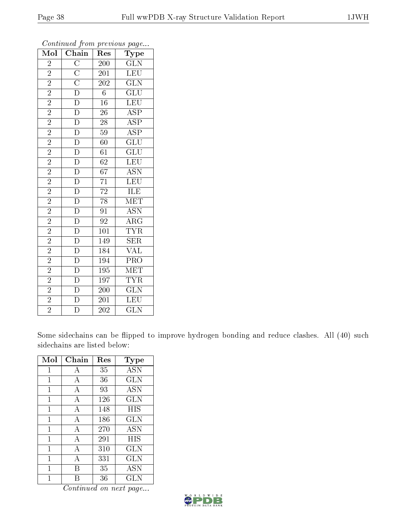| Mol            | $\overline{\text{Chain}}$                                                                                        | Res              | Type                            |
|----------------|------------------------------------------------------------------------------------------------------------------|------------------|---------------------------------|
| $\overline{2}$ |                                                                                                                  | 200              | $\overline{\text{GLN}}$         |
| $\overline{2}$ |                                                                                                                  | <b>201</b>       | LEU                             |
| $\overline{2}$ |                                                                                                                  | $\overline{202}$ | $\overline{\text{GLN}}$         |
| $\overline{2}$ | $\overline{C}\ \overline{C}\ \overline{D}\ \overline{D}\ \overline{D}\ \overline{D}\ \overline{D}\ \overline{D}$ | $\overline{6}$   | $\overline{\text{GLU}}$         |
| $\overline{2}$ |                                                                                                                  | $\overline{16}$  | $\overline{\text{LEU}}$         |
| $\overline{2}$ |                                                                                                                  | 26               | <b>ASP</b>                      |
| $\overline{2}$ |                                                                                                                  | $\overline{28}$  | $\overline{\text{ASP}}$         |
| $\overline{2}$ | $\overline{D}$                                                                                                   | $\overline{59}$  | $\overline{\text{ASP}}$         |
| $\overline{2}$ | $\frac{\overline{D}}{\overline{D}}$                                                                              | 60               | $\overline{{\rm GLU}}$          |
| $\overline{2}$ |                                                                                                                  | $\overline{61}$  | $\overline{{\rm GLU}}$          |
| $\overline{2}$ |                                                                                                                  | 62               | LEU                             |
| $\overline{2}$ | $\overline{D}$                                                                                                   | $\overline{67}$  | $\overline{\mathrm{ASN}}$       |
| $\overline{2}$ | $\frac{\overline{D}}{\overline{D}}$ $\frac{\overline{D}}{\overline{D}}$                                          | $\overline{71}$  | LEU                             |
| $\overline{2}$ |                                                                                                                  | $\overline{72}$  | ILE                             |
| $\overline{2}$ |                                                                                                                  | $\overline{78}$  | $\overline{\text{MET}}$         |
| $\frac{2}{2}$  |                                                                                                                  | $\overline{91}$  | <b>ASN</b>                      |
|                |                                                                                                                  | $\overline{92}$  | $\overline{\rm ARG}$            |
| $\overline{2}$ |                                                                                                                  | 101              | <b>TYR</b>                      |
| $\overline{2}$ | $\frac{\overline{D}}{\overline{D}}$ $\frac{\overline{D}}{\overline{D}}$                                          | 149              | SER                             |
| $\overline{2}$ |                                                                                                                  | 184              | $\frac{\text{VAL}}{\text{PRO}}$ |
| $\overline{2}$ | $\overline{D}$                                                                                                   | 194              |                                 |
| $\overline{2}$ |                                                                                                                  | 195              | MET                             |
| $\overline{2}$ | $\frac{\overline{D}}{\overline{D}}$                                                                              | 197              | $\overline{\text{TYR}}$         |
| $\overline{2}$ |                                                                                                                  | $\overline{200}$ | $\overline{\text{GLN}}$         |
| $\overline{2}$ | $\overline{\rm D}$                                                                                               | 201              | $\overline{\text{LEU}}$         |
| $\overline{2}$ | $\overline{\rm D}$                                                                                               | 202              | $\overline{\text{GLN}}$         |

Some sidechains can be flipped to improve hydrogen bonding and reduce clashes. All (40) such sidechains are listed below:

| Mol | Chain | Res | $_{\rm Type}$ |
|-----|-------|-----|---------------|
| 1   | А     | 35  | <b>ASN</b>    |
| 1   | А     | 36  | <b>GLN</b>    |
| 1   | А     | 93  | <b>ASN</b>    |
| 1   | А     | 126 | <b>GLN</b>    |
| 1   | А     | 148 | HIS           |
| 1   | A     | 186 | GLN           |
| 1   | А     | 270 | <b>ASN</b>    |
| 1   | А     | 291 | HIS           |
| 1   | А     | 310 | GLN           |
| 1   | А     | 331 | <b>GLN</b>    |
| 1   | R     | 35  | <b>ASN</b>    |
|     |       | 36  | GLN           |

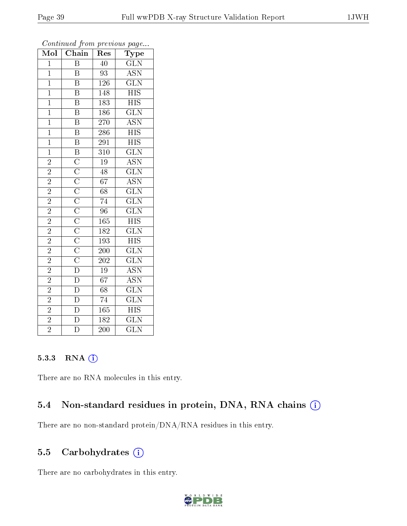| Mol            | Chain                                                                                                                                                                                                                                                                                                         | Res              | Type                                           |
|----------------|---------------------------------------------------------------------------------------------------------------------------------------------------------------------------------------------------------------------------------------------------------------------------------------------------------------|------------------|------------------------------------------------|
| $\overline{1}$ | $\overline{\mathrm{B}}$                                                                                                                                                                                                                                                                                       | 40               | $\overline{\text{GLN}}$                        |
| $\overline{1}$ | Β                                                                                                                                                                                                                                                                                                             | 93               | <b>ASN</b>                                     |
| $\overline{1}$ | $\overline{\mathrm{B}}$                                                                                                                                                                                                                                                                                       | <b>126</b>       | $\overline{\text{GLN}}$                        |
| $\overline{1}$ | $\overline{\mathrm{B}}$                                                                                                                                                                                                                                                                                       | 148              | $\overline{\mathrm{HIS}}$                      |
| $\overline{1}$ | $\overline{\mathrm{B}}$                                                                                                                                                                                                                                                                                       | 183              | $\overline{\mathrm{HIS}}$                      |
| $\overline{1}$ | $\overline{\text{B}}$                                                                                                                                                                                                                                                                                         | 186              | $\overline{\text{GLN}}$                        |
| $\overline{1}$ | $\overline{\mathrm{B}}$                                                                                                                                                                                                                                                                                       | $\overline{270}$ | $\overline{\mathrm{ASN}}$                      |
| $\overline{1}$ | $\overline{\mathbf{B}}$                                                                                                                                                                                                                                                                                       | 286              | $\overline{HIS}$                               |
| $\overline{1}$ | $\overline{\mathbf{B}}$                                                                                                                                                                                                                                                                                       | 291              | $\overline{\mathrm{HIS}}$                      |
| $\overline{1}$ |                                                                                                                                                                                                                                                                                                               | $\overline{310}$ | $\overline{\text{GLN}}$                        |
| $\overline{2}$ |                                                                                                                                                                                                                                                                                                               | $\overline{19}$  | $\overline{\text{ASN}}$                        |
| $\overline{2}$ |                                                                                                                                                                                                                                                                                                               | $\overline{48}$  | $\overline{\text{GLN}}$                        |
| $\overline{2}$ |                                                                                                                                                                                                                                                                                                               | $\overline{67}$  | $\frac{\overline{\mathrm{ASN}}}{\mathrm{GLN}}$ |
| $\overline{2}$ |                                                                                                                                                                                                                                                                                                               | $\overline{68}$  |                                                |
| $\frac{2}{2}$  |                                                                                                                                                                                                                                                                                                               | $\overline{74}$  | $\overline{\text{GLN}}$                        |
|                |                                                                                                                                                                                                                                                                                                               | $\overline{96}$  | $\overline{\text{GLN}}$                        |
| $\overline{2}$ |                                                                                                                                                                                                                                                                                                               | 165              | $\overline{\mathrm{HIS}}$                      |
| $\overline{2}$ |                                                                                                                                                                                                                                                                                                               | 182              | $\overline{\text{GLN}}$                        |
| $\overline{2}$ |                                                                                                                                                                                                                                                                                                               | 193              | $\overline{\mathrm{HIS}}$                      |
| $\overline{2}$ |                                                                                                                                                                                                                                                                                                               | <b>200</b>       | $\overline{\text{GLN}}$                        |
| $\overline{2}$ |                                                                                                                                                                                                                                                                                                               | $\overline{202}$ | $\overline{\text{GLN}}$                        |
| $\overline{2}$ |                                                                                                                                                                                                                                                                                                               | $\overline{19}$  | <b>ASN</b>                                     |
| $\overline{2}$ | $\frac{\overline{B} \cdot \overline{C} \cdot \overline{C} \cdot \overline{C} \cdot \overline{C} \cdot \overline{C} \cdot \overline{C} \cdot \overline{C} \cdot \overline{C} \cdot \overline{D} \cdot \overline{D}}{\overline{C} \cdot \overline{C} \cdot \overline{C} \cdot \overline{D} \cdot \overline{D}}$ | $\overline{67}$  | $\overline{\mathrm{ASN}}$                      |
| $\overline{2}$ | $\frac{\overline{D}}{\overline{D}}$                                                                                                                                                                                                                                                                           | $\overline{68}$  | $\overline{\text{GLN}}$                        |
| $\overline{2}$ |                                                                                                                                                                                                                                                                                                               | $\overline{74}$  | $\overline{\text{GLN}}$                        |
| $\overline{2}$ |                                                                                                                                                                                                                                                                                                               | 165              | $\overline{HIS}$                               |
| $\overline{2}$ | $\overline{D}$                                                                                                                                                                                                                                                                                                | 182              | $\overline{\text{GLN}}$                        |
| $\overline{2}$ | $\overline{\overline{\mathrm{D}}}$                                                                                                                                                                                                                                                                            | $\overline{200}$ | $\overline{\text{GLN}}$                        |

#### 5.3.3 RNA (i)

There are no RNA molecules in this entry.

# 5.4 Non-standard residues in protein, DNA, RNA chains (i)

There are no non-standard protein/DNA/RNA residues in this entry.

## 5.5 Carbohydrates  $(i)$

There are no carbohydrates in this entry.

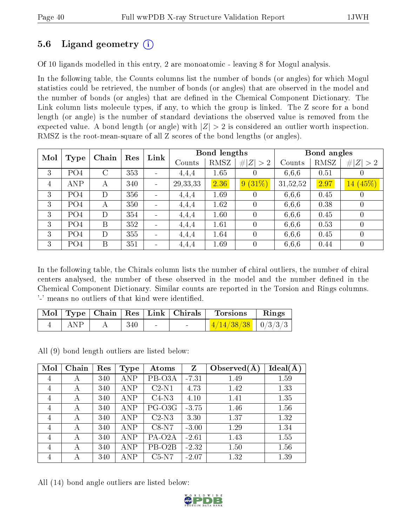## 5.6 Ligand geometry (i)

Of 10 ligands modelled in this entry, 2 are monoatomic - leaving 8 for Mogul analysis.

In the following table, the Counts columns list the number of bonds (or angles) for which Mogul statistics could be retrieved, the number of bonds (or angles) that are observed in the model and the number of bonds (or angles) that are dened in the Chemical Component Dictionary. The Link column lists molecule types, if any, to which the group is linked. The Z score for a bond length (or angle) is the number of standard deviations the observed value is removed from the expected value. A bond length (or angle) with  $|Z| > 2$  is considered an outlier worth inspection. RMSZ is the root-mean-square of all Z scores of the bond lengths (or angles).

| Mol            |                 | Chain   | Res | Link                     |            | <b>Bond lengths</b> |             |          | Bond angles |                |
|----------------|-----------------|---------|-----|--------------------------|------------|---------------------|-------------|----------|-------------|----------------|
|                | Type            |         |     |                          | Counts     | RMSZ                | # $ Z  > 2$ | Counts   | RMSZ        | # $ Z  > 2$    |
| 3              | PO <sub>4</sub> | $\rm C$ | 353 |                          | 4,4,4      | 1.65                |             | 6,6,6    | 0.51        |                |
| $\overline{4}$ | ANP             | А       | 340 | $\overline{\phantom{0}}$ | 29, 33, 33 | 2.36                | $9(31\%)$   | 31,52,52 | 2.97        | 14(45%)        |
| 3              | PO4             | D       | 356 |                          | 4,4,4      | 1.69                |             | 6,6,6    | 0.45        |                |
| 3              | PO <sub>4</sub> | А       | 350 |                          | 4,4,4      | 1.62                |             | 6,6,6    | 0.38        | $\theta$       |
| 3              | PO <sub>4</sub> | D       | 354 |                          | 4,4,4      | 1.60                |             | 6,6,6    | 0.45        | $\theta$       |
| 3              | PO <sub>4</sub> | B       | 352 |                          | 4,4,4      | 1.61                | $\theta$    | 6,6,6    | 0.53        | $\overline{0}$ |
| 3              | PO <sub>4</sub> | D       | 355 |                          | 4,4,4      | 1.64                |             | 6,6,6    | 0.45        | $\theta$       |
| 3              | PO <sub>4</sub> | Β       | 351 |                          | 4,4,4      | 1.69                |             | 6,6,6    | 0.44        | $\theta$       |

In the following table, the Chirals column lists the number of chiral outliers, the number of chiral centers analysed, the number of these observed in the model and the number defined in the Chemical Component Dictionary. Similar counts are reported in the Torsion and Rings columns. '-' means no outliers of that kind were identified.

|     |     |        | Mol   Type   Chain   Res   Link   Chirals | Torsions                         | Rings |
|-----|-----|--------|-------------------------------------------|----------------------------------|-------|
| ANP | 340 | $\sim$ |                                           | $\frac{4/14/38/38}{9}$   0/3/3/3 |       |

All (9) bond length outliers are listed below:

| Mol            | Chain | Res | <b>Type</b> | Atoms               | $\mathbf{Z}$ | Observed $(A)$ | Ideal(A) |
|----------------|-------|-----|-------------|---------------------|--------------|----------------|----------|
| $\overline{4}$ | А     | 340 | <b>ANP</b>  | PB-O3A              | $-7.31$      | 1.49           | 1.59     |
| $\overline{4}$ | А     | 340 | ANP         | $C2-N1$             | 4.73         | 1.42           | 1.33     |
| $\overline{4}$ | А     | 340 | <b>ANP</b>  | $C4-N3$             | 4.10         | 1.41           | 1.35     |
| $\overline{4}$ | А     | 340 | ANP         | PG-O3G              | $-3.75$      | 1.46           | 1.56     |
| 4              | А     | 340 | <b>ANP</b>  | $C2-N3$             | 3.30         | 1.37           | 1.32     |
| 4              | А     | 340 | ANP         | $C8-N7$             | $-3.00$      | 1.29           | 1.34     |
| $\overline{4}$ | А     | 340 | ANP         | PA-O2A              | $-2.61$      | 1.43           | 1.55     |
| $\overline{4}$ | А     | 340 | ANP         | PB-O <sub>2</sub> B | $-2.32$      | 1.50           | 1.56     |
| 4              | А     | 340 | ANP         | $C5-N7$             | $-2.07$      | 1.32           | 1.39     |

All (14) bond angle outliers are listed below:

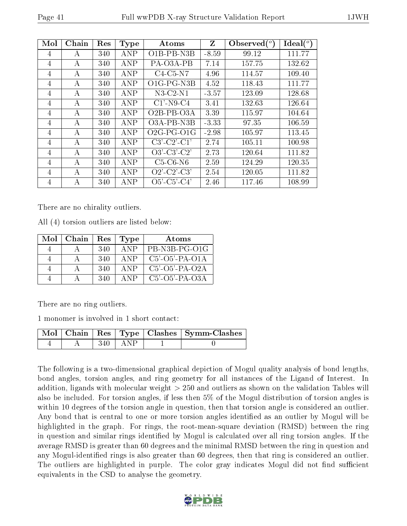| Mol | Chain | Res | <b>Type</b> | Atoms                                  | Z       | Observed $(^\circ)$ | Ideal (°) |
|-----|-------|-----|-------------|----------------------------------------|---------|---------------------|-----------|
| 4   | А     | 340 | <b>ANP</b>  | $O$ <sub>1</sub> B-PB-N <sub>3</sub> B | $-8.59$ | 99.12               | 111.77    |
| 4   | А     | 340 | <b>ANP</b>  | PA-O3A-PB                              | 7.14    | 157.75              | 132.62    |
| 4   | А     | 340 | ANP         | $C4-C5-N7$                             | 4.96    | 114.57              | 109.40    |
| 4   | А     | 340 | ANP         | O1G-PG-N3B                             | 4.52    | 118.43              | 111.77    |
| 4   | A     | 340 | ANP         | $N3-C2-N1$                             | $-3.57$ | 123.09              | 128.68    |
| 4   | А     | 340 | ANP         | $C1'$ -N9-C4                           | 3.41    | 132.63              | 126.64    |
| 4   | А     | 340 | ANP         | $O2B-PB-O3A$                           | 3.39    | 115.97              | 104.64    |
| 4   | А     | 340 | <b>ANP</b>  | O3A-PB-N3B                             | $-3.33$ | 97.35               | 106.59    |
| 4   | А     | 340 | ANP         | $O2G-PG-O1G$                           | $-2.98$ | 105.97              | 113.45    |
| 4   | А     | 340 | ANP         | $C3'-C2'-C1'$                          | 2.74    | 105.11              | 100.98    |
| 4   | А     | 340 | ANP         | $O3'$ -C3'-C2'                         | 2.73    | 120.64              | 111.82    |
| 4   | А     | 340 | ANP         | $C5-C6-N6$                             | 2.59    | 124.29              | 120.35    |
| 4   | А     | 340 | <b>ANP</b>  | $O2'$ -C2'-C3'                         | 2.54    | 120.05              | 111.82    |
| 4   | А     | 340 | ANP         | $O5'$ -C5'-C4'                         | 2.46    | 117.46              | 108.99    |

There are no chirality outliers.

All (4) torsion outliers are listed below:

| Mol | Chain | Res | <b>Type</b> | Atoms             |
|-----|-------|-----|-------------|-------------------|
|     |       | 340 | ANP         | PB-N3B-PG-O1G     |
|     |       | 340 | A NP        | $C5'$ -O5'-PA-O1A |
|     |       | 340 | ANP         | $C5'$ -O5'-PA-O2A |
|     |       | 340 |             | $C5'$ -O5'-PA-O3A |

There are no ring outliers.

1 monomer is involved in 1 short contact:

|  |     |     | Mol   Chain   Res   Type   Clashes   Symm-Clashes |
|--|-----|-----|---------------------------------------------------|
|  | 340 | ANP |                                                   |

The following is a two-dimensional graphical depiction of Mogul quality analysis of bond lengths, bond angles, torsion angles, and ring geometry for all instances of the Ligand of Interest. In addition, ligands with molecular weight > 250 and outliers as shown on the validation Tables will also be included. For torsion angles, if less then 5% of the Mogul distribution of torsion angles is within 10 degrees of the torsion angle in question, then that torsion angle is considered an outlier. Any bond that is central to one or more torsion angles identified as an outlier by Mogul will be highlighted in the graph. For rings, the root-mean-square deviation (RMSD) between the ring in question and similar rings identified by Mogul is calculated over all ring torsion angles. If the average RMSD is greater than 60 degrees and the minimal RMSD between the ring in question and any Mogul-identified rings is also greater than 60 degrees, then that ring is considered an outlier. The outliers are highlighted in purple. The color gray indicates Mogul did not find sufficient equivalents in the CSD to analyse the geometry.

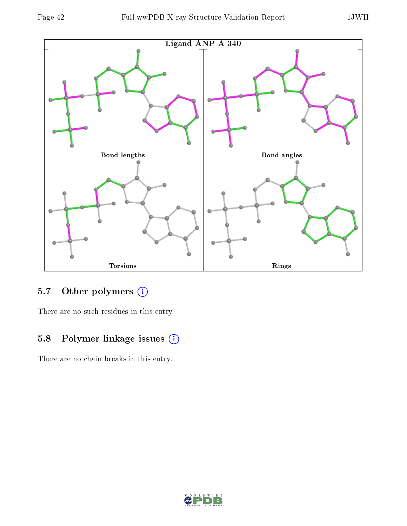

# 5.7 [O](https://www.wwpdb.org/validation/2017/XrayValidationReportHelp#nonstandard_residues_and_ligands)ther polymers (i)

There are no such residues in this entry.

## 5.8 Polymer linkage issues (i)

There are no chain breaks in this entry.

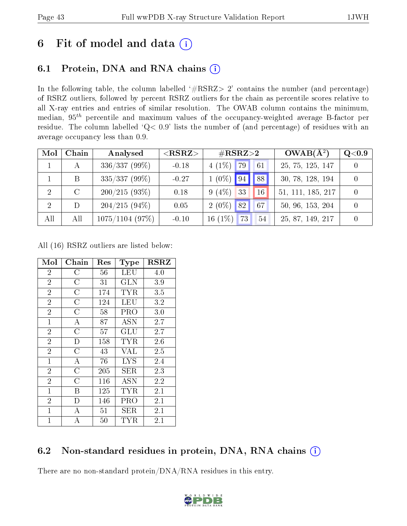# 6 Fit of model and data  $(i)$

## 6.1 Protein, DNA and RNA chains  $(i)$

In the following table, the column labelled  $#RSRZ> 2'$  contains the number (and percentage) of RSRZ outliers, followed by percent RSRZ outliers for the chain as percentile scores relative to all X-ray entries and entries of similar resolution. The OWAB column contains the minimum, median,  $95<sup>th</sup>$  percentile and maximum values of the occupancy-weighted average B-factor per residue. The column labelled ' $Q< 0.9$ ' lists the number of (and percentage) of residues with an average occupancy less than 0.9.

| Mol            | Chain   | Analysed          | $<$ RSRZ $>$ | $\rm \#RSRZ{>}2$                  | $OWAB(A^2)$       | Q <sub>0.9</sub> |
|----------------|---------|-------------------|--------------|-----------------------------------|-------------------|------------------|
|                | А       | $336/337(99\%)$   | $-0.18$      | $4(1\%)$ 79<br>61                 | 25, 75, 125, 147  |                  |
|                | B       | $335/337(99\%)$   | $-0.27$      | 88 <sup>1</sup><br>$1(0\%)$ 94    | 30, 78, 128, 194  |                  |
| 2              | $\rm C$ | 200/215(93%)      | 0.18         | $9(4\%)$<br>33<br>16 <sup>°</sup> | 51, 111, 185, 217 |                  |
| $\overline{2}$ | D       | $204/215(94\%)$   | 0.05         | $2(0\%)$ 82<br>67                 | 50, 96, 153, 204  |                  |
| All            | All     | $1075/1104$ (97%) | $-0.10$      | 16 $(1\%)$<br>73<br>54            | 25, 87, 149, 217  |                  |

All (16) RSRZ outliers are listed below:

| Mol            | Chain              | $\operatorname{Res}% \left( \mathcal{N}\right) \equiv\operatorname{Res}(\mathcal{N}_{0},\mathcal{N}_{0})$ | Type        | $_{\rm RSRZ}$ |  |
|----------------|--------------------|-----------------------------------------------------------------------------------------------------------|-------------|---------------|--|
| $\overline{2}$ | $\overline{\rm C}$ | 56                                                                                                        | LEU         | 4.0           |  |
| $\overline{2}$ | $\overline{C}$     | 31                                                                                                        | <b>GLN</b>  | 3.9           |  |
| $\overline{2}$ | $\overline{C}$     | 174                                                                                                       | <b>TYR</b>  | 3.5           |  |
| $\overline{2}$ | $\overline{C}$     | 124                                                                                                       | LEU         | 3.2           |  |
| $\overline{2}$ | $\overline{C}$     | 58                                                                                                        | PRO         | 3.0           |  |
| $\overline{1}$ | $\bf{A}$           | 87                                                                                                        | <b>ASN</b>  | 2.7           |  |
| $\overline{2}$ | $\overline{C}$     | 57                                                                                                        | GLU         | 2.7           |  |
| $\overline{2}$ | $\mathbf D$        | 158                                                                                                       | TYR         | 2.6           |  |
| $\overline{2}$ | $\overline{C}$     | 43                                                                                                        | <b>VAL</b>  | 2.5           |  |
| $\overline{1}$ | $\boldsymbol{A}$   | 76                                                                                                        | <b>LYS</b>  | 2.4           |  |
| $\overline{2}$ | $\overline{C}$     | 205                                                                                                       | ${\rm SER}$ | 2.3           |  |
| $\overline{2}$ | $\overline{\rm C}$ | 116                                                                                                       | ASN         | 2.2           |  |
| $\mathbf{1}$   | Β                  | 125                                                                                                       | TYR         | 2.1           |  |
| $\overline{2}$ | D                  | 146                                                                                                       | PRO         | 2.1           |  |
| $\mathbf{1}$   | А                  | 51                                                                                                        | SER         | 2.1           |  |
| $\mathbf{1}$   | А                  | 50                                                                                                        | TYR         | $2.1\,$       |  |

## 6.2 Non-standard residues in protein, DNA, RNA chains (i)

There are no non-standard protein/DNA/RNA residues in this entry.

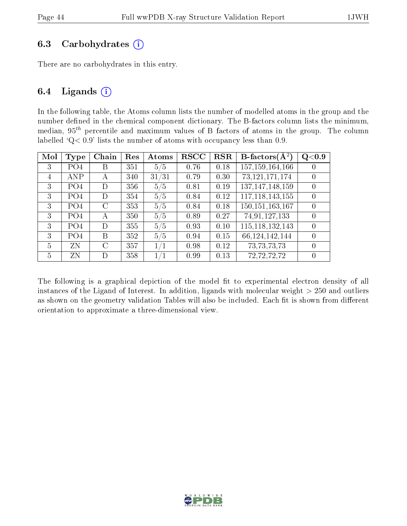#### 6.3 Carbohydrates  $(i)$

There are no carbohydrates in this entry.

#### 6.4 Ligands  $(i)$

In the following table, the Atoms column lists the number of modelled atoms in the group and the number defined in the chemical component dictionary. The B-factors column lists the minimum, median,  $95<sup>th</sup>$  percentile and maximum values of B factors of atoms in the group. The column labelled  $Q < 0.9$ ' lists the number of atoms with occupancy less than 0.9.

| Mol | Type            | Chain         | Res | Atoms | $_{\rm RSCC}$ | <b>RSR</b> | <b>B</b> -factors( $\overline{A^2}$ ) | Q <sub>0.9</sub> |
|-----|-----------------|---------------|-----|-------|---------------|------------|---------------------------------------|------------------|
| 3   | PO <sub>4</sub> | В             | 351 | 5/5   | 0.76          | 0.18       | 157, 159, 164, 166                    |                  |
| 4   | <b>ANP</b>      | А             | 340 | 31/31 | 0.79          | 0.30       | 73, 121, 171, 174                     |                  |
| 3   | PO <sub>4</sub> | D             | 356 | 5/5   | 0.81          | 0.19       | 137, 147, 148, 159                    |                  |
| 3   | PO4             | D             | 354 | 5/5   | 0.84          | 0.12       | 117, 118, 143, 155                    | $\Omega$         |
| 3   | PO <sub>4</sub> | $\mathcal{C}$ | 353 | 5/5   | 0.84          | 0.18       | 150, 151, 163, 167                    |                  |
| 3   | PO <sub>4</sub> | А             | 350 | 5/5   | 0.89          | 0.27       | 74,91,127,133                         | 0                |
| 3   | PO <sub>4</sub> | D             | 355 | 5/5   | 0.93          | 0.10       | 115, 118, 132, 143                    | $\theta$         |
| 3   | PO <sub>4</sub> | B             | 352 | 5/5   | 0.94          | 0.15       | 66, 124, 142, 144                     |                  |
| 5   | ZN              | C             | 357 | 1/1   | 0.98          | 0.12       | 73, 73, 73, 73                        | $\theta$         |
| 5   | ZN              | D             | 358 | 1/1   | 0.99          | 0.13       | 72, 72, 72, 72                        |                  |

The following is a graphical depiction of the model fit to experimental electron density of all instances of the Ligand of Interest. In addition, ligands with molecular weight  $> 250$  and outliers as shown on the geometry validation Tables will also be included. Each fit is shown from different orientation to approximate a three-dimensional view.